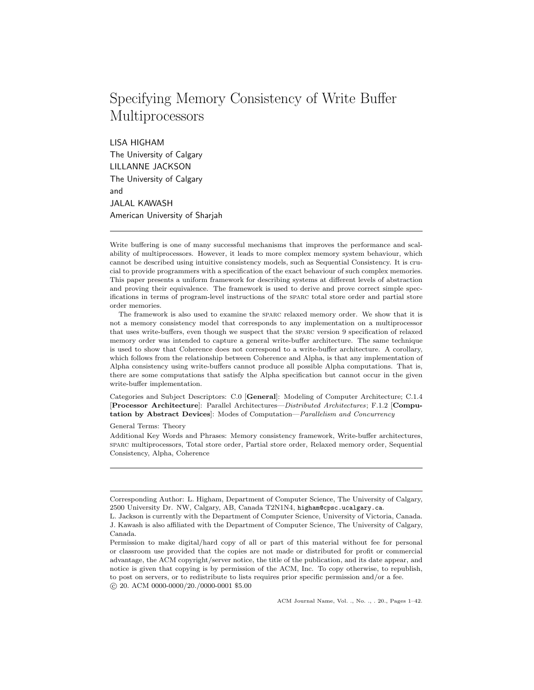# Specifying Memory Consistency of Write Buffer Multiprocessors

LISA HIGHAM The University of Calgary LILLANNE JACKSON The University of Calgary and JALAL KAWASH American University of Sharjah

Write buffering is one of many successful mechanisms that improves the performance and scalability of multiprocessors. However, it leads to more complex memory system behaviour, which cannot be described using intuitive consistency models, such as Sequential Consistency. It is crucial to provide programmers with a specification of the exact behaviour of such complex memories. This paper presents a uniform framework for describing systems at different levels of abstraction and proving their equivalence. The framework is used to derive and prove correct simple specifications in terms of program-level instructions of the sparc total store order and partial store order memories.

The framework is also used to examine the sparc relaxed memory order. We show that it is not a memory consistency model that corresponds to any implementation on a multiprocessor that uses write-buffers, even though we suspect that the sparc version 9 specification of relaxed memory order was intended to capture a general write-buffer architecture. The same technique is used to show that Coherence does not correspond to a write-buffer architecture. A corollary, which follows from the relationship between Coherence and Alpha, is that any implementation of Alpha consistency using write-buffers cannot produce all possible Alpha computations. That is, there are some computations that satisfy the Alpha specification but cannot occur in the given write-buffer implementation.

Categories and Subject Descriptors: C.0 [General]: Modeling of Computer Architecture; C.1.4 [Processor Architecture]: Parallel Architectures—Distributed Architectures; F.1.2 [Computation by Abstract Devices]: Modes of Computation—Parallelism and Concurrency

General Terms: Theory

Additional Key Words and Phrases: Memory consistency framework, Write-buffer architectures, sparc multiprocessors, Total store order, Partial store order, Relaxed memory order, Sequential Consistency, Alpha, Coherence

Corresponding Author: L. Higham, Department of Computer Science, The University of Calgary, 2500 University Dr. NW, Calgary, AB, Canada T2N1N4, higham@cpsc.ucalgary.ca.

L. Jackson is currently with the Department of Computer Science, University of Victoria, Canada. J. Kawash is also affiliated with the Department of Computer Science, The University of Calgary, Canada.

Permission to make digital/hard copy of all or part of this material without fee for personal or classroom use provided that the copies are not made or distributed for profit or commercial advantage, the ACM copyright/server notice, the title of the publication, and its date appear, and notice is given that copying is by permission of the ACM, Inc. To copy otherwise, to republish, to post on servers, or to redistribute to lists requires prior specific permission and/or a fee. c 20. ACM 0000-0000/20./0000-0001 \$5.00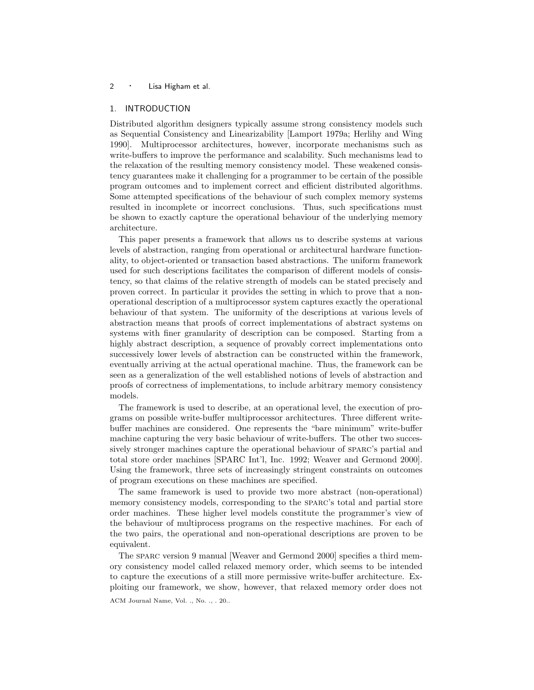# 1. INTRODUCTION

Distributed algorithm designers typically assume strong consistency models such as Sequential Consistency and Linearizability [Lamport 1979a; Herlihy and Wing 1990]. Multiprocessor architectures, however, incorporate mechanisms such as write-buffers to improve the performance and scalability. Such mechanisms lead to the relaxation of the resulting memory consistency model. These weakened consistency guarantees make it challenging for a programmer to be certain of the possible program outcomes and to implement correct and efficient distributed algorithms. Some attempted specifications of the behaviour of such complex memory systems resulted in incomplete or incorrect conclusions. Thus, such specifications must be shown to exactly capture the operational behaviour of the underlying memory architecture.

This paper presents a framework that allows us to describe systems at various levels of abstraction, ranging from operational or architectural hardware functionality, to object-oriented or transaction based abstractions. The uniform framework used for such descriptions facilitates the comparison of different models of consistency, so that claims of the relative strength of models can be stated precisely and proven correct. In particular it provides the setting in which to prove that a nonoperational description of a multiprocessor system captures exactly the operational behaviour of that system. The uniformity of the descriptions at various levels of abstraction means that proofs of correct implementations of abstract systems on systems with finer granularity of description can be composed. Starting from a highly abstract description, a sequence of provably correct implementations onto successively lower levels of abstraction can be constructed within the framework, eventually arriving at the actual operational machine. Thus, the framework can be seen as a generalization of the well established notions of levels of abstraction and proofs of correctness of implementations, to include arbitrary memory consistency models.

The framework is used to describe, at an operational level, the execution of programs on possible write-buffer multiprocessor architectures. Three different writebuffer machines are considered. One represents the "bare minimum" write-buffer machine capturing the very basic behaviour of write-buffers. The other two successively stronger machines capture the operational behaviour of sparc's partial and total store order machines [SPARC Int'l, Inc. 1992; Weaver and Germond 2000]. Using the framework, three sets of increasingly stringent constraints on outcomes of program executions on these machines are specified.

The same framework is used to provide two more abstract (non-operational) memory consistency models, corresponding to the sparc's total and partial store order machines. These higher level models constitute the programmer's view of the behaviour of multiprocess programs on the respective machines. For each of the two pairs, the operational and non-operational descriptions are proven to be equivalent.

The sparc version 9 manual [Weaver and Germond 2000] specifies a third memory consistency model called relaxed memory order, which seems to be intended to capture the executions of a still more permissive write-buffer architecture. Exploiting our framework, we show, however, that relaxed memory order does not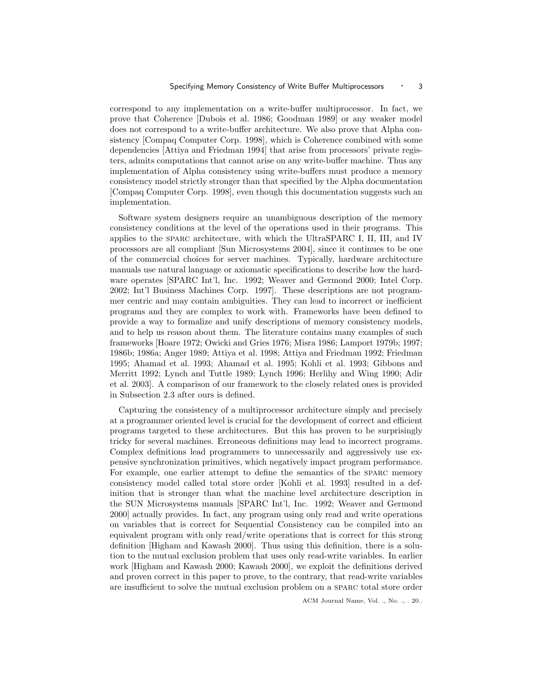correspond to any implementation on a write-buffer multiprocessor. In fact, we prove that Coherence [Dubois et al. 1986; Goodman 1989] or any weaker model does not correspond to a write-buffer architecture. We also prove that Alpha consistency [Compaq Computer Corp. 1998], which is Coherence combined with some dependencies [Attiya and Friedman 1994] that arise from processors' private registers, admits computations that cannot arise on any write-buffer machine. Thus any implementation of Alpha consistency using write-buffers must produce a memory consistency model strictly stronger than that specified by the Alpha documentation [Compaq Computer Corp. 1998], even though this documentation suggests such an implementation.

Software system designers require an unambiguous description of the memory consistency conditions at the level of the operations used in their programs. This applies to the sparc architecture, with which the UltraSPARC I, II, III, and IV processors are all compliant [Sun Microsystems 2004], since it continues to be one of the commercial choices for server machines. Typically, hardware architecture manuals use natural language or axiomatic specifications to describe how the hardware operates [SPARC Int'l, Inc. 1992; Weaver and Germond 2000; Intel Corp. 2002; Int'l Business Machines Corp. 1997]. These descriptions are not programmer centric and may contain ambiguities. They can lead to incorrect or inefficient programs and they are complex to work with. Frameworks have been defined to provide a way to formalize and unify descriptions of memory consistency models, and to help us reason about them. The literature contains many examples of such frameworks [Hoare 1972; Owicki and Gries 1976; Misra 1986; Lamport 1979b; 1997; 1986b; 1986a; Anger 1989; Attiya et al. 1998; Attiya and Friedman 1992; Friedman 1995; Ahamad et al. 1993; Ahamad et al. 1995; Kohli et al. 1993; Gibbons and Merritt 1992; Lynch and Tuttle 1989; Lynch 1996; Herlihy and Wing 1990; Adir et al. 2003]. A comparison of our framework to the closely related ones is provided in Subsection 2.3 after ours is defined.

Capturing the consistency of a multiprocessor architecture simply and precisely at a programmer oriented level is crucial for the development of correct and efficient programs targeted to these architectures. But this has proven to be surprisingly tricky for several machines. Erroneous definitions may lead to incorrect programs. Complex definitions lead programmers to unnecessarily and aggressively use expensive synchronization primitives, which negatively impact program performance. For example, one earlier attempt to define the semantics of the sparc memory consistency model called total store order [Kohli et al. 1993] resulted in a definition that is stronger than what the machine level architecture description in the SUN Microsystems manuals [SPARC Int'l, Inc. 1992; Weaver and Germond 2000] actually provides. In fact, any program using only read and write operations on variables that is correct for Sequential Consistency can be compiled into an equivalent program with only read/write operations that is correct for this strong definition [Higham and Kawash 2000]. Thus using this definition, there is a solution to the mutual exclusion problem that uses only read-write variables. In earlier work [Higham and Kawash 2000; Kawash 2000], we exploit the definitions derived and proven correct in this paper to prove, to the contrary, that read-write variables are insufficient to solve the mutual exclusion problem on a sparc total store order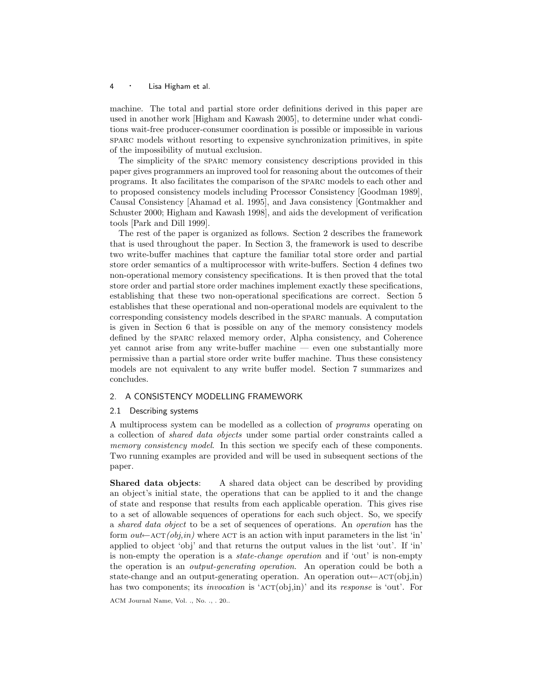machine. The total and partial store order definitions derived in this paper are used in another work [Higham and Kawash 2005], to determine under what conditions wait-free producer-consumer coordination is possible or impossible in various sparc models without resorting to expensive synchronization primitives, in spite of the impossibility of mutual exclusion.

The simplicity of the sparc memory consistency descriptions provided in this paper gives programmers an improved tool for reasoning about the outcomes of their programs. It also facilitates the comparison of the sparc models to each other and to proposed consistency models including Processor Consistency [Goodman 1989], Causal Consistency [Ahamad et al. 1995], and Java consistency [Gontmakher and Schuster 2000; Higham and Kawash 1998], and aids the development of verification tools [Park and Dill 1999].

The rest of the paper is organized as follows. Section 2 describes the framework that is used throughout the paper. In Section 3, the framework is used to describe two write-buffer machines that capture the familiar total store order and partial store order semantics of a multiprocessor with write-buffers. Section 4 defines two non-operational memory consistency specifications. It is then proved that the total store order and partial store order machines implement exactly these specifications, establishing that these two non-operational specifications are correct. Section 5 establishes that these operational and non-operational models are equivalent to the corresponding consistency models described in the sparc manuals. A computation is given in Section 6 that is possible on any of the memory consistency models defined by the sparc relaxed memory order, Alpha consistency, and Coherence yet cannot arise from any write-buffer machine — even one substantially more permissive than a partial store order write buffer machine. Thus these consistency models are not equivalent to any write buffer model. Section 7 summarizes and concludes.

# 2. A CONSISTENCY MODELLING FRAMEWORK

# 2.1 Describing systems

A multiprocess system can be modelled as a collection of programs operating on a collection of shared data objects under some partial order constraints called a memory consistency model. In this section we specify each of these components. Two running examples are provided and will be used in subsequent sections of the paper.

Shared data objects: A shared data object can be described by providing an object's initial state, the operations that can be applied to it and the change of state and response that results from each applicable operation. This gives rise to a set of allowable sequences of operations for each such object. So, we specify a shared data object to be a set of sequences of operations. An operation has the form *out*← $\text{ACT}(obj, in)$  where ACT is an action with input parameters in the list 'in' applied to object 'obj' and that returns the output values in the list 'out'. If 'in' is non-empty the operation is a state-change operation and if 'out' is non-empty the operation is an *output-generating operation*. An operation could be both a state-change and an output-generating operation. An operation out $\leftarrow$ ACT(obj,in) has two components; its *invocation* is 'ACT(obj,in)' and its *response* is 'out'. For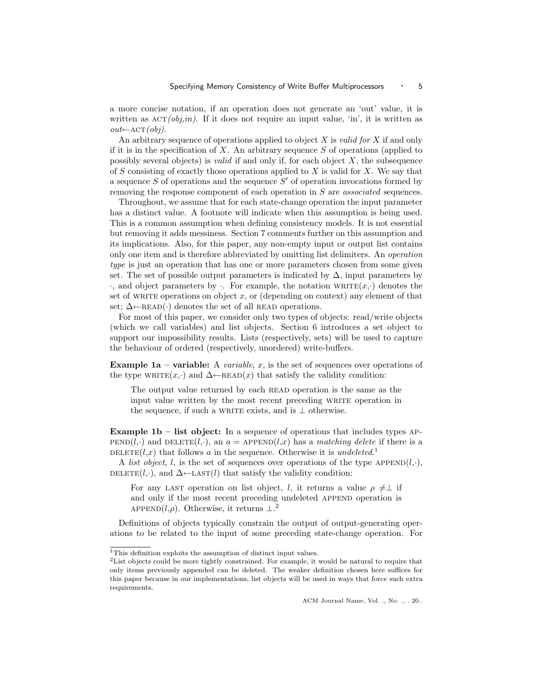a more concise notation, if an operation does not generate an 'out' value, it is written as  $\Delta \text{CT}(obj, in)$ . If it does not require an input value, 'in', it is written as  $out \leftarrow \text{ACT}(obj)$ .

An arbitrary sequence of operations applied to object  $X$  is valid for  $X$  if and only if it is in the specification of  $X$ . An arbitrary sequence  $S$  of operations (applied to possibly several objects) is *valid* if and only if, for each object  $X$ , the subsequence of S consisting of exactly those operations applied to X is valid for X. We say that a sequence  $S$  of operations and the sequence  $S'$  of operation invocations formed by removing the response component of each operation in S are *associated* sequences.

Throughout, we assume that for each state-change operation the input parameter has a distinct value. A footnote will indicate when this assumption is being used. This is a common assumption when defining consistency models. It is not essential but removing it adds messiness. Section 7 comments further on this assumption and its implications. Also, for this paper, any non-empty input or output list contains only one item and is therefore abbreviated by omitting list delimiters. An operation type is just an operation that has one or more parameters chosen from some given set. The set of possible output parameters is indicated by  $\Delta$ , input parameters by  $\cdot$ , and object parameters by  $\cdot$ . For example, the notation write  $(x, \cdot)$  denotes the set of WRITE operations on object  $x$ , or (depending on context) any element of that set;  $\Delta \leftarrow$ READ(·) denotes the set of all READ operations.

For most of this paper, we consider only two types of objects: read/write objects (which we call variables) and list objects. Section 6 introduces a set object to support our impossibility results. Lists (respectively, sets) will be used to capture the behaviour of ordered (respectively, unordered) write-buffers.

**Example 1a** – variable: A *variable*, x, is the set of sequences over operations of the type  $\text{WRITE}(x, \cdot)$  and  $\Delta \leftarrow \text{READ}(x)$  that satisfy the validity condition:

The output value returned by each READ operation is the same as the input value written by the most recent preceding WRITE operation in the sequence, if such a WRITE exists, and is  $\perp$  otherwise.

Example 1b – list object: In a sequence of operations that includes types ap- $PEND(l,\cdot)$  and  $DELETE(l,\cdot)$ , an  $a = APPEND(l,x)$  has a matching delete if there is a DELETE $(l,x)$  that follows a in the sequence. Otherwise it is undeleted.<sup>1</sup>

A list object, l, is the set of sequences over operations of the type  $APPEND(l,\cdot),$ DELETE(l,·), and  $\Delta \leftarrow$ LAST(l) that satisfy the validity condition:

For any LAST operation on list object, l, it returns a value  $\rho \neq \perp$  if and only if the most recent preceding undeleted APPEND operation is APPEND( $l,\rho$ ). Otherwise, it returns  $\perp$ .<sup>2</sup>

Definitions of objects typically constrain the output of output-generating operations to be related to the input of some preceding state-change operation. For

<sup>&</sup>lt;sup>1</sup>This definition exploits the assumption of distinct input values.

<sup>&</sup>lt;sup>2</sup>List objects could be more tightly constrained. For example, it would be natural to require that only items previously appended can be deleted. The weaker definition chosen here suffices for this paper because in our implementations, list objects will be used in ways that force such extra requirements.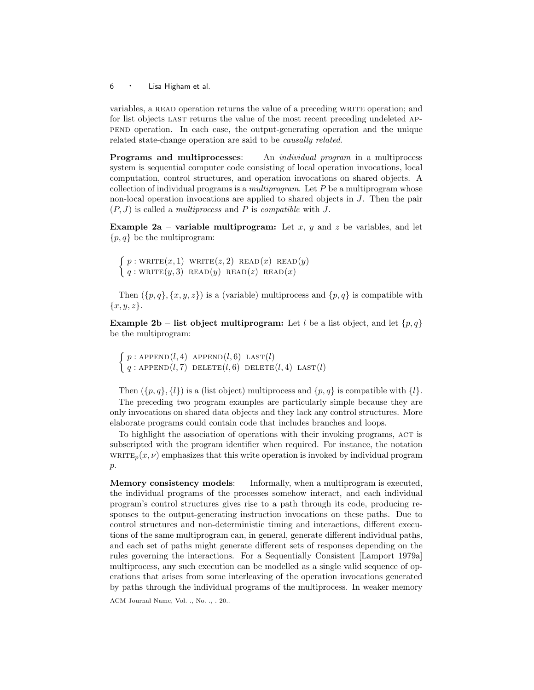variables, a READ operation returns the value of a preceding WRITE operation; and for list objects LAST returns the value of the most recent preceding undeleted APpend operation. In each case, the output-generating operation and the unique related state-change operation are said to be causally related.

Programs and multiprocesses: An individual program in a multiprocess system is sequential computer code consisting of local operation invocations, local computation, control structures, and operation invocations on shared objects. A collection of individual programs is a *multiprogram*. Let  $P$  be a multiprogram whose non-local operation invocations are applied to shared objects in J. Then the pair  $(P, J)$  is called a *multiprocess* and P is *compatible* with J.

**Example 2a – variable multiprogram:** Let x, y and z be variables, and let  $\{p, q\}$  be the multiprogram:

 $\int p: \text{WRITE}(x, 1) \text{ WRITE}(z, 2) \text{ READ}(x) \text{ READ}(y)$  $q: \text{WRITE}(y, 3)$  read $(y)$  read $(z)$  read $(x)$ 

Then  $({p,q}, {x,y,z})$  is a (variable) multiprocess and  ${p,q}$  is compatible with  ${x, y, z}.$ 

**Example 2b – list object multiprogram:** Let l be a list object, and let  $\{p,q\}$ be the multiprogram:

 $\int p : \text{APPEND}(l, 4) \text{ APPEND}(l, 6) \text{ LAST}(l)$  $q :$  APPEND $(l, 7)$  DELETE $(l, 6)$  DELETE $(l, 4)$  LAST $(l)$ 

Then  $({p, q}, {l})$  is a (list object) multiprocess and  ${p, q}$  is compatible with  ${l}$ . The preceding two program examples are particularly simple because they are only invocations on shared data objects and they lack any control structures. More elaborate programs could contain code that includes branches and loops.

To highlight the association of operations with their invoking programs, act is subscripted with the program identifier when required. For instance, the notation  $\text{wRITE}_p(x, \nu)$  emphasizes that this write operation is invoked by individual program  $p$ .

Memory consistency models: Informally, when a multiprogram is executed, the individual programs of the processes somehow interact, and each individual program's control structures gives rise to a path through its code, producing responses to the output-generating instruction invocations on these paths. Due to control structures and non-deterministic timing and interactions, different executions of the same multiprogram can, in general, generate different individual paths, and each set of paths might generate different sets of responses depending on the rules governing the interactions. For a Sequentially Consistent [Lamport 1979a] multiprocess, any such execution can be modelled as a single valid sequence of operations that arises from some interleaving of the operation invocations generated by paths through the individual programs of the multiprocess. In weaker memory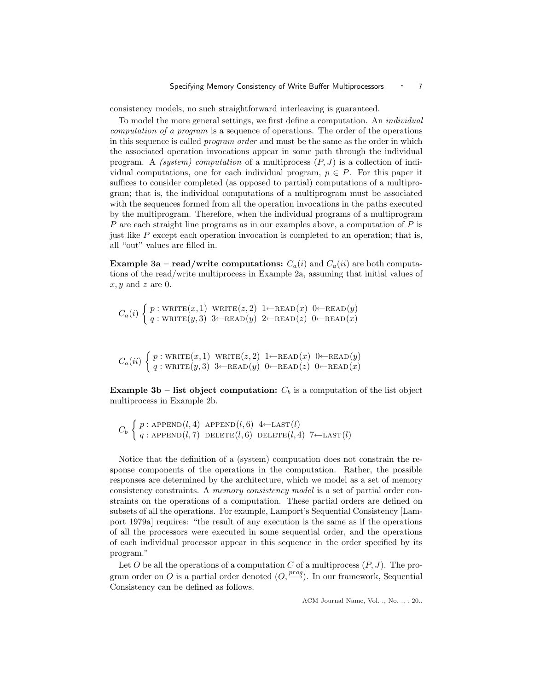consistency models, no such straightforward interleaving is guaranteed.

To model the more general settings, we first define a computation. An individual computation of a program is a sequence of operations. The order of the operations in this sequence is called program order and must be the same as the order in which the associated operation invocations appear in some path through the individual program. A (system) computation of a multiprocess  $(P, J)$  is a collection of individual computations, one for each individual program,  $p \in P$ . For this paper it suffices to consider completed (as opposed to partial) computations of a multiprogram; that is, the individual computations of a multiprogram must be associated with the sequences formed from all the operation invocations in the paths executed by the multiprogram. Therefore, when the individual programs of a multiprogram  $P$  are each straight line programs as in our examples above, a computation of  $P$  is just like  $P$  except each operation invocation is completed to an operation; that is, all "out" values are filled in.

**Example 3a** – read/write computations:  $C_a(i)$  and  $C_a(ii)$  are both computations of the read/write multiprocess in Example 2a, assuming that initial values of  $x, y$  and z are 0.

$$
C_a(i) \left\{ \begin{matrix} p: \text{WRITE}(x,1) & \text{WRITE}(z,2) & 1 \leftarrow \text{READ}(x) & 0 \leftarrow \text{READ}(y) \\ q: \text{WRITE}(y,3) & 3 \leftarrow \text{READ}(y) & 2 \leftarrow \text{READ}(z) & 0 \leftarrow \text{READ}(x) \end{matrix} \right) \right\}
$$

$$
C_a(ii) \left\{ \begin{array}{l} p: \mathrm{WRITE}(x,1) \ \mathrm{WRITE}(z,2) \ 1 \leftarrow \mathrm{READ}(x) \ 0 \leftarrow \mathrm{READ}(y) \\ q: \mathrm{WRITE}(y,3) \ 3 \leftarrow \mathrm{READ}(y) \ 0 \leftarrow \mathrm{READ}(z) \ 0 \leftarrow \mathrm{READ}(x) \end{array} \right. \right.
$$

**Example 3b – list object computation:**  $C_b$  is a computation of the list object multiprocess in Example 2b.

$$
C_b \begin{cases} p : \text{APPEND}(l, 4) & \text{APPEND}(l, 6) \quad 4 \leftarrow \text{LAST}(l) \\ q : \text{APPEND}(l, 7) & \text{DELETE}(l, 6) \quad \text{DELETE}(l, 4) \quad 7 \leftarrow \text{LAST}(l) \end{cases}
$$

Notice that the definition of a (system) computation does not constrain the response components of the operations in the computation. Rather, the possible responses are determined by the architecture, which we model as a set of memory consistency constraints. A memory consistency model is a set of partial order constraints on the operations of a computation. These partial orders are defined on subsets of all the operations. For example, Lamport's Sequential Consistency [Lamport 1979a] requires: "the result of any execution is the same as if the operations of all the processors were executed in some sequential order, and the operations of each individual processor appear in this sequence in the order specified by its program."

Let O be all the operations of a computation C of a multiprocess  $(P, J)$ . The program order on O is a partial order denoted  $(O, \stackrel{prog}{\longrightarrow})$ . In our framework, Sequential Consistency can be defined as follows.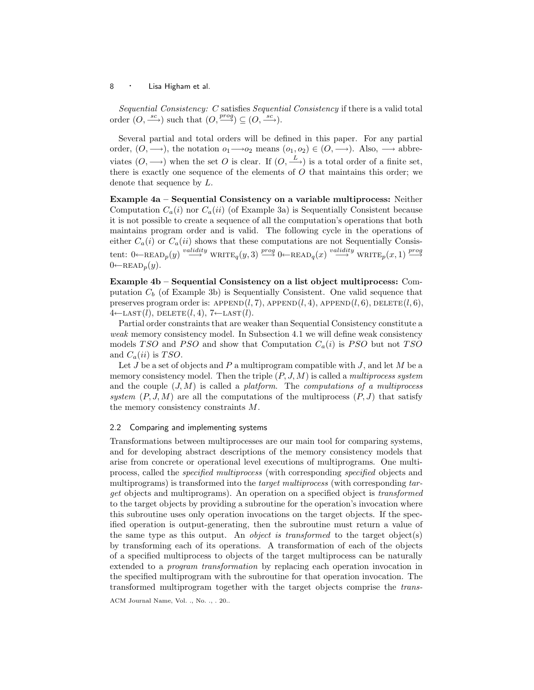Sequential Consistency: C satisfies Sequential Consistency if there is a valid total order  $(O, \xrightarrow{sc} )$  such that  $(O, \xrightarrow{prog} ) \subseteq (O, \xrightarrow{sc} ).$ 

Several partial and total orders will be defined in this paper. For any partial order,  $(O, \longrightarrow)$ , the notation  $o_1 \longrightarrow o_2$  means  $(o_1, o_2) \in (O, \longrightarrow)$ . Also,  $\longrightarrow$  abbreviates  $(O, \longrightarrow)$  when the set O is clear. If  $(O, \longrightarrow)$  is a total order of a finite set, there is exactly one sequence of the elements of  $\overline{O}$  that maintains this order; we denote that sequence by L.

Example 4a – Sequential Consistency on a variable multiprocess: Neither Computation  $C_a(i)$  nor  $C_a(ii)$  (of Example 3a) is Sequentially Consistent because it is not possible to create a sequence of all the computation's operations that both maintains program order and is valid. The following cycle in the operations of either  $C_a(i)$  or  $C_a(ii)$  shows that these computations are not Sequentially Consistent:  $0 \leftarrow \text{READ}_p(y) \stackrel{validity}{\longrightarrow} \text{WRITE}_q(y, 3) \stackrel{prog}{\longrightarrow} 0 \leftarrow \text{READ}_q(x) \stackrel{validity}{\longrightarrow} \text{WRITE}_p(x, 1) \stackrel{prog}{\longrightarrow}$  $0 \leftarrow \text{READ}_{p}(y).$ 

Example 4b – Sequential Consistency on a list object multiprocess: Computation  $C_b$  (of Example 3b) is Sequentially Consistent. One valid sequence that preserves program order is:  $APPEND(l, 7)$ ,  $APPEND(l, 4)$ ,  $APPEND(l, 6)$ ,  $DELETE(l, 6)$ ,  $4 \leftarrow$ LAST $(l)$ , DELETE $(l, 4)$ , 7 $\leftarrow$ LAST $(l)$ .

Partial order constraints that are weaker than Sequential Consistency constitute a weak memory consistency model. In Subsection 4.1 we will define weak consistency models TSO and PSO and show that Computation  $C_a(i)$  is PSO but not TSO and  $C_a(ii)$  is TSO.

Let J be a set of objects and P a multiprogram compatible with J, and let M be a memory consistency model. Then the triple  $(P, J, M)$  is called a multiprocess system and the couple  $(J, M)$  is called a *platform*. The *computations of a multiprocess* system  $(P, J, M)$  are all the computations of the multiprocess  $(P, J)$  that satisfy the memory consistency constraints M.

#### 2.2 Comparing and implementing systems

Transformations between multiprocesses are our main tool for comparing systems, and for developing abstract descriptions of the memory consistency models that arise from concrete or operational level executions of multiprograms. One multiprocess, called the specified multiprocess (with corresponding specified objects and multiprograms) is transformed into the *target multiprocess* (with corresponding *tar*get objects and multiprograms). An operation on a specified object is transformed to the target objects by providing a subroutine for the operation's invocation where this subroutine uses only operation invocations on the target objects. If the specified operation is output-generating, then the subroutine must return a value of the same type as this output. An *object is transformed* to the target object(s) by transforming each of its operations. A transformation of each of the objects of a specified multiprocess to objects of the target multiprocess can be naturally extended to a program transformation by replacing each operation invocation in the specified multiprogram with the subroutine for that operation invocation. The transformed multiprogram together with the target objects comprise the trans-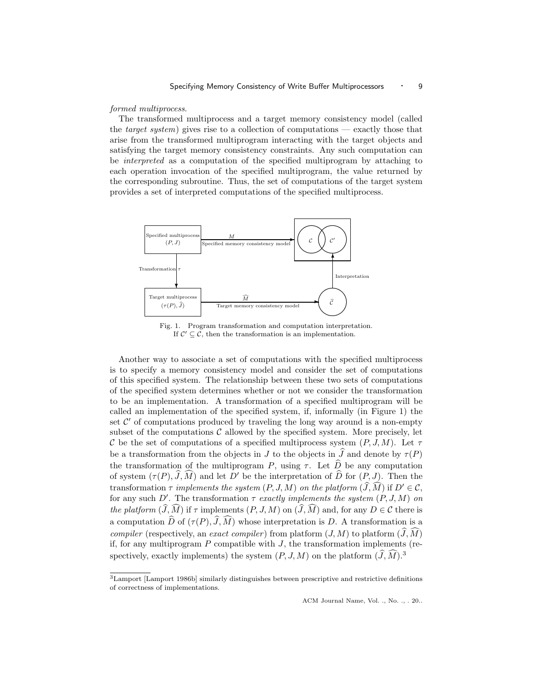#### formed multiprocess.

The transformed multiprocess and a target memory consistency model (called the *target system*) gives rise to a collection of computations — exactly those that arise from the transformed multiprogram interacting with the target objects and satisfying the target memory consistency constraints. Any such computation can be interpreted as a computation of the specified multiprogram by attaching to each operation invocation of the specified multiprogram, the value returned by the corresponding subroutine. Thus, the set of computations of the target system provides a set of interpreted computations of the specified multiprocess.



Fig. 1. Program transformation and computation interpretation. If  $\mathcal{C}' \subseteq \mathcal{C}$ , then the transformation is an implementation.

Another way to associate a set of computations with the specified multiprocess is to specify a memory consistency model and consider the set of computations of this specified system. The relationship between these two sets of computations of the specified system determines whether or not we consider the transformation to be an implementation. A transformation of a specified multiprogram will be called an implementation of the specified system, if, informally (in Figure 1) the set  $\mathcal{C}'$  of computations produced by traveling the long way around is a non-empty subset of the computations  $\mathcal C$  allowed by the specified system. More precisely, let C be the set of computations of a specified multiprocess system  $(P, J, M)$ . Let  $\tau$ be a transformation from the objects in J to the objects in  $\hat{J}$  and denote by  $\tau(P)$ the transformation of the multiprogram P, using  $\tau$ . Let  $\widehat{D}$  be any computation of system  $(\tau(P), \tilde{J}, \tilde{M})$  and let D' be the interpretation of  $\tilde{D}$  for  $(P, J)$ . Then the transformation  $\tau$  implements the system  $(P, J, M)$  on the platform  $(\tilde{J}, \tilde{M})$  if  $D' \in \mathcal{C}$ , for any such D'. The transformation  $\tau$  exactly implements the system  $(P, J, M)$  on the platform  $(\widehat{J}, \widehat{M})$  if  $\tau$  implements  $(P, J, M)$  on  $(\widehat{J}, \widehat{M})$  and, for any  $D \in \mathcal{C}$  there is a computation  $\widehat{D}$  of  $(\tau (P), \widehat{J}, \widehat{M})$  whose interpretation is D. A transformation is a compiler (respectively, an exact compiler) from platform  $(J, M)$  to platform  $(\tilde{J}, \tilde{M})$ if, for any multiprogram  $P$  compatible with  $J$ , the transformation implements (respectively, exactly implements) the system  $(P, J, M)$  on the platform  $(\widehat{J}, \widehat{M})$ .<sup>3</sup>

<sup>3</sup>Lamport [Lamport 1986b] similarly distinguishes between prescriptive and restrictive definitions of correctness of implementations.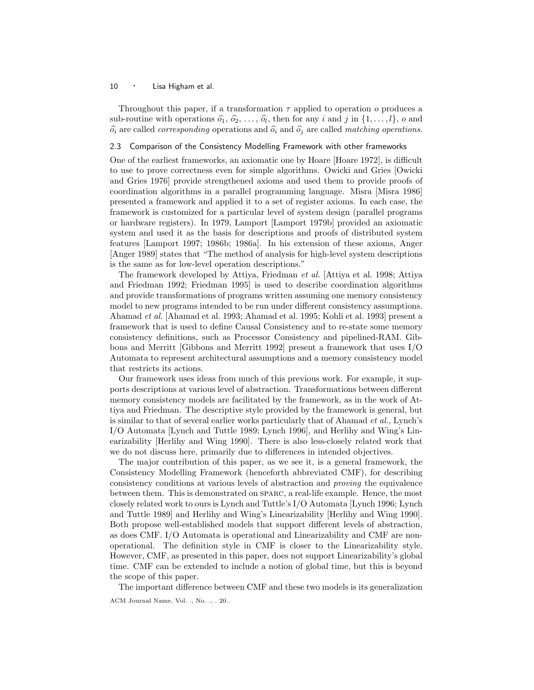Throughout this paper, if a transformation  $\tau$  applied to operation  $\rho$  produces a sub-routine with operations  $\hat{o}_1, \hat{o}_2, \ldots, \hat{o}_l$ , then for any i and j in  $\{1, \ldots, l\}$ , o and  $\hat{o}_l$  are called *generations* operations on  $\hat{o}_l$  and  $\hat{o}_l$  are called *matching operations*.  $\widehat{o}_i$  are called *corresponding* operations and  $\widehat{o}_i$  and  $\widehat{o}_j$  are called *matching operations*.

# 2.3 Comparison of the Consistency Modelling Framework with other frameworks

One of the earliest frameworks, an axiomatic one by Hoare [Hoare 1972], is difficult to use to prove correctness even for simple algorithms. Owicki and Gries [Owicki and Gries 1976] provide strengthened axioms and used them to provide proofs of coordination algorithms in a parallel programming language. Misra [Misra 1986] presented a framework and applied it to a set of register axioms. In each case, the framework is customized for a particular level of system design (parallel programs or hardware registers). In 1979, Lamport [Lamport 1979b] provided an axiomatic system and used it as the basis for descriptions and proofs of distributed system features [Lamport 1997; 1986b; 1986a]. In his extension of these axioms, Anger [Anger 1989] states that "The method of analysis for high-level system descriptions is the same as for low-level operation descriptions."

The framework developed by Attiya, Friedman et al. [Attiya et al. 1998; Attiya and Friedman 1992; Friedman 1995] is used to describe coordination algorithms and provide transformations of programs written assuming one memory consistency model to new programs intended to be run under different consistency assumptions. Ahamad et al. [Ahamad et al. 1993; Ahamad et al. 1995; Kohli et al. 1993] present a framework that is used to define Causal Consistency and to re-state some memory consistency definitions, such as Processor Consistency and pipelined-RAM. Gibbons and Merritt [Gibbons and Merritt 1992] present a framework that uses I/O Automata to represent architectural assumptions and a memory consistency model that restricts its actions.

Our framework uses ideas from much of this previous work. For example, it supports descriptions at various level of abstraction. Transformations between different memory consistency models are facilitated by the framework, as in the work of Attiya and Friedman. The descriptive style provided by the framework is general, but is similar to that of several earlier works particularly that of Ahamad *et al.*, Lynch's I/O Automata [Lynch and Tuttle 1989; Lynch 1996], and Herlihy and Wing's Linearizability [Herlihy and Wing 1990]. There is also less-closely related work that we do not discuss here, primarily due to differences in intended objectives.

The major contribution of this paper, as we see it, is a general framework, the Consistency Modelling Framework (henceforth abbreviated CMF), for describing consistency conditions at various levels of abstraction and proving the equivalence between them. This is demonstrated on sparc, a real-life example. Hence, the most closely related work to ours is Lynch and Tuttle's I/O Automata [Lynch 1996; Lynch and Tuttle 1989] and Herlihy and Wing's Linearizability [Herlihy and Wing 1990]. Both propose well-established models that support different levels of abstraction, as does CMF. I/O Automata is operational and Linearizability and CMF are nonoperational. The definition style in CMF is closer to the Linearizability style. However, CMF, as presented in this paper, does not support Linearizability's global time. CMF can be extended to include a notion of global time, but this is beyond the scope of this paper.

The important difference between CMF and these two models is its generalization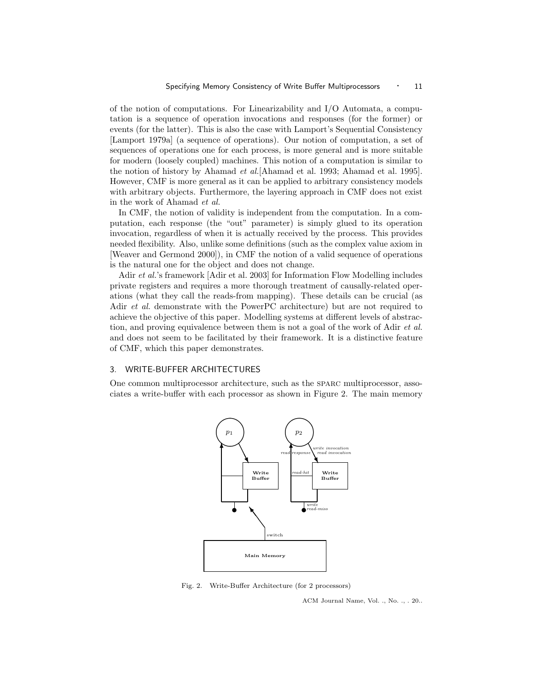of the notion of computations. For Linearizability and I/O Automata, a computation is a sequence of operation invocations and responses (for the former) or events (for the latter). This is also the case with Lamport's Sequential Consistency [Lamport 1979a] (a sequence of operations). Our notion of computation, a set of sequences of operations one for each process, is more general and is more suitable for modern (loosely coupled) machines. This notion of a computation is similar to the notion of history by Ahamad et al. [Ahamad et al. 1993; Ahamad et al. 1995]. However, CMF is more general as it can be applied to arbitrary consistency models with arbitrary objects. Furthermore, the layering approach in CMF does not exist in the work of Ahamad et al.

In CMF, the notion of validity is independent from the computation. In a computation, each response (the "out" parameter) is simply glued to its operation invocation, regardless of when it is actually received by the process. This provides needed flexibility. Also, unlike some definitions (such as the complex value axiom in [Weaver and Germond 2000]), in CMF the notion of a valid sequence of operations is the natural one for the object and does not change.

Adir et al.'s framework [Adir et al. 2003] for Information Flow Modelling includes private registers and requires a more thorough treatment of causally-related operations (what they call the reads-from mapping). These details can be crucial (as Adir et al. demonstrate with the PowerPC architecture) but are not required to achieve the objective of this paper. Modelling systems at different levels of abstraction, and proving equivalence between them is not a goal of the work of Adir et al. and does not seem to be facilitated by their framework. It is a distinctive feature of CMF, which this paper demonstrates.

# 3. WRITE-BUFFER ARCHITECTURES

One common multiprocessor architecture, such as the sparc multiprocessor, associates a write-buffer with each processor as shown in Figure 2. The main memory



Fig. 2. Write-Buffer Architecture (for 2 processors)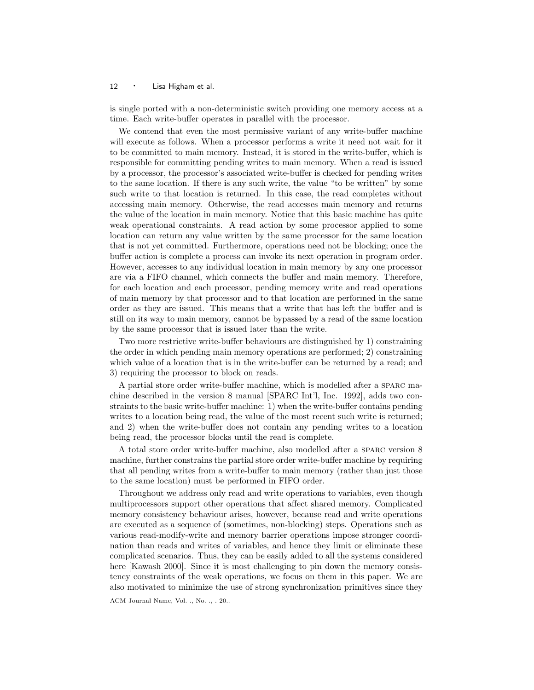is single ported with a non-deterministic switch providing one memory access at a time. Each write-buffer operates in parallel with the processor.

We contend that even the most permissive variant of any write-buffer machine will execute as follows. When a processor performs a write it need not wait for it to be committed to main memory. Instead, it is stored in the write-buffer, which is responsible for committing pending writes to main memory. When a read is issued by a processor, the processor's associated write-buffer is checked for pending writes to the same location. If there is any such write, the value "to be written" by some such write to that location is returned. In this case, the read completes without accessing main memory. Otherwise, the read accesses main memory and returns the value of the location in main memory. Notice that this basic machine has quite weak operational constraints. A read action by some processor applied to some location can return any value written by the same processor for the same location that is not yet committed. Furthermore, operations need not be blocking; once the buffer action is complete a process can invoke its next operation in program order. However, accesses to any individual location in main memory by any one processor are via a FIFO channel, which connects the buffer and main memory. Therefore, for each location and each processor, pending memory write and read operations of main memory by that processor and to that location are performed in the same order as they are issued. This means that a write that has left the buffer and is still on its way to main memory, cannot be bypassed by a read of the same location by the same processor that is issued later than the write.

Two more restrictive write-buffer behaviours are distinguished by 1) constraining the order in which pending main memory operations are performed; 2) constraining which value of a location that is in the write-buffer can be returned by a read; and 3) requiring the processor to block on reads.

A partial store order write-buffer machine, which is modelled after a sparc machine described in the version 8 manual [SPARC Int'l, Inc. 1992], adds two constraints to the basic write-buffer machine: 1) when the write-buffer contains pending writes to a location being read, the value of the most recent such write is returned; and 2) when the write-buffer does not contain any pending writes to a location being read, the processor blocks until the read is complete.

A total store order write-buffer machine, also modelled after a sparc version 8 machine, further constrains the partial store order write-buffer machine by requiring that all pending writes from a write-buffer to main memory (rather than just those to the same location) must be performed in FIFO order.

Throughout we address only read and write operations to variables, even though multiprocessors support other operations that affect shared memory. Complicated memory consistency behaviour arises, however, because read and write operations are executed as a sequence of (sometimes, non-blocking) steps. Operations such as various read-modify-write and memory barrier operations impose stronger coordination than reads and writes of variables, and hence they limit or eliminate these complicated scenarios. Thus, they can be easily added to all the systems considered here [Kawash 2000]. Since it is most challenging to pin down the memory consistency constraints of the weak operations, we focus on them in this paper. We are also motivated to minimize the use of strong synchronization primitives since they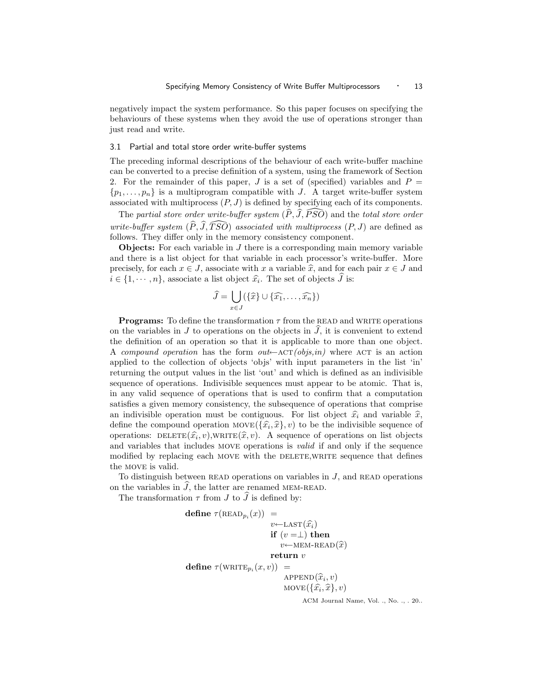negatively impact the system performance. So this paper focuses on specifying the behaviours of these systems when they avoid the use of operations stronger than just read and write.

## 3.1 Partial and total store order write-buffer systems

The preceding informal descriptions of the behaviour of each write-buffer machine can be converted to a precise definition of a system, using the framework of Section 2. For the remainder of this paper,  $J$  is a set of (specified) variables and  $P =$  $\{p_1, \ldots, p_n\}$  is a multiprogram compatible with J. A target write-buffer system associated with multiprocess  $(P, J)$  is defined by specifying each of its components.

The partial store order write-buffer system  $(\widehat{P}, \widehat{J}, \widehat{PSO})$  and the total store order write-buffer system  $(\widehat{P}, \widehat{J}, \widehat{T} S\widehat{O})$  associated with multiprocess  $(P, J)$  are defined as follows. They differ only in the memory consistency component.

**Objects:** For each variable in  $J$  there is a corresponding main memory variable and there is a list object for that variable in each processor's write-buffer. More precisely, for each  $x \in J$ , associate with x a variable  $\hat{x}$ , and for each pair  $x \in J$  and  $i \in \{1, \dots, n\}$ , associate a list object  $\hat{x_i}$ . The set of objects J is:

$$
\widehat{J} = \bigcup_{x \in J} (\{\widehat{x}\} \cup \{\widehat{x_1}, \dots, \widehat{x_n}\})
$$

**Programs:** To define the transformation  $\tau$  from the READ and WRITE operations on the variables in  $J$  to operations on the objects in  $J$ , it is convenient to extend the definition of an operation so that it is applicable to more than one object. A compound operation has the form  $out\leftarrow$ ACT $(objs,in)$  where ACT is an action applied to the collection of objects 'objs' with input parameters in the list 'in' returning the output values in the list 'out' and which is defined as an indivisible sequence of operations. Indivisible sequences must appear to be atomic. That is, in any valid sequence of operations that is used to confirm that a computation satisfies a given memory consistency, the subsequence of operations that comprise an indivisible operation must be contiguous. For list object  $\hat{x}_i$  and variable  $\hat{x}_i$ , define the compound operation  $Move(\{\hat{x}_i, \hat{x}\}, v)$  to be the indivisible sequence of concretions:  $DELEE(\hat{x}_i, v)$  where  $\hat{x}_i$  and  $A$  company of concretions on list objects operations: DELETE $(\hat{x}, v)$ , WRITE $(\hat{x}, v)$ . A sequence of operations on list objects and variables that includes move operations is valid if and only if the sequence modified by replacing each MOVE with the DELETE, WRITE sequence that defines the move is valid.

To distinguish between READ operations on variables in  $J$ , and READ operations on the variables in  $\tilde{J}$ , the latter are renamed MEM-READ.

The transformation  $\tau$  from  $J$  to  $\widehat{J}$  is defined by:

define 
$$
\tau(\text{READ}_{p_i}(x)) =
$$
  
\n
$$
\text{if } (v = \perp) \text{ then}
$$
\n
$$
v \leftarrow \text{MEM-READ}(\hat{x})
$$
\nreturn  $v$   
\ndefine  $\tau(\text{WRITE}_{p_i}(x, v)) =$   
\nAPPEND $(\hat{x}_i, v)$   
\nMOVE $(\{\hat{x}_i, \hat{x}\}, v)$   
\nACM Journal Name, Vol.., No.., . 20.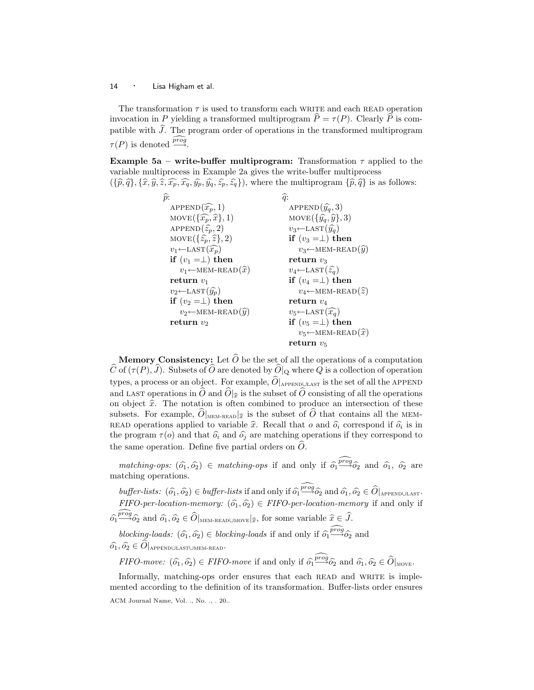The transformation  $\tau$  is used to transform each WRITE and each READ operation invocation in P yielding a transformed multiprogram  $\hat{P} = \tau(P)$ . Clearly  $\hat{P}$  is compatible with  $\hat{J}$ . The program order of operations in the transformed multiprogram  $\tau(P)$  is denoted  $\frac{prog}{\longrightarrow}$ .

Example 5a – write-buffer multiprogram: Transformation  $\tau$  applied to the variable multiprocess in Example 2a gives the write-buffer multiprocess  $({\{\hat{p}, \hat{q}\}, {\{\hat{x}, \hat{y}, \hat{z}, \widehat{x_p}, \widehat{x_q}, \widehat{y_p}, \widehat{y_q}, \widehat{z_p}, \widehat{z_q}\}})$ , where the multiprogram  ${\{\hat{p}, \widehat{q}\}}$  is as follows:

| $\widehat{p}$ :                                  | $\widehat{q}$ :                               |
|--------------------------------------------------|-----------------------------------------------|
| $APPEND(\widehat{x_p}, 1)$                       | APPEND $(\widehat{y}_q, 3)$                   |
| $\text{MOVE}(\{\widehat{x_p}, \widehat{x}\}, 1)$ | $\text{MOVE}(\{\hat{y}_a,\hat{y}\},3)$        |
| APPEND $(\widehat{z}_p, 2)$                      | $v_3 \leftarrow$ LAST $(\widehat{y}_q)$       |
| $MONE(\{\hat{z}_p, \hat{z}\}, 2)$                | if $(v_3 = \perp)$ then                       |
| $v_1 \leftarrow \text{LAST}(\widehat{x_p})$      | $v_3 \leftarrow \text{MEM-READ}(\hat{y})$     |
| if $(v_1 = \perp)$ then                          | return $v_3$                                  |
| $v_1 \leftarrow \text{MEM-READ}(\hat{x})$        | $v_4 \leftarrow$ LAST $(\widehat{z}_q)$       |
| return $v_1$                                     | if $(v_4 = \perp)$ then                       |
| $v_2 \leftarrow$ LAST $(\widehat{y_p})$          | $v_4 \leftarrow \text{MEM-READ}(\widehat{z})$ |
| if $(v_2 = \perp)$ then                          | return $v_4$                                  |
| $v_2 \leftarrow \text{MEM-READ}(\widehat{y})$    | $v_5 \leftarrow$ LAST $(\widehat{x_a})$       |
| return $v_2$                                     | if $(v_5 = \perp)$ then                       |
|                                                  | $v_5 \leftarrow \text{MEM-READ}(\hat{x})$     |
|                                                  | return $v_5$                                  |

**Memory Consistency:** Let  $\widehat{O}$  be the set of all the operations of a computation  $\widehat{C}$  of  $(\tau(P), \widehat{J})$ . Subsets of  $\widehat{O}$  are denoted by  $\widehat{O}|_Q$  where  $Q$  is a collection of operation types, a process or an object. For example,  $\hat{O}|_{\text{APPENDULAST}}$  is the set of all the APPEND and LAST operations in  $\widehat{O}$  and  $\widehat{O}|_{\widehat{x}}$  is the subset of  $\widehat{O}$  consisting of all the operations on object  $\hat{x}$ . The notation is often combined to produce an intersection of these subsets. For example,  $\hat{O}_{|\text{MEM-READ}|\hat{x}}$  is the subset of  $\hat{O}$  that contains all the mem-READ operations applied to variable  $\hat{x}$ . Recall that  $o$  and  $\hat{o}_i$  correspond if  $\hat{o}_i$  is in the program  $\tau(o)$  and that  $\hat{o}_i$  and  $\hat{o}_j$  are matching operations if they correspond to the same operation. Define five partial orders on  $\hat{O}$ .

matching-ops:  $(\hat{o}_1, \hat{o}_2) \in \text{matching-ops}$  if and only if  $\hat{o}_1 \stackrel{\text{prog}}{\longrightarrow} \hat{o}_2$  and  $\hat{o}_1$ ,  $\hat{o}_2$  are matching operations.

buffer-lists:  $(\widehat{o}_1, \widehat{o}_2) \in \text{buffer-lists}$  if and only if  $\widehat{o}_1^{\text{prog}} \widehat{o}_2$  and  $\widehat{o}_1, \widehat{o}_2 \in \widehat{O}|_{\text{APPENDULAST}}$ FIFO-per-location-memory:  $(\widehat{o}_1, \widehat{o}_2) \in FIFO$ -per-location-memory if and only if

 $\widehat{o_1} \overrightarrow{prog}$  $FIFO-per-location-memory: (\dot{o}_1, \dot{o}_2) \in FIFO-per-location-mean$ <br>  $\widehat{proj}$  $\widehat{o}_2$  and  $\widehat{o}_1, \widehat{o}_2 \in \widehat{O}|_{MEM-READUMove}|_{\widehat{x}},$  for some variable  $\widehat{x} \in \widehat{J}$ .

blocking-loads:  $(\widehat{o}_1, \widehat{o}_2) \in \text{blocking-}$  loads if and only if  $\widehat{o}_1 \stackrel{proj}{\longrightarrow} \widehat{o}_2$  and  $\widehat{o}_1, \widehat{o}_2 \in \widehat{O}|_{\text{APPENDULASTUMEM-READ}}.$ 

*FIFO-move:*  $(\hat{o}_1, \hat{o}_2) \in FIFO\text{-}move$  if and only if  $\hat{o}_1 \stackrel{prog}{\longrightarrow} \hat{o}_2$  and  $\hat{o}_1, \hat{o}_2 \in \hat{O}|_{\text{move}}$ .

Informally, matching-ops order ensures that each READ and WRITE is implemented according to the definition of its transformation. Buffer-lists order ensures ACM Journal Name, Vol. ., No. ., . 20..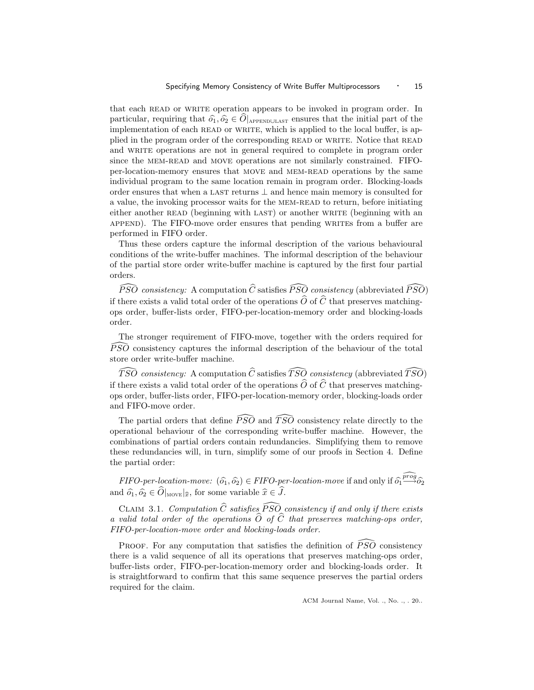that each READ or WRITE operation appears to be invoked in program order. In particular, requiring that  $\hat{o}_1, \hat{o}_2 \in \hat{O}|_{\text{APPENDULAST}}$  ensures that the initial part of the implementation of each READ or WRITE, which is applied to the local buffer, is applied in the program order of the corresponding READ or WRITE. Notice that READ and WRITE operations are not in general required to complete in program order since the MEM-READ and MOVE operations are not similarly constrained. FIFOper-location-memory ensures that move and mem-read operations by the same individual program to the same location remain in program order. Blocking-loads order ensures that when a last returns ⊥ and hence main memory is consulted for a value, the invoking processor waits for the mem-read to return, before initiating either another READ (beginning with LAST) or another WRITE (beginning with an APPEND). The FIFO-move order ensures that pending WRITES from a buffer are performed in FIFO order.

Thus these orders capture the informal description of the various behavioural conditions of the write-buffer machines. The informal description of the behaviour of the partial store order write-buffer machine is captured by the first four partial orders.

 $\widehat{PSO}$  consistency: A computation  $\widehat{C}$  satisfies  $\widehat{PSO}$  consistency (abbreviated  $\widehat{PSO}$ ) if there exists a valid total order of the operations  $\widehat{O}$  of  $\widehat{C}$  that preserves matchingops order, buffer-lists order, FIFO-per-location-memory order and blocking-loads order.

The stronger requirement of FIFO-move, together with the orders required for  $\overline{P}S\overline{O}$  consistency captures the informal description of the behaviour of the total store order write-buffer machine.

 $\widehat{TSO}$  consistency: A computation  $\widehat{C}$  satisfies  $\widehat{TSO}$  consistency (abbreviated  $\widehat{TSO}$ ) if there exists a valid total order of the operations  $\widehat{O}$  of  $\widehat{C}$  that preserves matchingops order, buffer-lists order, FIFO-per-location-memory order, blocking-loads order and FIFO-move order.

The partial orders that define  $\widehat{PSO}$  and  $\widehat{TSO}$  consistency relate directly to the operational behaviour of the corresponding write-buffer machine. However, the combinations of partial orders contain redundancies. Simplifying them to remove these redundancies will, in turn, simplify some of our proofs in Section 4. Define the partial order:

FIFO-per-location-move:  $(\hat{o}_1, \hat{o}_2) \in FIFO$ -per-location-move if and only if  $\hat{o}_1 \stackrel{\text{proj}}{\longrightarrow} \hat{o}_2$ <br>and  $\hat{o}_1, \hat{o}_2 \in \hat{O}|_{\text{move}}|_{\hat{x}}$ , for some variable  $\hat{x} \in \hat{J}$ .

CLAIM 3.1. Computation  $\widehat{C}$  satisfies  $\widehat{PSO}$  consistency if and only if there exists a valid total order of the operations  $\widehat{O}$  of  $\widehat{C}$  that preserves matching-ops order, FIFO-per-location-move order and blocking-loads order.

PROOF. For any computation that satisfies the definition of  $\widehat{PSO}$  consistency there is a valid sequence of all its operations that preserves matching-ops order, buffer-lists order, FIFO-per-location-memory order and blocking-loads order. It is straightforward to confirm that this same sequence preserves the partial orders required for the claim.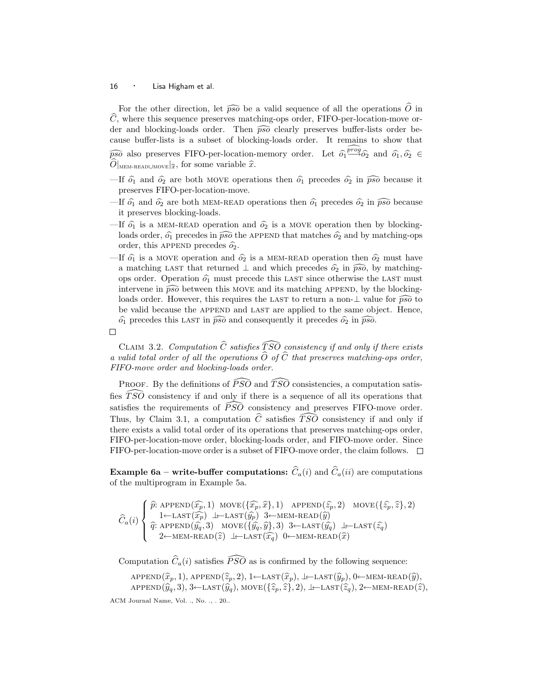For the other direction, let  $\widehat{pso}$  be a valid sequence of all the operations  $\widehat{O}$  in  $\hat{C}$ , where this sequence preserves matching-ops order, FIFO-per-location-move order and blocking-loads order. Then  $\widehat{pso}$  clearly preserves buffer-lists order because buffer-lists is a subset of blocking-loads order. It remains to show that  $\widehat{O}_{|\text{MEM-READUMOVE}}$   $\widehat{x}$ , for some variable  $\widehat{x}$ .<br>  $\widehat{O}_{|\text{MEM-READUMOVE}}|_{\widehat{x}}$ , for some variable  $\widehat{x}$ .

- —If  $\hat{o}_1$  and  $\hat{o}_2$  are both MOVE operations then  $\hat{o}_1$  precedes  $\hat{o}_2$  in  $\widehat{pso}$  because it preserves FIFO-per-location-move.
- -If  $\hat{o}_1$  and  $\hat{o}_2$  are both MEM-READ operations then  $\hat{o}_1$  precedes  $\hat{o}_2$  in  $\hat{pso}$  because it preserves blocking-loads.
- —If  $\hat{o}_1$  is a MEM-READ operation and  $\hat{o}_2$  is a MOVE operation then by blockingloads order,  $\hat{o}_1$  precedes in  $\widehat{pso}$  the APPEND that matches  $\widehat{o}_2$  and by matching-ops order, this APPEND precedes  $\widehat{\mathcal{O}}_2$ .
- —If  $\hat{o}_1$  is a MOVE operation and  $\hat{o}_2$  is a MEM-READ operation then  $\hat{o}_2$  must have a matching LAST that returned  $\perp$  and which precedes  $\widehat{o}_2$  in  $\widehat{pso}$ , by matchingops order. Operation  $\hat{o}_1$  must precede this LAST since otherwise the LAST must intervene in  $\widehat{pso}$  between this MOVE and its matching APPEND, by the blockingloads order. However, this requires the LAST to return a non- $\perp$  value for  $\widehat{pso}$  to be valid because the append and last are applied to the same object. Hence,  $\widehat{o}_1$  precedes this LAST in  $\widehat{pos}$  and consequently it precedes  $\widehat{o}_2$  in  $\widehat{pos}$ .
- $\Box$

CLAIM 3.2. Computation  $\widehat{C}$  satisfies  $\widehat{TSO}$  consistency if and only if there exists a valid total order of all the operations  $\widehat{O}$  of  $\widehat{C}$  that preserves matching-ops order, FIFO-move order and blocking-loads order.

PROOF. By the definitions of  $\widehat{PSO}$  and  $\widehat{TSO}$  consistencies, a computation satisfies  $\widehat{TSO}$  consistency if and only if there is a sequence of all its operations that satisfies the requirements of  $\widehat{PSO}$  consistency and preserves FIFO-move order. Thus, by Claim 3.1, a computation  $\hat{C}$  satisfies  $\widehat{TSO}$  consistency if and only if there exists a valid total order of its operations that preserves matching-ops order, FIFO-per-location-move order, blocking-loads order, and FIFO-move order. Since FIFO-per-location-move order is a subset of FIFO-move order, the claim follows.  $\Box$ 

**Example 6a** – write-buffer computations:  $\hat{C}_a(i)$  and  $\hat{C}_a(ii)$  are computations of the multiprogram in Example 5a.

$$
\widehat{C}_a(i) \left\{ \begin{array}{ll} \widehat{p}: \ \operatorname{APPEND}\big(\widehat{x_p},1\big) \quad \text{MOVE}\big(\{\widehat{x_p},\widehat{x}\},1\big) & \ \operatorname{APPEND}\big(\widehat{z_p},2\big) \quad \text{MOVE}\big(\{\widehat{z_p},\widehat{x}\},2\big) \\ 1 \leftarrow \operatorname{LAST}\big(\widehat{x_p}\big) & \ \text{L}-\operatorname{LIST}\big(\widehat{y_p}\big) & \ \text{3} \leftarrow \operatorname{MEM-READ}\big(\widehat{y}\big) \\ \widehat{q}: \ \operatorname{APPEND}\big(\widehat{y_q},3\big) \quad \text{MOVE}\big(\{\widehat{y_q},\widehat{y}\},3\big) & \ \text{3} \leftarrow \operatorname{LAST}\big(\widehat{y_q}\big) & \ \text{L}-\operatorname{LIST}\big(\widehat{z_q}\big) \\ 2 \leftarrow \operatorname{MEM-READ}\big(\widehat{z}\big) & \ \text{L}-\operatorname{AST}\big(\widehat{x_q}\big) & \ \text{0} \leftarrow \operatorname{MEM-READ}\big(\widehat{x}\big) \end{array} \right.
$$

Computation  $\widehat{C}_a(i)$  satisfies  $\widehat{PSO}$  as is confirmed by the following sequence:

 $\texttt{APPEND}\big(\widehat{x}_p, 1\big) , \texttt{APPEND}\big(\widehat{z}_p, 2\big), \texttt{1}\!\!\leftarrow\!\! \texttt{LAST}\big(\widehat{x}_p\big), \texttt{1}\!\!\leftarrow\!\! \texttt{LAST}\big(\widehat{y}_p\big), \texttt{0}\!\!\leftarrow\!\! \texttt{MEM-READ}\big(\widehat{y}\big),$  $\text{APPEND}(\hat{y}_q, 3), 3 \leftarrow \text{LAST}(\hat{y}_q), \text{MOVE}({\hat{z}_p}, {\hat{z}}^1), 2), \perp \text{LAST}({\hat{z}_q}), 2 \leftarrow \text{MEM-READ}({\hat{z}}),$ ACM Journal Name, Vol. ., No. ., . 20..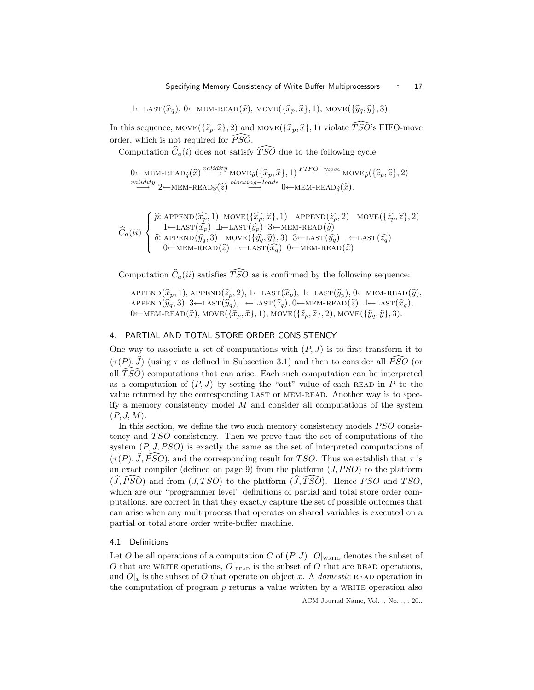$\perp$ –LAST $(\hat{x}_a)$ , 0←MEM-READ $(\hat{x})$ , MOVE({ $\hat{x}_p, \hat{x}$ }, 1), MOVE({ $\hat{y}_q, \hat{y}$ }, 3).

In this sequence, MOVE $({\{\hat{z}_p, \hat{z}\}, 2})$  and MOVE $({\{\hat{x}_p, \hat{x}\}, 1})$  violate  $\widehat{TSO}$ 's FIFO-move order, which is not required for  $\widehat{PSO}$ .

Computation  $\widehat{C}_a(i)$  does not satisfy  $\widehat{TSO}$  due to the following cycle:

$$
0 \leftarrow \text{MEM-READ}_{\widehat{q}}(\widehat{x}) \stackrel{validity}{\longrightarrow} \text{MOVE}_{\widehat{p}}(\{\widehat{x}_p, \widehat{x}\}, 1) \stackrel{FIFO-move}{\longrightarrow} \text{MOVE}_{\widehat{p}}(\{\widehat{z}_p, \widehat{z}\}, 2)
$$
  
  $\stackrel{validity}{\longrightarrow} 2 \leftarrow \text{MEM-READ}_{\widehat{q}}(\widehat{z}) \stackrel{blocking - loads}{\longrightarrow} 0 \leftarrow \text{MEM-READ}_{\widehat{q}}(\widehat{x}).$ 

$$
\widehat{C}_a(ii) \left\{ \begin{array}{ll} \widehat{p}: \text{APPEND}\big(\widehat{x_p},1\big) \text{ MOVE}\big(\{\widehat{x_p},\widehat{x}\},1\big) & \text{APPEND}\big(\widehat{z_p},2\big) \text{ MOVE}\big(\{\widehat{z_p},\widehat{z}\},2\big) \\ 1 \leftarrow \text{LAT}\big(\widehat{x_p}\big) \perp \!\!\!\!\! \leftarrow \text{LIST}\big(\widehat{y_p}\big) & \text{3} \leftarrow \text{MEM-READ}\big(\widehat{y}\big) \\ \widehat{q}: \text{APPEND}\big(\widehat{y_q},3\big) \text{ MOVE}\big(\{\widehat{y_q},\widehat{y}\},3\big) & \text{3} \leftarrow \text{LAT}\big(\widehat{y_q}\big) \perp \!\!\!\!\! \leftarrow \text{LAT}\big(\widehat{z_q}\big) \\ 0 \leftarrow \text{MEM-READ}\big(\widehat{z}\big) & \text{L-LAST}\big(\widehat{x_q}\big) & 0 \leftarrow \text{MEM-READ}\big(\widehat{x}\big) \end{array} \right.
$$

Computation  $\widehat{C}_a(ii)$  satisfies  $\widehat{TSO}$  as is confirmed by the following sequence:

 $\texttt{APPEND}(\widehat{x}_p, 1), \texttt{APPEND}(\widehat{z}_p, 2), \texttt{1}\leftarrow \texttt{LAST}(\widehat{x}_p), \texttt{1}\leftarrow \texttt{LAST}(\widehat{y}_p), \texttt{0}\leftarrow \texttt{MEM-READ}(\widehat{y}),$ APPEND $(\hat{y}_q, 3)$ , 3←LAST $(\hat{y}_q)$ , ⊥←LAST $(\hat{z}_q)$ , 0←MEM-READ $(\hat{z})$ , ⊥←LAST $(\hat{x}_q)$ , 0←MEM-READ $(\hat{z})$ , ⊥←LAST $(\hat{x}_q)$ , 0←MEM-READ( $\widehat{x}$ ), MOVE( $\{\widehat{x}_p, \widehat{x}\}, 1$ ), MOVE( $\{\widehat{z}_p, \widehat{z}\}, 2$ ), MOVE( $\{\widehat{y}_q, \widehat{y}\}, 3$ ).

# 4. PARTIAL AND TOTAL STORE ORDER CONSISTENCY

One way to associate a set of computations with  $(P, J)$  is to first transform it to  $(\tau(P), \hat{J})$  (using  $\tau$  as defined in Subsection 3.1) and then to consider all  $\widehat{PSO}$  (or all  $\widehat{TSO}$  computations that can arise. Each such computation can be interpreted as a computation of  $(P, J)$  by setting the "out" value of each READ in P to the value returned by the corresponding LAST or MEM-READ. Another way is to specify a memory consistency model  $M$  and consider all computations of the system  $(P, J, M)$ .

In this section, we define the two such memory consistency models PSO consistency and TSO consistency. Then we prove that the set of computations of the system  $(P, J, PSO)$  is exactly the same as the set of interpreted computations of  $(\tau(P), \tilde{J}, \tilde{P} S\tilde{O})$ , and the corresponding result for TSO. Thus we establish that  $\tau$  is an exact compiler (defined on page 9) from the platform  $(J, PSO)$  to the platform  $(\widehat{J}, \widehat{PSO})$  and from  $(J, TSO)$  to the platform  $(\widehat{J}, \widehat{TSO})$ . Hence PSO and TSO, which are our "programmer level" definitions of partial and total store order computations, are correct in that they exactly capture the set of possible outcomes that can arise when any multiprocess that operates on shared variables is executed on a partial or total store order write-buffer machine.

# 4.1 Definitions

Let O be all operations of a computation C of  $(P, J)$ . O write denotes the subset of O that are WRITE operations,  $O_{R\text{EAD}}$  is the subset of O that are READ operations, and  $O_x$  is the subset of O that operate on object x. A domestic READ operation in the computation of program  $p$  returns a value written by a WRITE operation also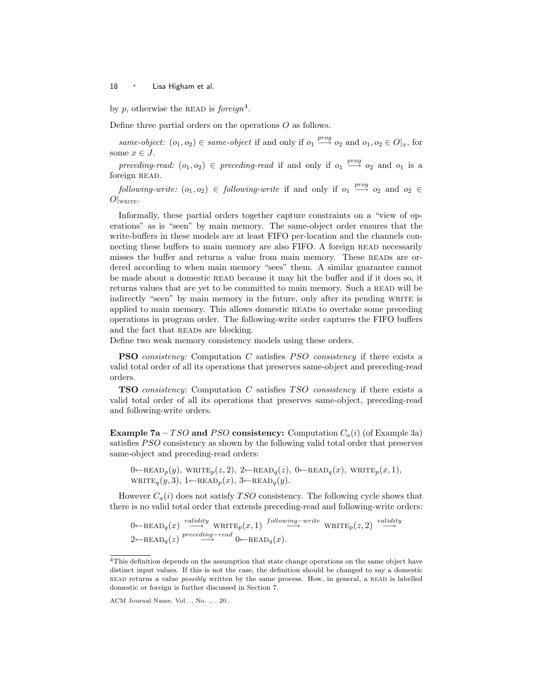by p, otherwise the READ is  $\text{foreign}^4$ .

Define three partial orders on the operations O as follows.

same-object:  $(o_1, o_2) \in same\text{-}object$  if and only if  $o_1 \stackrel{prog}{\longrightarrow} o_2$  and  $o_1, o_2 \in O|_x$ , for some  $x \in J$ .

preceding-read:  $(o_1, o_2) \in \text{preceding-read}$  if and only if  $o_1 \stackrel{\text{prog}}{\longrightarrow} o_2$  and  $o_1$  is a foreign READ.

following-write:  $(o_1, o_2) \in$  following-write if and only if  $o_1 \stackrel{prog}{\longrightarrow} o_2$  and  $o_2 \in$  $O|_{\text{WRITE}}$ .

Informally, these partial orders together capture constraints on a "view of operations" as is "seen" by main memory. The same-object order ensures that the write-buffers in these models are at least FIFO per-location and the channels connecting these buffers to main memory are also FIFO. A foreign READ necessarily misses the buffer and returns a value from main memory. These READs are ordered according to when main memory "sees" them. A similar guarantee cannot be made about a domestic read because it may hit the buffer and if it does so, it returns values that are yet to be committed to main memory. Such a READ will be indirectly "seen" by main memory in the future, only after its pending WRITE is applied to main memory. This allows domestic READs to overtake some preceding operations in program order. The following-write order captures the FIFO buffers and the fact that READs are blocking.

Define two weak memory consistency models using these orders.

**PSO** consistency: Computation C satisfies *PSO* consistency if there exists a valid total order of all its operations that preserves same-object and preceding-read orders.

**TSO** consistency: Computation C satisfies  $TSO$  consistency if there exists a valid total order of all its operations that preserves same-object, preceding-read and following-write orders.

**Example 7a** – *TSO* and *PSO* consistency: Computation  $C_a(i)$  (of Example 3a) satisfies PSO consistency as shown by the following valid total order that preserves same-object and preceding-read orders:

 $0 \leftarrow \text{READ}_p(y)$ ,  $\text{WRITE}_p(z, 2)$ ,  $2 \leftarrow \text{READ}_q(z)$ ,  $0 \leftarrow \text{READ}_q(x)$ ,  $\text{WRITE}_p(x, 1)$ , writte<sub>q</sub> $(y, 3)$ , 1←READ<sub>n</sub> $(x)$ , 3←READ<sub>q</sub> $(y)$ .

However  $C_a(i)$  does not satisfy TSO consistency. The following cycle shows that there is no valid total order that extends preceding-read and following-write orders:

$$
0 \leftarrow \text{READ}_q(x) \xrightarrow{validity} \text{WRITE}_p(x, 1) \xrightarrow{following-write} \text{WRITE}_p(z, 2) \xrightarrow{validity} 2 \leftarrow \text{READ}_q(z) \xrightarrow{preceding - read} 0 \leftarrow \text{READ}_q(x).
$$

<sup>&</sup>lt;sup>4</sup>This definition depends on the assumption that state change operations on the same object have distinct input values. If this is not the case, the definition should be changed to say a domestic READ returns a value *possibly* written by the same process. How, in general, a READ is labelled domestic or foreign is further discussed in Section 7.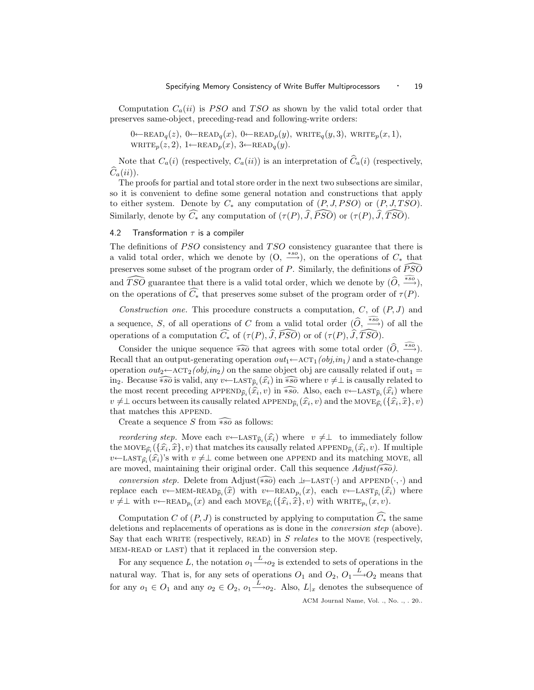Computation  $C_a(ii)$  is PSO and TSO as shown by the valid total order that preserves same-object, preceding-read and following-write orders:

 $0 \leftarrow \text{READ}_q(z), 0 \leftarrow \text{READ}_q(x), 0 \leftarrow \text{READ}_p(y), \text{ WRITE}_q(y, 3), \text{ WRITE}_p(x, 1),$  $\text{WRITE}_p(z, 2), \, 1 \leftarrow \text{READ}_p(z), \, 3 \leftarrow \text{READ}_q(y).$ 

Note that  $C_a(i)$  (respectively,  $C_a(ii)$ ) is an interpretation of  $\hat{C}_a(i)$  (respectively,  $\widehat{C}_a(ii)$ .

The proofs for partial and total store order in the next two subsections are similar, so it is convenient to define some general notation and constructions that apply to either system. Denote by  $C_*$  any computation of  $(P, J, PSO)$  or  $(P, J, TSO)$ . Similarly, denote by  $\widehat{C_*}$  any computation of  $(\tau(P), \widehat{J}, \widehat{PSO})$  or  $(\tau(P), \widehat{J}, \widehat{TSO})$ .

# 4.2 Transformation  $\tau$  is a compiler

The definitions of  $PSO$  consistency and  $TSO$  consistency guarantee that there is a valid total order, which we denote by  $(O, \stackrel{*so}{\longrightarrow})$ , on the operations of  $C_*$  that preserves some subset of the program order of P. Similarly, the definitions of  $\widehat{PSO}$ preserves some subset of the program order of P. Similarly, the definitions of  $\widetilde{PSO}$  and  $\widetilde{TSO}$  guarantee that there is a valid total order, which we denote by  $(\widehat{O}, \frac{\widehat{*so}}{\widehat{O}})$ , on the operations of  $\widehat{C_*}$  that preserves some subset of the program order of  $\tau(P)$ .

Construction one. This procedure constructs a computation,  $C$ , of  $(P, J)$  and Construction one. This procedure constructs a computation, C, of  $(P, J)$  and<br>a sequence, S, of all operations of C from a valid total order  $(\widehat{O}, \frac{\widehat{*so}}{\cdots})$  of all the operations of a computation  $\widehat{C_*}$  of  $(\tau(P), \widehat{J}, \widehat{PSO})$  or of  $(\tau(P), \widehat{J}, \widehat{TSO})$ .

consider the unique sequence ∗so that agrees with some total order  $(\hat{O}, \frac{\hat{*}s\hat{o}}{s})$ .<br>Consider the unique sequence \*so that agrees with some total order  $(\hat{O}, \frac{\hat{*}s\hat{o}}{s})$ . Recall that an output-generating operation  $out_1 \leftarrow \text{ACT}_1(obj,in_1)$  and a state-change operation  $out_2 \leftarrow \text{ACT}_2(obj, in_2)$  on the same object obj are causally related if out<sub>1</sub> = operation  $out_2 \leftarrow \text{ACT}_2(obj, in_2)$  on the same object obj are causally related if out<sub>1</sub> = <br>in<sub>2</sub>. Because  $\widehat{*so}$  is valid, any  $v \leftarrow \text{LAST}_{\widehat{p}_i}(\widehat{x}_i)$  in  $\widehat{*so}$  where  $v \neq \perp$  is causally related to<br>the most recent p the most recent preceding  $\text{APPEND}_{\hat{p}_i}(\hat{x}_i, v)$  in  $\widehat{*so}$ . Also, each  $v \in \text{LAST}_{\hat{p}_i}(\hat{x}_i)$  where  $v \neq \perp$  occurs between its causally related APPEND $_{\hat{p}_i}(\hat{x}_i, v)$  and the MOVE $_{\hat{p}_i}(\{\hat{x}_i, \hat{x}\}, v)$  $(\widehat{x_i}, v)$  and the MOVE<sub> $\widehat{p_i}(\{\widehat{x_i}, \widehat{x}\}, v)$ </sub> that matches this APPEND.

Create a sequence S from  $\widehat{*so}$  as follows:

Create a sequence S from \*so as follows:<br>
reordering step. Move each v←LAST $_{\widehat{p}_i}(\widehat{x}_i)$  where  $v \neq \perp$  to immediately follow<br>
e MOVE<sub> $\widehat{p}_i$ </sub>( $\{\widehat{x}_i, \widehat{x}\}$ , v) that matches its causally related APPEND<sub> $\widehat{p}_i$ reordering step. Move each  $v \leftarrow \text{LAST}_{\hat{p}_i}(\hat{x}_i)$  where  $v \neq \perp$  to immediately follow<br>the MOVE<sub> $\hat{p}_i$ </sub>({ $\hat{x}_i$ , $\hat{x}_i$ }, v) that matches its causally related APPEND<sub> $\hat{p}_i$ </sub>( $\hat{x}_i$ , v). If multiple<br> $v \leftarrow \text{LAST}_{\hat$ the MOVE<sub> $\hat{p}_i(\{\hat{x}_i,\hat{x}\},v)$  that matches its causally related APPEND $_{\hat{p}_i}(\hat{x}_i,v)$ . If multiple  $v \leftarrow$ LAST $_{\hat{p}_i}(\hat{x}_i)$ 's with  $v \neq \perp$  come between one APPEND and its matching MOVE, all are moved maintaining th</sub> are moved, maintaining their original order. Call this sequence  $Adjust(\widehat{**so})$ .

conversion step. Delete from Adjust( $\widehat{*so}$ ) each ⊥←LAST(·) and APPEND(·,·) and conversion step. Delete from Adjust( $\widehat{*so}$ ) each  $\bot$ –LAST(·) and APPEND(·,·) and replace each  $v \leftarrow$ MEM-READ $_{\widehat{p}_i}(\widehat{x})$  with  $v \leftarrow$ READ $_{p_i}(x)$ , each  $v \leftarrow$ LAST $_{\widehat{p}_i}(\widehat{x}_i)$  where  $v \neq \bot$  with  $v \leftarrow$ READ $_{p$  $v \neq \perp$  with  $v \leftarrow \text{READ}_{p_i}(x)$  and each MOVE $_{\widehat{p}_i}(\{\widehat{x}_i, \widehat{x}\}, v)$  with WRITE $_{p_i}(x, v)$ .

Computation C of  $(P, J)$  is constructed by applying to computation  $\widehat{C_*}$  the same deletions and replacements of operations as is done in the conversion step (above). Say that each WRITE (respectively, READ) in  $S$  relates to the MOVE (respectively, mem-read or last) that it replaced in the conversion step.

For any sequence L, the notation  $o_1 \stackrel{L}{\longrightarrow} o_2$  is extended to sets of operations in the natural way. That is, for any sets of operations  $O_1$  and  $O_2$ ,  $O_1 \stackrel{L}{\longrightarrow} O_2$  means that for any  $o_1 \in O_1$  and any  $o_2 \in O_2$ ,  $o_1 \stackrel{L}{\longrightarrow} o_2$ . Also,  $L|_x$  denotes the subsequence of ACM Journal Name, Vol. ., No. ., . 20..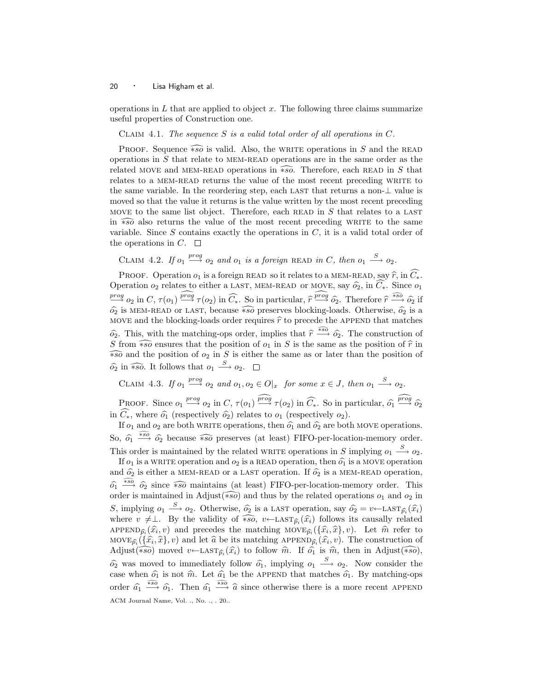operations in  $L$  that are applied to object  $x$ . The following three claims summarize useful properties of Construction one.

CLAIM 4.1. The sequence  $S$  is a valid total order of all operations in  $C$ .

**PROOF.** Sequence  $\widehat{*so}$  is valid. Also, the WRITE operations in S and the READ operations in  $S$  that relate to MEM-READ operations are in the same order as the related MOVE and MEM-READ operations in  $\widehat{*so}$ . Therefore, each READ in S that relates to a MEM-READ returns the value of the most recent preceding WRITE to the same variable. In the reordering step, each LAST that returns a non- $\perp$  value is moved so that the value it returns is the value written by the most recent preceding MOVE to the same list object. Therefore, each READ in  $S$  that relates to a LAST in  $\widehat{*so}$  also returns the value of the most recent preceding WRITE to the same variable. Since  $S$  contains exactly the operations in  $C$ , it is a valid total order of the operations in  $C$ .  $\square$ 

CLAIM 4.2. If  $o_1 \stackrel{prog}{\longrightarrow} o_2$  and  $o_1$  is a foreign READ in C, then  $o_1 \stackrel{S}{\longrightarrow} o_2$ .

PROOF. Operation  $o_1$  is a foreign READ so it relates to a MEM-READ, say  $\hat{r}$ , in  $\widehat{C}_*$ . Operation  $o_2$  relates to either a LAST, MEM-READ or MOVE, say  $\widehat{o_2}$ , in  $\widehat{C_*}$ . Since  $o_1$ T ROOF. Operation  $o_1$  is a foreign READ so R relates to a MEM-READ, say Γ, m C\*.<br>
Operation  $o_2$  relates to either a LAST, MEM-READ or MOVE, say  $o_2$ , in  $\overline{C}_*$ . Since  $o_1$ <br>  $\frac{prog}{o_2}$  in  $C$ ,  $\tau(o_1)$   $\frac{prog}{o_$  $\widehat{o}_2$  is MEM-READ or LAST, because  $\widehat{*_s\omega}$  preserves blocking-loads. Otherwise,  $\widehat{o}_2$  is a MOVE and the blocking-loads order requires  $\hat{r}$  to precede the APPEND that matches  $\hat{\sigma}_2$ . This, with the matching-loads order requires  $\hat{r}$  to precede the APPEND that matches  $\hat{\sigma}_2$ . This, with the matching-ops order, implies that  $\hat{r} \frac{\hat{*}s\hat{\sigma}}{\hat{\sigma}_2}$ . The construction of  $S$  from  $\hat{m} \hat$ S from  $\widehat{*so}$  ensures that the position of  $o_1$  in S is the same as the position of  $\widehat{r}$  in  $\widehat{∗so}$  and the position of  $o_2$  in S is either the same as or later than the position of  $\widehat{o_2}$  in  $\widehat{*so}$ . It follows that  $o_1 \stackrel{S}{\longrightarrow} o_2$ .

CLAIM 4.3. If 
$$
o_1 \stackrel{prog}{\longrightarrow} o_2
$$
 and  $o_1, o_2 \in O|_x$  for some  $x \in J$ , then  $o_1 \stackrel{S}{\longrightarrow} o_2$ .

PROOF. Since  $o_1 \stackrel{prog}{\longrightarrow} o_2$  in  $C$ ,  $\tau(o_1) \stackrel{prog}{\longrightarrow} \tau(o_2)$  in  $\widehat{C_*}$ . So in particular,  $\widehat{o_1} \stackrel{prog}{\longrightarrow} \widehat{o_2}$ in  $\widehat{C_*}$ , where  $\widehat{o}_1$  (respectively  $\widehat{o}_2$ ) relates to  $o_1$  (respectively  $o_2$ ).

If  $o_1$  and  $o_2$  are both writte operations, then  $\hat{o_1}$  and  $\hat{o_2}$  are both MOVE operations. If  $o_1$  and  $o_2$  are both WRITE operations, then  $\hat{o}_1$  and  $\hat{o}_2$  are both MOVE operations.<br>So,  $\hat{o}_1$   $\frac{\hat{*}s\hat{o}}{\hat{o}_2}$  because  $\hat{*}s\hat{o}$  preserves (at least) FIFO-per-location-memory order. This order is maintained by the related WRITE operations in S implying  $o_1 \stackrel{S}{\longrightarrow} o_2$ .

If  $o_1$  is a WRITE operation and  $o_2$  is a READ operation, then  $\hat{o}_1$  is a MOVE operation and  $\hat{\omega}_2$  is either a MEM-READ or a LAST operation. If  $\hat{\omega}_2$  is a MEM-READ operation, If  $\theta_1$  is a wRTLE operation and  $\theta_2$  is a READ operation, then  $\theta_1$  is a MOVE operation<br>and  $\hat{\theta_2}$  is either a MEM-READ or a LAST operation. If  $\hat{\theta_2}$  is a MEM-READ operation,<br> $\hat{\theta_1}$   $\frac{$\hat{so}]}{$\hat{so}]}$  order is maintained in Adjust(\*so) and thus by the related operations  $o_1$  and  $o_2$  in order is maintained in Adjust(\*so) and thus by the related operations  $o_1$  and  $o_2$  in<br>
S, implying  $o_1 \stackrel{S}{\longrightarrow} o_2$ . Otherwise,  $\hat{o}_2$  is a LAST operation, say  $\hat{o}_2 = v \leftarrow$ LAST $_{\hat{p}_i}(\hat{x}_i)$ <br>
where  $v \neq \perp$ . By th where  $v \neq \perp$ . By the validity of  $\widehat{*so}$ ,  $v \leftarrow$  LAST $_{\widehat{p_i}}(\widehat{x_i})$  follows its causally related APPEND $_{\widehat{p_i}}(\widehat{x_i}, v)$  and precedes the matching MOVE $_{\widehat{p_i}}(\{\widehat{x_i}, \widehat{x}\}, v)$ . Let  $\widehat{m}$  refer to  $(\hat{x}_i, v)$  and precedes the matching MOVE $_{\hat{p}_i}(\{\hat{x}_i, \hat{x}\}, v)$ . Let  $\hat{m}$  refer to  $\hat{x}_i, \hat{x}_i$ , w) and let  $\hat{\sigma}$  be its matching ADPEND  $_{\hat{\sigma}}(\hat{x}_i, v)$ . The construction of APPEND $_{\widehat{p}_i}(\widehat{x}_i, v)$  and precedes the matching MOVE $_{\widehat{p}_i}(\{\widehat{x}_i, \widehat{x}\}, v)$ . Let  $\widehat{m}$  refer to MOVE $_{\widehat{p}_i}(\widehat{x}_i, \widehat{x}\}, v)$  and let  $\widehat{a}$  be its matching APPEND $_{\widehat{p}_i}(\widehat{x}_i, v)$ . The construction of A Adjust( $\widehat{*_s\delta}$ ) moved v $\leftarrow$ LAST $_{\widehat{p}_i}(\widehat{x}_i)$  to follow  $\widehat{m}$ . If  $\widehat{o}_1$  is  $\widehat{m}$ , then in Adjust $(\widehat{*_s\delta})$ ,  $\hat{o}_2$  was moved to immediately follow  $\hat{o}_1$ , implying  $o_1 \stackrel{S}{\longrightarrow} o_2$ . Now consider the case when  $\hat{o}_1$  is not  $\hat{m}$ . Let  $\hat{a}_1$  be the APPEND that matches  $\hat{o}_1$ . By matching-ops  $\overline{o_2}$  was moved to immediately follow  $\overline{o_1}$ , implying  $\overline{o_1} \longrightarrow \overline{o_2}$ . Now consider the case when  $\widehat{o_1}$  is not  $\widehat{m}$ . Let  $\widehat{a_1}$  be the APPEND that matches  $\widehat{o_1}$ . By matching-ops order  $\widehat{a_1}$ ACM Journal Name, Vol. ., No. ., . 20..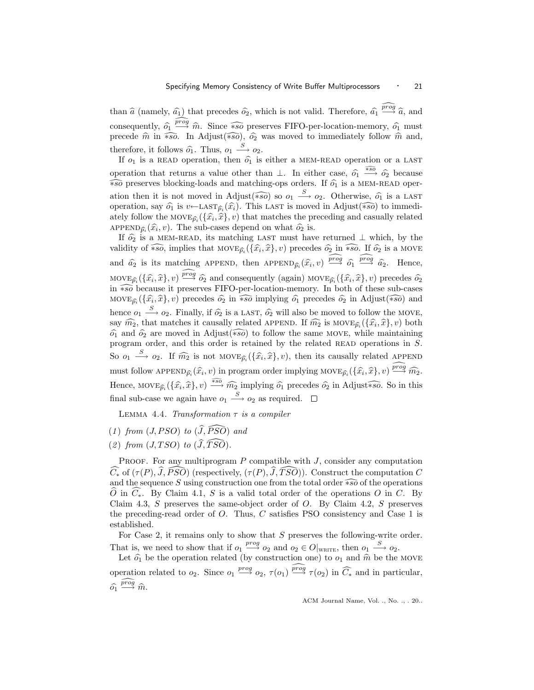than  $\hat{a}$  (namely,  $\hat{a}_1$ ) that precedes  $\hat{o}_2$ , which is not valid. Therefore,  $\hat{a}_1 \stackrel{prog}{\longrightarrow} \hat{a}$ , and consequently,  $\hat{o}_1 \stackrel{proj}{\longrightarrow} \hat{m}$ . Since  $\hat{*}s\hat{o}$  preserves FIFO-per-location-memory,  $\hat{o}_1$  must precede  $\hat{m}$  in ∗so. In Adjust(\*so),  $\hat{o}_2$  was moved to immediately follow  $\hat{m}$  and, therefore, it follows  $\hat{o}_1$ . Thus,  $o_1 \xrightarrow{S} o_2$ .<br>If  $\rho_1$  is a PEAD operation, then  $\hat{o}_2$  is

If  $o_1$  is a READ operation, then  $\hat{o}_1$  is either a MEM-READ operation or a LAST operation that returns a value other than  $\perp$ . In either case,  $\hat{\sigma}_1 \stackrel{\text{\text{two}}{\text{two}}}{\text{two}}$   $\hat{\sigma}_2$  because<br>operation that returns a value other than  $\perp$ . In either case,  $\hat{\sigma}_1 \stackrel{\text{\text{two}}{\text{two}}}{\text{two}}$   $\hat{\sigma}_2$  becau  $\widehat{∗so}$  preserves blocking-loads and matching-ops orders. If  $\widehat{o_1}$  is a MEM-READ operation then it is not moved in Adjust(\* $\widehat{*so}$ ) so  $o_1 \stackrel{S}{\longrightarrow} o_2$ . Otherwise,  $\widehat{o}_1$  is a LAST operation, say  $\widehat{o}_1$  is  $v \leftarrow \text{LAT}_{\widehat{p}_i}(\widehat{x}_i)$ . This LAST is moved in Adjust( $\widehat{*so}$ ) to immediately follow the operation, say  $\hat{\sigma}_1$  is  $v \leftarrow \text{LAST}_{\hat{p}_i}(\hat{x}_i)$ . This LAST is moved in Adjust( $\hat{**}$ ) to immediately follow the MOVE $_{\hat{p}_i}(\{\hat{x}_i,\hat{x}\},v)$  that matches the preceding and casually related ately follow the MOVE<sub> $\hat{p}_i$ </sub>  $(\{\hat{x}_i, \hat{x}\}, v)$  that matches the preceding and casually related APPEND<sub> $\hat{p}_i$ </sub> $(\hat{x}_i, v)$ . The sub-cases depend on what  $\hat{o}_2$  is.  $(\hat{x}_i, v)$ . The sub-cases depend on what  $\hat{o}_2$  is.

If  $\hat{o}_2$  is a MEM-READ, its matching LAST must have returned  $\perp$  which, by the If  $\hat{o}_2$  is a MEM-READ, its matching LAST must have returned  $\perp$  which, by the validity of  $\hat{*s\overline{o}}$ , implies that MOVE $_{\hat{p}_i}(\{\hat{x}_i,\hat{x}\},v)$  precedes  $\hat{o}_2$  in  $\hat{*s\overline{o}}$ . If  $\hat{o}_2$  is a MOVE validity of \*so, implies that MOVE  $_{\hat{p}_i}(\{x_i, x\}, v)$  precedes  $o_2$  in \*so. If  $o_2$  is a MOVE<br>and  $\hat{a}_2$  is its matching APPEND, then APPEND  $_{\hat{p}_i}(\hat{x}_i, v) \xrightarrow{prog} \hat{o}_1 \xrightarrow{prog} \hat{a}_2$ . Hence, and  $a_2$  is its matchin<br>
MOVE<sub> $\hat{p}_i$ </sub>  $(\{\hat{x}_i, \hat{x}\}, v)$   $\overrightarrow{proj}$ <br>
in  $\widehat{x_i \otimes h}$  because it prese  $\begin{aligned} \n\text{change} \text{APPEND, then } \text{APPEND}_{\hat{p}_i}(x_i, v) \longrightarrow o_1 \longrightarrow o_2. \n\end{aligned}$  Hence,<br>  $\begin{aligned} \n\text{range} \hat{\rho}_2 \text{ and consequently (again) } \text{MOVE}_{\hat{p}_i}(\{\hat{x}_i, \hat{x}\}, v) \text{ precedes } \hat{o}_2. \n\end{aligned}$ in  $\widehat{*so}$  because it preserves FIFO-per-location-memory. In both of these sub-cases<br>MOVE $\widehat{p}_i(\{\widehat{x}_i,\widehat{x}\},v)$  precedes  $\widehat{o}_2$  in  $\widehat{*so}$  implying  $\widehat{o}_1$  precedes  $\widehat{o}_2$  in Adjust $(\widehat{*so})$  and  $({\{\hat{x}_i, \hat{x}\}, v\})$  precedes  $\hat{o}_2$  in  $\hat{*s\sigma}$  implying  $\hat{o}_1$  precedes  $\hat{o}_2$  in Adjust $(\hat{*s\sigma})$  and hence  $o_1 \xrightarrow{S} o_2$ . Finally, if  $\hat{o}_2$  is a LAST,  $\hat{o}_2$  will also be moved to follow the MOVE,  $\hat{S}$  is  $\hat{S}$  and  $\hat{S}$  and  $\hat{S}$  and  $\hat{S}$  and  $\hat{S}$  and  $\hat{S}$  and  $\hat{S}$  and  $\hat{S}$  and  $\hat{S}$  and  $\$ hence  $o_1 \xrightarrow{S} o_2$ . Finally, if  $\hat{o}_2$  is a LAST,  $\hat{o}_2$  will also be moved to follow the MOVE,<br>say  $\widehat{m_2}$ , that matches it causally related APPEND. If  $\widehat{m_2}$  is MOVE<sub> $\widehat{p_i}(\{\widehat{x}_i,\widehat{x}\},v)$  both</sub>  $\hat{\sigma}_1$  and  $\hat{\sigma}_2$  are moved in Adjust(\*so) to follow the same MOVE, while maintaining program order, and this order is retained by the related READ operations in  $S$ . program order, and this order is retained by the related READ operations in *S*.<br>So  $o_1 \stackrel{S}{\longrightarrow} o_2$ . If  $\widehat{m_2}$  is not MOVE<sub> $\widehat{p_i}(\{\widehat{x}_i,\widehat{x}\},v)$ , then its causally related APPEND</sub> So  $o_1 \longrightarrow o_2$ . If  $m_2$  is not MOVE $_{\widehat{p}_i}(\{x_i, x\}, v)$ , then its causally related APPEND<br>must follow APPEND $_{\widehat{p}_i}(\widehat{x}_i, v)$  in program order implying MOVE $_{\widehat{p}_i}(\{\widehat{x}_i, \widehat{x}\}, v) \stackrel{\widehat{proj}}{\longrightarrow} \widehat{m_2}$ .<br>Hence, MOVEmust follow APPEND $_{\widehat{p}_i}(\widehat{x}_i, \widehat{x})$ , v) final sub-case we again have  $o_1 \stackrel{S}{\longrightarrow} o_2$  as required.

LEMMA 4.4. Transformation  $\tau$  is a compiler

- (1) from  $(J, PSO)$  to  $(\widehat{J}, \widehat{PSO})$  and
- (2) from  $(J, TSO)$  to  $(\widehat{J}, \widehat{TSO})$ .

PROOF. For any multiprogram  $P$  compatible with  $J$ , consider any computation  $\widehat{C_{\ast}}$  of  $(\tau(P), \widehat{J}, \widehat{PSO})$  (respectively,  $(\tau(P), \widehat{J}, \widehat{TSO})$ ). Construct the computation C and the sequence S using construction one from the total order  $\widehat{*_s\circ}$  of the operations  $\widehat{O}$  in  $\widehat{C_*}$ . By Claim 4.1, S is a valid total order of the operations O in C. By Claim 4.3,  $S$  preserves the same-object order of  $O$ . By Claim 4.2,  $S$  preserves the preceding-read order of  $O$ . Thus,  $C$  satisfies PSO consistency and Case 1 is established.

For Case 2, it remains only to show that  $S$  preserves the following-write order. That is, we need to show that if  $o_1 \stackrel{prog}{\longrightarrow} o_2$  and  $o_2 \in O|_{\text{WRITE}}$ , then  $o_1 \stackrel{S}{\longrightarrow} o_2$ .

Let  $\hat{o}_1$  be the operation related (by construction one) to  $o_1$  and  $\hat{m}$  be the MOVE operation related to  $o_2$ . Since  $o_1 \stackrel{prog}{\longrightarrow} o_2$ ,  $\tau(o_1) \stackrel{prog}{\longrightarrow} \tau(o_2)$  in  $\widehat{C_*}$  and in particular,  $\widehat{o}_1 \stackrel{prog}{\longrightarrow} \widehat{m}$ .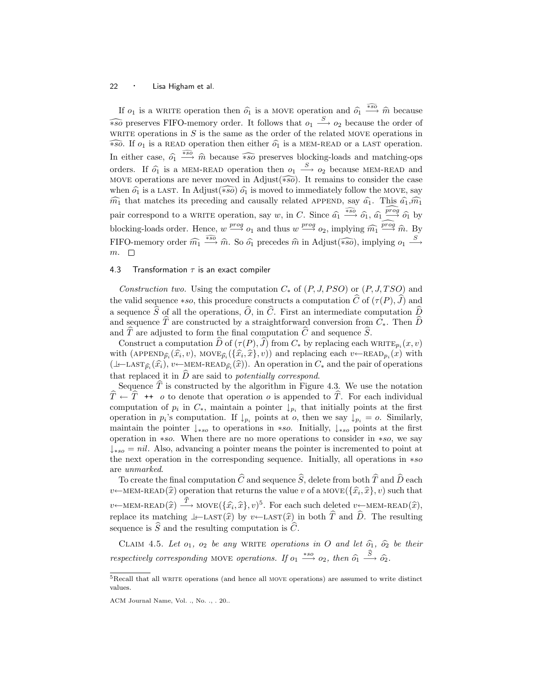If  $o_1$  is a WRITE operation then  $\hat{o}_1$  is a MOVE operation and  $\hat{o}_1 \stackrel{\widehat{*so}}{\longrightarrow} \widehat{m}$  because  $\widehat{*so}$  preserves FIFO-memory order. It follows that  $o_1 \stackrel{S}{\longrightarrow} o_2$  because the order of  $\widehat{*}$ writter operations in  $S$  is the same as the order of the related MOVE operations in  $\widehat{*so}$ . If  $o_1$  is a READ operation then either  $\widehat{o_1}$  is a MEM-READ or a LAST operation. WRITE OPERATORS IN 3 IS the same as the order of the related MOVE operations in<br>
\**so*. If  $o_1$  is a READ operation then either  $\hat{o}_1$  is a MEM-READ or a LAST operation.<br>
In either case,  $\hat{o}_1 \xrightarrow{\widehat{*so}} \hat{m}$  because orders. If  $\hat{o}_1$  is a MEM-READ operation then  $o_1 \stackrel{S}{\longrightarrow} o_2$  because MEM-READ and MOVE operations are never moved in Adjust(\* $\widehat{*_\delta\delta}$ ). It remains to consider the case when  $\hat{\sigma}_1$  is a LAST. In Adjust( $\widehat{*so}$ )  $\widehat{\sigma}_1$  is moved to immediately follow the MOVE, say  $\widehat{m_1}$  that matches its preceding and causally related APPEND, say  $\widehat{a_1}$ . This  $\widehat{a_1}$ ,  $\widehat{m_1}$ when  $\sigma_1$  is a ERST. In Teques(\*50)  $\sigma_1$  is inoved to immediately follow the<br>  $\widehat{m_1}$  that matches its preceding and causally related APPEND, say  $\widehat{a_1}$ .<br>
pair correspond to a WRITE operation, say w, in C. Sinc  $\frac{prog}{\sim}$   $\hat{o}_1$  by blocking-loads order. Hence,  $w \frac{prog}{q}$  o<sub>1</sub> and thus  $w \frac{prog}{q}$  o<sub>2</sub>, implying  $\widehat{m_1} \stackrel{prog}{\longrightarrow} \widehat{m}$ . By blocking-loads order. Hence,  $w \xrightarrow{prog} o_1$  and thus  $w \xrightarrow{prog} o_2$ , implying  $\widehat{m_1} \xrightarrow{prog} \widehat{m}$ . By<br>FIFO-memory order  $\widehat{m_1} \xrightarrow{*_s\widehat{so}} \widehat{m}$ . So  $\widehat{o_1}$  precedes  $\widehat{m}$  in Adjust( $\widehat{*_s\widehat{so}}$ ), implying  $o_1 \$  $m.$   $\Box$ 

# 4.3 Transformation  $\tau$  is an exact compiler

Construction two. Using the computation  $C_*$  of  $(P, J, PSO)$  or  $(P, J, TSO)$  and the valid sequence \*so, this procedure constructs a computation  $\widehat{C}$  of  $(\tau (P), \widehat{J})$  and a sequence  $\widehat{S}$  of all the operations,  $\widehat{O}$ , in  $\widehat{C}$ . First an intermediate computation  $\widehat{D}$ and sequence  $\widehat{T}$  are constructed by a straightforward conversion from  $C_*$ . Then  $\widehat{D}$ and  $\overline{T}$  are adjusted to form the final computation  $\overline{C}$  and sequence  $\overline{S}$ .

Construct a computation  $\widehat{D}$  of  $(\tau(P), \widehat{J})$  from  $C_*$  by replacing each writter  $p_i(x, v)$ Construct a computation  $\hat{D}$  of  $(\tau(P), \hat{J})$  from  $C_*$  by replacing each WRITE<sub>*p*i</sub> $(x, v)$  with  $(\text{APPEND}_{\hat{p}_i}(\hat{x}_i, v), \text{MOVE}_{\hat{p}_i}(\hat{x}_i, \hat{x}), v)$  and replacing each  $v \leftarrow \text{READ}_{p_i}(x)$  with  $(\perp - \text{LAST}_{\hat{p}_i}(\hat{x}_i), v \leftarrow \text{MEM (\bot$ -LAST $_{\widehat{n}}(\widehat{x}_i), v$ -MEM-READ $_{\widehat{n}}(\widehat{x})$ ). An operation in  $C_*$  and the pair of operations that replaced it in  $\widehat{D}$  are said to *potentially correspond*.

Sequence  $\hat{T}$  is constructed by the algorithm in Figure 4.3. We use the notation  $\hat{T} \leftarrow \hat{T}$  ++ o to denote that operation o is appended to  $\hat{T}$ . For each individual computation of  $p_i$  in  $C_*$ , maintain a pointer  $\downarrow_{p_i}$  that initially points at the first operation in  $p_i$ 's computation. If  $\downarrow_{p_i}$  points at *o*, then we say  $\downarrow_{p_i} = o$ . Similarly, maintain the pointer  $\downarrow_{*so}$  to operations in \*so. Initially,  $\downarrow_{*so}$  points at the first operation in ∗so. When there are no more operations to consider in ∗so, we say  $\downarrow_{*so} = nil.$  Also, advancing a pointer means the pointer is incremented to point at the next operation in the corresponding sequence. Initially, all operations in ∗so are unmarked.

To create the final computation  $\widehat{C}$  and sequence  $\widehat{S}$ , delete from both  $\widehat{T}$  and  $\widehat{D}$  each v←MEM-READ( $\hat{x}$ ) operation that returns the value v of a MOVE( $\{\hat{x}_i, \hat{x}\}$ , v) such that  $v \leftarrow \text{MEM-READ}(\hat{x}) \xrightarrow{T} \text{MOVE}(\{\hat{x}_i, \hat{x}\}, v)^5$ . For each such deleted  $v \leftarrow \text{MEM-READ}(\hat{x})$ , replace its matching  $\perp$ –LAST $(\widehat{x})$  by v←LAST $(\widehat{x})$  in both  $\widehat{T}$  and  $\widehat{D}$ . The resulting sequence is  $\widehat{S}$  and the resulting computation is  $\widehat{C}$ .

CLAIM 4.5. Let  $o_1$ ,  $o_2$  be any WRITE operations in O and let  $\hat{o_1}$ ,  $\hat{o_2}$  be their respectively corresponding MOVE operations. If  $o_1 \stackrel{*so}{\longrightarrow} o_2$ , then  $\widehat{o_1} \stackrel{S}{\longrightarrow} \widehat{o_2}$ .

<sup>&</sup>lt;sup>5</sup>Recall that all WRITE operations (and hence all MOVE operations) are assumed to write distinct values.

ACM Journal Name, Vol. ., No. ., . 20..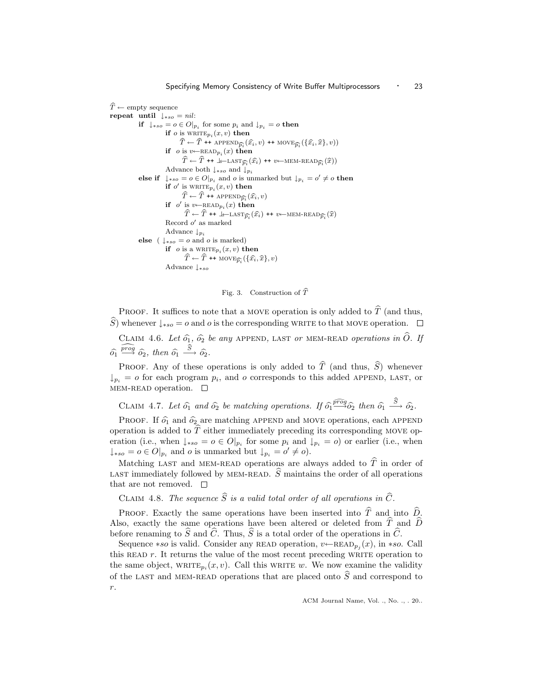$\hat{T} \leftarrow$  empty sequence repeat until  $\downarrow_{*so} = nil$ : if  $\downarrow_{*so} = o \in O|_{p_i}$  for some  $p_i$  and  $\downarrow_{p_i} = o$  then<br>
if  $o$  is  $\text{WRITE}_{p_i}(x, v)$  then<br>  $\hat{T} \leftarrow \hat{T} + \text{APPEND}_{\widehat{p_i}}(\widehat{x_i}, v) + \text{MOVE}_{\widehat{p_i}}$ if *o* is  $\text{wRITE}_{p_i}(x, v)$  then nd  $\downarrow_{p_i} = o$  then<br>
n<br>  $(\hat{x_i}, v)$  ++ MOVE<sub> $\widehat{p_i}(\{\hat{x_i}, \hat{x}\}, v))$ </sub> if *o* is  $v \leftarrow \text{READ}_{p_i}(x)$  then  $\hat{T} \leftarrow \hat{T}$  ++ APPEND $\hat{p}_i(\hat{x}_i, v)$  ++ MOVE $\hat{p}_i(\{\hat{x}_i, \hat{x}\})$ <br>
is v-READ<sub>Pi</sub> $(x)$  **then**<br>  $\hat{T} \leftarrow \hat{T}$  ++  $\pm$ -LAST $\hat{p}_i(\hat{x}_i)$  ++  $v$ -MEM-READ $\hat{p}_i$  $(x, v)$ <br> $(\widehat{x})$ Advance both  $\downarrow_{*so}$  and  $\downarrow_{p_i}$ else if  $\downarrow$ <sub>\*so</sub> =  $o \in O|_{p_i}$  and  $o$  is unmarked but  $\downarrow_{p_i} = o' \neq o$  then if  $o'$  is  $\text{WRITE}_{p_i}(x, v)$  then  $= o \in O|_{p_i}$  and *o* is<br>
is WRITE<sub>p<sub>i</sub></sub> $(x, v)$  **the**<br>  $\hat{T} \leftarrow \hat{T}$  ++ APPEND<sub>p<sub>i</sub></sub>  $\begin{matrix} \mathbf{unmar} \ \mathbf{n} \ (\widehat{x_i}, v) \end{matrix}$ if  $o'$  is  $v \leftarrow \text{READ}_{p_i}(x)$  then  $\hat{T} \leftarrow \hat{T} + \text{APPEND}_{\widehat{p}_i}$ <br>
is v—READ<sub> $p_i(x)$ </sub> the<br>  $\hat{T} \leftarrow \hat{T} + \pm \text{LAST}_{\widehat{p}_i}$  $(\widehat{x_i}, v)$ <br> **n**<br>  $(\widehat{x_i})$  ++ *v*←MEM-READ<sub> $\widehat{p_i}(\widehat{x})$ </sub> Record  $o'$  as marked Advance  $\downarrow_{p_i}$ **else** (  $\downarrow_{*so} = o$  and *o* is marked)<br> **if** *o* is a WRITE<sub>P<sub>i</sub></sub> $(x, v)$  **t**<br>  $\hat{T} \leftarrow \hat{T}$  **++** MOVE<sub> $\widehat{p_i}$ <sup>(</sup>)</sub> if *o* is a  $\text{WRITE}_{p_i}(x, v)$  then  $\widehat{T} \leftarrow \widehat{T}$  ++ MOVE<sub> $\widehat{p_i}(\{\widehat{x_i}, \widehat{x}\}, v)$ </sub> Advance ↓∗so

Fig. 3. Construction of  $\widehat{T}$ 

PROOF. It suffices to note that a MOVE operation is only added to  $\hat{T}$  (and thus,  $\widehat{S}$ ) whenever  $\downarrow_{\ast so} = o$  and o is the corresponding WRITE to that MOVE operation.  $\square$ 

CLAIM 4.6. Let  $\widehat{o}_1$ ,  $\widehat{o}_2$  be any APPEND, LAST or MEM-READ operations in  $\widehat{O}$ . If  $\widehat{o_1} \stackrel{prog}{\longrightarrow} \widehat{o_2}$ , then  $\widehat{o_1} \stackrel{S}{\longrightarrow} \widehat{o_2}$ .

PROOF. Any of these operations is only added to  $\hat{T}$  (and thus,  $\hat{S}$ ) whenever  $\downarrow_{p_i} = o$  for each program  $p_i$ , and o corresponds to this added APPEND, LAST, or MEM-READ operation.  $\square$ 

CLAIM 4.7. Let  $\widehat{o}_1$  and  $\widehat{o}_2$  be matching operations. If  $\widehat{o}_1 \stackrel{\widehat{prog}}{\longrightarrow} \widehat{o}_2$  then  $\widehat{o}_1 \stackrel{\widehat{S}}{\longrightarrow}$  $\stackrel{\rightarrow}{\longrightarrow}$   $\widehat{\theta_2}$ .

PROOF. If  $\hat{o}_1$  and  $\hat{o}_2$  are matching APPEND and MOVE operations, each APPEND operation is added to  $\hat{T}$  either immediately preceding its corresponding MOVE operation (i.e., when  $\downarrow_{*so} = o \in O|_{p_i}$  for some  $p_i$  and  $\downarrow_{p_i} = o$ ) or earlier (i.e., when  $\downarrow_{*so} = o \in O|_{p_i}$  and o is unmarked but  $\downarrow_{p_i} = o' \neq o$ .

Matching LAST and MEM-READ operations are always added to  $\hat{T}$  in order of LAST immediately followed by MEM-READ.  $\widehat{S}$  maintains the order of all operations that are not removed.  $\quad \Box$ 

CLAIM 4.8. The sequence  $\widehat{S}$  is a valid total order of all operations in  $\widehat{C}$ .

PROOF. Exactly the same operations have been inserted into  $\hat{T}$  and into  $\hat{D}$ . Also, exactly the same operations have been altered or deleted from  $\hat{T}$  and  $\hat{D}$ before renaming to  $\widehat{S}$  and  $\widehat{C}$ . Thus,  $\widehat{S}$  is a total order of the operations in  $\widehat{C}$ .

Sequence \*so is valid. Consider any READ operation,  $v \leftarrow \text{READ}_{p_j}(x)$ , in \*so. Call this READ  $r$ . It returns the value of the most recent preceding WRITE operation to the same object,  $\text{wRITE}_{pi}(x, v)$ . Call this writte w. We now examine the validity of the LAST and MEM-READ operations that are placed onto  $\hat{S}$  and correspond to r.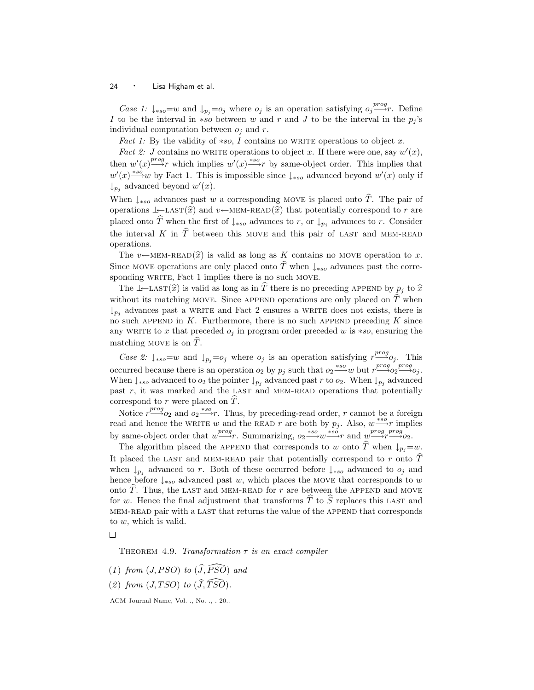Case 1:  $\downarrow_{\ast so} = w$  and  $\downarrow_{p_j} = o_j$  where  $o_j$  is an operation satisfying  $o_j \stackrel{prog}{\longrightarrow} r$ . Define I to be the interval in \*so between w and r and J to be the interval in the  $p_i$ 's individual computation between  $o_i$  and r.

Fact 1: By the validity of  $\ast so$ , I contains no WRITE operations to object x.

Fact 2: J contains no WRITE operations to object x. If there were one, say  $w'(x)$ , then  $w'(x) \to^{\text{prog}} r$  which implies  $w'(x) \to^{\text{so}} r$  by same-object order. This implies that  $w'(x) \stackrel{*so}{\longrightarrow} w$  by Fact 1. This is impossible since  $\downarrow_{*so}$  advanced beyond  $w'(x)$  only if  $\downarrow_{p_j}$  advanced beyond  $w'(x)$ .

When  $\downarrow_{\ast so}$  advances past w a corresponding MOVE is placed onto T. The pair of operations ⊥←LAST $(\hat{x})$  and v←MEM-READ $(\hat{x})$  that potentially correspond to r are placed onto T when the first of  $\downarrow_{*so}$  advances to r, or  $\downarrow_{p_j}$  advances to r. Consider the interval K in  $\hat{T}$  between this MOVE and this pair of LAST and MEM-READ operations.

The v $\leftarrow$ MEM-READ $(\hat{x})$  is valid as long as K contains no MOVE operation to x. Since MOVE operations are only placed onto  $\hat{T}$  when  $\downarrow_{\ast so}$  advances past the corresponding WRITE, Fact 1 implies there is no such MOVE.

The ⊥←LAST( $\hat{x}$ ) is valid as long as in  $\hat{T}$  there is no preceding APPEND by  $p_i$  to  $\hat{x}$ without its matching MOVE. Since APPEND operations are only placed on  $\widehat{T}$  when  $\downarrow_{p_j}$  advances past a WRITE and Fact 2 ensures a WRITE does not exists, there is no such APPEND in  $K$ . Furthermore, there is no such APPEND preceding  $K$  since any WRITE to x that preceded  $o_i$  in program order preceded w is \*so, ensuring the matching MOVE is on  $\overline{T}$ .

Case 2:  $\downarrow_{*so}=w$  and  $\downarrow_{p_j}=o_j$  where  $o_j$  is an operation satisfying  $r \stackrel{prog}{\longrightarrow} o_j$ . This occurred because there is an operation  $o_2$  by  $p_j$  such that  $o_2 \stackrel{*so}{\longrightarrow} w$  but  $r \stackrel{prog}{\longrightarrow} o_2 \stackrel{prog}{\longrightarrow} o_j$ . When  $\downarrow_{\ast so}$  advanced to  $o_2$  the pointer  $\downarrow_{p_j}$  advanced past r to  $o_2$ . When  $\downarrow_{p_j}$  advanced past  $r$ , it was marked and the LAST and MEM-READ operations that potentially correspond to r were placed on  $\overline{T}$ .

Notice  $r \rightarrow 0_2$  and  $o_2 \rightarrow s$ . Thus, by preceding-read order, r cannot be a foreign read and hence the WRITE w and the READ r are both by  $p_j$ . Also,  $w \stackrel{*so}{\longrightarrow} r$  implies by same-object order that  $w \stackrel{prog}{\longrightarrow} r$ . Summarizing,  $o_2 \stackrel{*so}{\longrightarrow} w \stackrel{*so}{\longrightarrow} r$  and  $w \stackrel{prog}{\longrightarrow} r \stackrel{prog}{\longrightarrow} o_2$ .

The algorithm placed the APPEND that corresponds to w onto  $\hat{T}$  when  $\downarrow_{p_i}=w$ . It placed the LAST and MEM-READ pair that potentially correspond to r onto  $\hat{T}$ when  $\downarrow_{p_j}$  advanced to r. Both of these occurred before  $\downarrow_{\ast so}$  advanced to  $o_j$  and hence before  $\downarrow_{\ast so}$  advanced past w, which places the MOVE that corresponds to w onto  $T$ . Thus, the LAST and MEM-READ for  $r$  are between the APPEND and MOVE for w. Hence the final adjustment that transforms  $\widehat{T}$  to  $\widehat{S}$  replaces this LAST and mem-read pair with a last that returns the value of the append that corresponds to w, which is valid.

 $\Box$ 

THEOREM 4.9. Transformation  $\tau$  is an exact compiler

- (1) from  $(J, PSO)$  to  $(\widehat{J}, \widehat{PSO})$  and
- (2) from  $(J, TSO)$  to  $(\widehat{J}, \widehat{TSO})$ .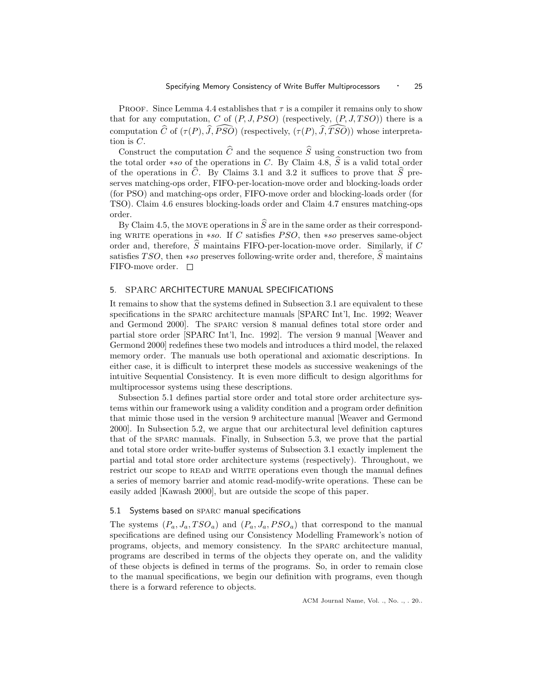PROOF. Since Lemma 4.4 establishes that  $\tau$  is a compiler it remains only to show that for any computation,  $C$  of  $(P, J, PSO)$  (respectively,  $(P, J, TSO)$ ) there is a computation  $\widehat{C}$  of  $(\tau (P), \widehat{J}, \widehat{PSO})$  (respectively,  $(\tau (P), \widehat{J}, \widehat{TSO})$ ) whose interpretation is  $C$ .

Construct the computation  $\widehat{C}$  and the sequence  $\widehat{S}$  using construction two from the total order \*so of the operations in C. By Claim 4.8,  $\hat{S}$  is a valid total order of the operations in  $\hat{C}$ . By Claims 3.1 and 3.2 it suffices to prove that  $\hat{S}$  preserves matching-ops order, FIFO-per-location-move order and blocking-loads order (for PSO) and matching-ops order, FIFO-move order and blocking-loads order (for TSO). Claim 4.6 ensures blocking-loads order and Claim 4.7 ensures matching-ops order.

By Claim 4.5, the MOVE operations in  $\widehat{S}$  are in the same order as their corresponding WRITE operations in \*so. If C satisfies  $PSO$ , then \*so preserves same-object order and, therefore,  $\hat{S}$  maintains FIFO-per-location-move order. Similarly, if C satisfies TSO, then \*so preserves following-write order and, therefore,  $\tilde{S}$  maintains FIFO-move order.  $\square$ 

# 5. SPARC ARCHITECTURE MANUAL SPECIFICATIONS

It remains to show that the systems defined in Subsection 3.1 are equivalent to these specifications in the sparc architecture manuals [SPARC Int'l, Inc. 1992; Weaver and Germond 2000]. The sparc version 8 manual defines total store order and partial store order [SPARC Int'l, Inc. 1992]. The version 9 manual [Weaver and Germond 2000] redefines these two models and introduces a third model, the relaxed memory order. The manuals use both operational and axiomatic descriptions. In either case, it is difficult to interpret these models as successive weakenings of the intuitive Sequential Consistency. It is even more difficult to design algorithms for multiprocessor systems using these descriptions.

Subsection 5.1 defines partial store order and total store order architecture systems within our framework using a validity condition and a program order definition that mimic those used in the version 9 architecture manual [Weaver and Germond 2000]. In Subsection 5.2, we argue that our architectural level definition captures that of the sparc manuals. Finally, in Subsection 5.3, we prove that the partial and total store order write-buffer systems of Subsection 3.1 exactly implement the partial and total store order architecture systems (respectively). Throughout, we restrict our scope to READ and WRITE operations even though the manual defines a series of memory barrier and atomic read-modify-write operations. These can be easily added [Kawash 2000], but are outside the scope of this paper.

# 5.1 Systems based on SPARC manual specifications

The systems  $(P_a, J_a, TSO_a)$  and  $(P_a, J_a, PSO_a)$  that correspond to the manual specifications are defined using our Consistency Modelling Framework's notion of programs, objects, and memory consistency. In the sparc architecture manual, programs are described in terms of the objects they operate on, and the validity of these objects is defined in terms of the programs. So, in order to remain close to the manual specifications, we begin our definition with programs, even though there is a forward reference to objects.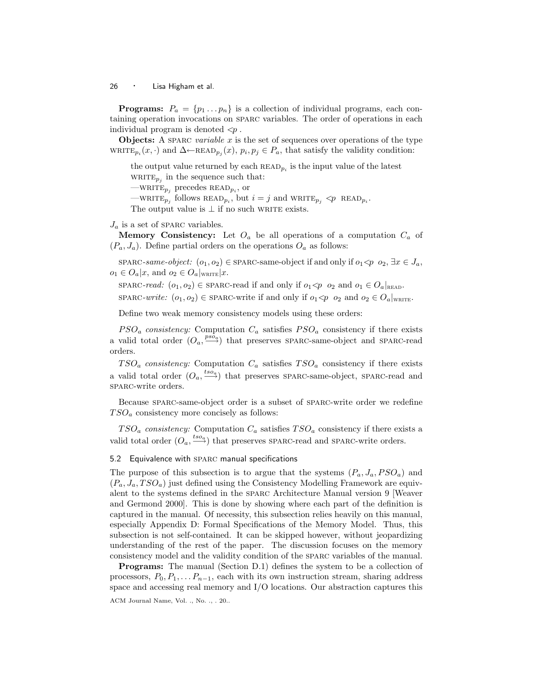**Programs:**  $P_a = \{p_1 \dots p_n\}$  is a collection of individual programs, each containing operation invocations on sparc variables. The order of operations in each individual program is denoted  $\langle p \rangle$ .

**Objects:** A SPARC *variable*  $x$  is the set of sequences over operations of the type WRITE<sub> $p_i(x, \cdot)$ </sub> and  $\Delta \leftarrow \text{READ}_{p_j}(x), p_i, p_j \in P_a$ , that satisfy the validity condition:

the output value returned by each  $\text{READ}_{p_i}$  is the input value of the latest

 $\text{wRITE}_{p_j}$  in the sequence such that:

 $-\text{WRITE}_{p_j}$  precedes  $\text{READ}_{p_i}$ , or

—WRITE<sub>p<sub>j</sub></sub> follows READ<sub>p<sub>i</sub></sub>, but  $i = j$  and WRITE<sub>p<sub>j</sub></sub>  $\langle p \text{ RED}_{p_i} \rangle$ . The output value is  $\perp$  if no such WRITE exists.

 $J_a$  is a set of SPARC variables.

**Memory Consistency:** Let  $O_a$  be all operations of a computation  $C_a$  of  $(P_a, J_a)$ . Define partial orders on the operations  $O_a$  as follows:

SPARC-same-object:  $(o_1, o_2) \in$  SPARC-same-object if and only if  $o_1 \leq p \ o_2$ ,  $\exists x \in J_a$ ,  $o_1 \in O_a|x$ , and  $o_2 \in O_a|_{\text{wartz}}|x$ .

 $spARC\text{-}read: (o_1, o_2) \in spARC\text{-}read if and only if o_1 \leq v_2 \text{ and } o_1 \in O_a|_{READ}.$ 

 $\text{SPARC}-write: (o_1, o_2) \in \text{SPARC}-write \text{ if and only if } o_1 \leq p \ o_2 \text{ and } o_2 \in O_a|_{\text{WRITE}}.$ 

Define two weak memory consistency models using these orders:

 $PSO<sub>a</sub>$  consistency: Computation  $C<sub>a</sub>$  satisfies  $PSO<sub>a</sub>$  consistency if there exists a valid total order  $(O_a, \frac{ps\delta_a}{\cdots})$  that preserves SPARC-same-object and SPARC-read orders.

 $TSO_a$  consistency: Computation  $C_a$  satisfies  $TSO_a$  consistency if there exists a valid total order  $(O_a, \stackrel{tso_a}{\longrightarrow})$  that preserves SPARC-same-object, SPARC-read and sparc-write orders.

Because sparc-same-object order is a subset of sparc-write order we redefine  $TSO<sub>a</sub>$  consistency more concisely as follows:

 $TSO_a$  consistency: Computation  $C_a$  satisfies  $TSO_a$  consistency if there exists a valid total order  $(O_a, \stackrel{tso_a}{\longrightarrow})$  that preserves SPARC-read and SPARC-write orders.

# 5.2 Equivalence with sparc manual specifications

The purpose of this subsection is to argue that the systems  $(P_a, J_a, PSO_a)$  and  $(P_a, J_a, TSO_a)$  just defined using the Consistency Modelling Framework are equivalent to the systems defined in the sparc Architecture Manual version 9 [Weaver and Germond 2000]. This is done by showing where each part of the definition is captured in the manual. Of necessity, this subsection relies heavily on this manual, especially Appendix D: Formal Specifications of the Memory Model. Thus, this subsection is not self-contained. It can be skipped however, without jeopardizing understanding of the rest of the paper. The discussion focuses on the memory consistency model and the validity condition of the sparc variables of the manual.

Programs: The manual (Section D.1) defines the system to be a collection of processors,  $P_0, P_1, \ldots, P_{n-1}$ , each with its own instruction stream, sharing address space and accessing real memory and I/O locations. Our abstraction captures this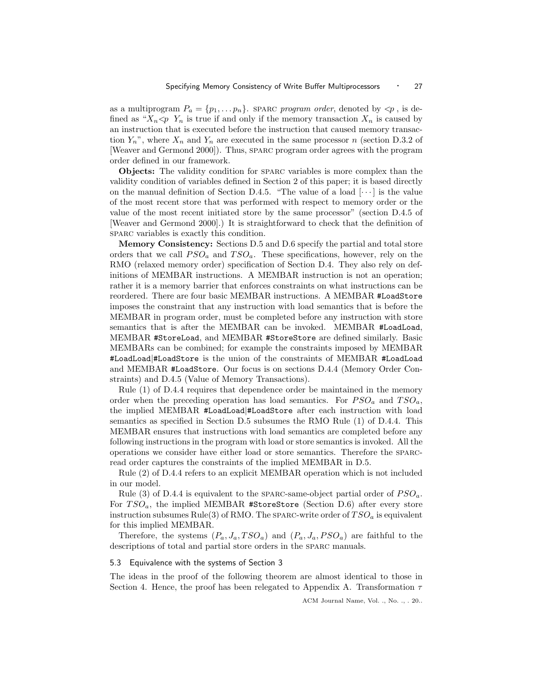as a multiprogram  $P_a = \{p_1, \ldots, p_n\}$ . Sparc program order, denoted by  $\langle p \rangle$ , is defined as " $X_n \leq p Y_n$  is true if and only if the memory transaction  $X_n$  is caused by an instruction that is executed before the instruction that caused memory transaction  $Y_n$ ", where  $X_n$  and  $Y_n$  are executed in the same processor n (section D.3.2 of [Weaver and Germond 2000]). Thus, sparc program order agrees with the program order defined in our framework.

Objects: The validity condition for sparc variables is more complex than the validity condition of variables defined in Section 2 of this paper; it is based directly on the manual definition of Section D.4.5. "The value of a load  $[\cdots]$  is the value of the most recent store that was performed with respect to memory order or the value of the most recent initiated store by the same processor" (section D.4.5 of [Weaver and Germond 2000].) It is straightforward to check that the definition of sparc variables is exactly this condition.

Memory Consistency: Sections D.5 and D.6 specify the partial and total store orders that we call  $PSO_a$  and  $TSO_a$ . These specifications, however, rely on the RMO (relaxed memory order) specification of Section D.4. They also rely on definitions of MEMBAR instructions. A MEMBAR instruction is not an operation; rather it is a memory barrier that enforces constraints on what instructions can be reordered. There are four basic MEMBAR instructions. A MEMBAR #LoadStore imposes the constraint that any instruction with load semantics that is before the MEMBAR in program order, must be completed before any instruction with store semantics that is after the MEMBAR can be invoked. MEMBAR #LoadLoad, MEMBAR #StoreLoad, and MEMBAR #StoreStore are defined similarly. Basic MEMBARs can be combined; for example the constraints imposed by MEMBAR #LoadLoad|#LoadStore is the union of the constraints of MEMBAR #LoadLoad and MEMBAR #LoadStore. Our focus is on sections D.4.4 (Memory Order Constraints) and D.4.5 (Value of Memory Transactions).

Rule (1) of D.4.4 requires that dependence order be maintained in the memory order when the preceding operation has load semantics. For  $PSO_a$  and  $TSO_a$ , the implied MEMBAR #LoadLoad|#LoadStore after each instruction with load semantics as specified in Section D.5 subsumes the RMO Rule (1) of D.4.4. This MEMBAR ensures that instructions with load semantics are completed before any following instructions in the program with load or store semantics is invoked. All the operations we consider have either load or store semantics. Therefore the sparcread order captures the constraints of the implied MEMBAR in D.5.

Rule (2) of D.4.4 refers to an explicit MEMBAR operation which is not included in our model.

Rule (3) of D.4.4 is equivalent to the sparc-same-object partial order of  $PSO_a$ . For  $TSO_a$ , the implied MEMBAR #StoreStore (Section D.6) after every store instruction subsumes Rule(3) of RMO. The sparc-write order of  $TSO<sub>a</sub>$  is equivalent for this implied MEMBAR.

Therefore, the systems  $(P_a, J_a, TSO_a)$  and  $(P_a, J_a, PSO_a)$  are faithful to the descriptions of total and partial store orders in the sparc manuals.

#### 5.3 Equivalence with the systems of Section 3

The ideas in the proof of the following theorem are almost identical to those in Section 4. Hence, the proof has been relegated to Appendix A. Transformation  $\tau$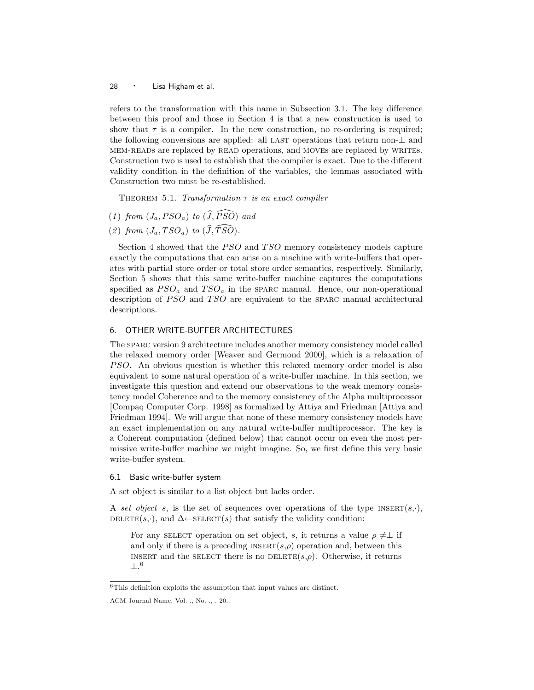refers to the transformation with this name in Subsection 3.1. The key difference between this proof and those in Section 4 is that a new construction is used to show that  $\tau$  is a compiler. In the new construction, no re-ordering is required; the following conversions are applied: all last operations that return non-⊥ and mem-reads are replaced by read operations, and moves are replaced by writes. Construction two is used to establish that the compiler is exact. Due to the different validity condition in the definition of the variables, the lemmas associated with Construction two must be re-established.

THEOREM 5.1. Transformation  $\tau$  is an exact compiler

- (1) from  $(J_a, PSO_a)$  to  $(\widehat{J}, \widehat{PSO})$  and
- (2) from  $(J_a, TSO_a)$  to  $(\widehat{J}, \widehat{TSO})$ .

Section 4 showed that the *PSO* and *TSO* memory consistency models capture exactly the computations that can arise on a machine with write-buffers that operates with partial store order or total store order semantics, respectively. Similarly, Section 5 shows that this same write-buffer machine captures the computations specified as  $PSO_a$  and  $TSO_a$  in the sparc manual. Hence, our non-operational description of PSO and TSO are equivalent to the SPARC manual architectural descriptions.

# 6. OTHER WRITE-BUFFER ARCHITECTURES

The sparc version 9 architecture includes another memory consistency model called the relaxed memory order [Weaver and Germond 2000], which is a relaxation of PSO. An obvious question is whether this relaxed memory order model is also equivalent to some natural operation of a write-buffer machine. In this section, we investigate this question and extend our observations to the weak memory consistency model Coherence and to the memory consistency of the Alpha multiprocessor [Compaq Computer Corp. 1998] as formalized by Attiya and Friedman [Attiya and Friedman 1994]. We will argue that none of these memory consistency models have an exact implementation on any natural write-buffer multiprocessor. The key is a Coherent computation (defined below) that cannot occur on even the most permissive write-buffer machine we might imagine. So, we first define this very basic write-buffer system.

## 6.1 Basic write-buffer system

A set object is similar to a list object but lacks order.

A set object s, is the set of sequences over operations of the type  $\text{INSERT}(s, \cdot)$ , DELETE(s,·), and  $\Delta \leftarrow$ SELECT(s) that satisfy the validity condition:

For any selectr operation on set object, s, it returns a value  $\rho \neq \perp$  if and only if there is a preceding  $\text{INSERT}(s,\rho)$  operation and, between this INSERT and the SELECT there is no DELETE $(s,\rho)$ . Otherwise, it returns  $\perp$ .<sup>6</sup>

 ${}^{6}$ This definition exploits the assumption that input values are distinct.

ACM Journal Name, Vol. ., No. ., . 20..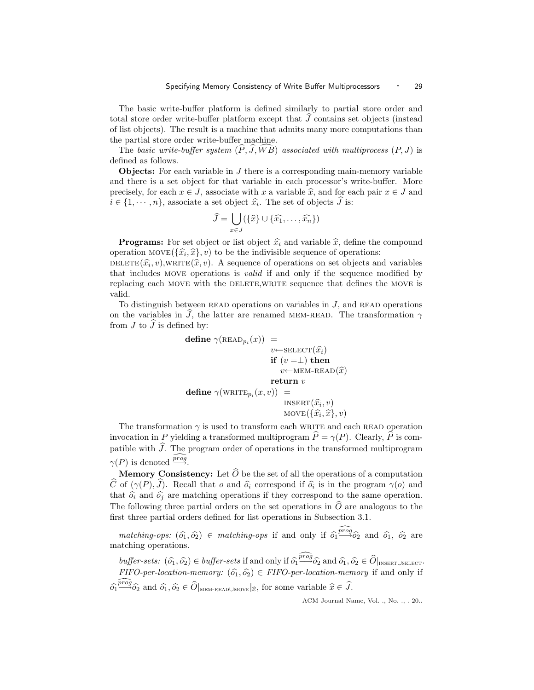The basic write-buffer platform is defined similarly to partial store order and total store order write-buffer platform except that  $J$  contains set objects (instead of list objects). The result is a machine that admits many more computations than the partial store order write-buffer machine.

The basic write-buffer system  $(\widehat{P}, \widehat{J}, \widehat{W}\widehat{B})$  associated with multiprocess  $(P, J)$  is defined as follows.

**Objects:** For each variable in  $J$  there is a corresponding main-memory variable and there is a set object for that variable in each processor's write-buffer. More precisely, for each  $x \in J$ , associate with x a variable  $\hat{x}$ , and for each pair  $x \in J$  and  $i \in \{1, \dots, n\}$ , associate a set object  $\hat{x_i}$ . The set of objects J is:

$$
\widehat{J} = \bigcup_{x \in J} (\{\widehat{x}\} \cup \{\widehat{x_1}, \dots, \widehat{x_n}\})
$$

**Programs:** For set object or list object  $\hat{x}_i$  and variable  $\hat{x}$ , define the compound operation MOVE $({\hat{x}_i}, {\hat{x}}), v)$  to be the indivisible sequence of operations:<br>DELETE( $\hat{x}_i v$ ) WEITE( $\hat{x}_i v$ ) A sequence of operations on set objects and

DELETE $(\hat{x}_i, v)$ , WRITE $(\hat{x}, v)$ . A sequence of operations on set objects and variables<br>that includes MOVE operations is *sulid* if and only if the sequence modified by that includes MOVE operations is *valid* if and only if the sequence modified by replacing each MOVE with the DELETE, WRITE sequence that defines the MOVE is valid.

To distinguish between READ operations on variables in  $J$ , and READ operations on the variables in J, the latter are renamed MEM-READ. The transformation  $\gamma$ from J to  $\widehat{J}$  is defined by:

$$
\begin{array}{rl} \text{define }\gamma(\text{READ}_{p_i}(x)) & = \\ & v \leftarrow \text{SELECT}(\widehat{x_i}) \\ & \text{if } (v = \perp) \text{ then } \\ & v \leftarrow \text{MEM-READ}(\widehat{x}) \\ & \text{return } v \\ & \text{define }\gamma(\text{WRITE}_{p_i}(x, v)) & = \\ & \text{INSERT}(\widehat{x_i}, v) \\ & \text{MOVE}(\{\widehat{x_i}, \widehat{x}\}, v) \end{array}
$$

The transformation  $\gamma$  is used to transform each write and each READ operation invocation in P yielding a transformed multiprogram  $\hat{P} = \gamma(P)$ . Clearly,  $\hat{P}$  is compatible with  $\hat{J}$ . The program order of operations in the transformed multiprogram  $\gamma(P)$  is denoted  $\stackrel{prog}{\longrightarrow}$ .

**Memory Consistency:** Let  $\widehat{O}$  be the set of all the operations of a computation C of  $(\gamma(P), J)$ . Recall that o and  $\hat{o}_i$  correspond if  $\hat{o}_i$  is in the program  $\gamma(o)$  and that  $\hat{o}_i$  are matching operations if they correspond to the same operation that  $\hat{o}_i$  and  $\hat{o}_j$  are matching operations if they correspond to the same operation. The following three partial orders on the set operations in  $\hat{O}$  are analogous to the first three partial orders defined for list operations in Subsection 3.1.

matching-ops:  $(\hat{o}_1, \hat{o}_2) \in \text{matching-}$  ops if and only if  $\hat{o}_1 \stackrel{prog}{\longrightarrow} \hat{o}_2$  and  $\hat{o}_1$ ,  $\hat{o}_2$  are matching operations.

buffer-sets:  $(\hat{o}_1, \hat{o}_2) \in buffer sets$  if and only if  $\hat{o}_1^{prog} \hat{o}_2$  and  $\hat{o}_1, \hat{o}_2 \in \hat{O}|_{\text{INSERTUSELET}}$ . FIFO-per-location-memory:  $(\hat{o}_1, \hat{o}_2) \in FIFO$ -per-location-memory if and only if  $\widehat{o_1} \overset{prog}{\longrightarrow}$  $FIFO-per-location-memory: (\dot{o}_1, \dot{o}_2) \in FIFO-per-location-mean$ <br> $\overbrace{proj}$  $\hat{o}_2$  and  $\hat{o}_1, \hat{o}_2 \in \hat{O}|_{MEM-READUMove}|_{\hat{x}},$  for some variable  $\hat{x} \in \hat{J}$ .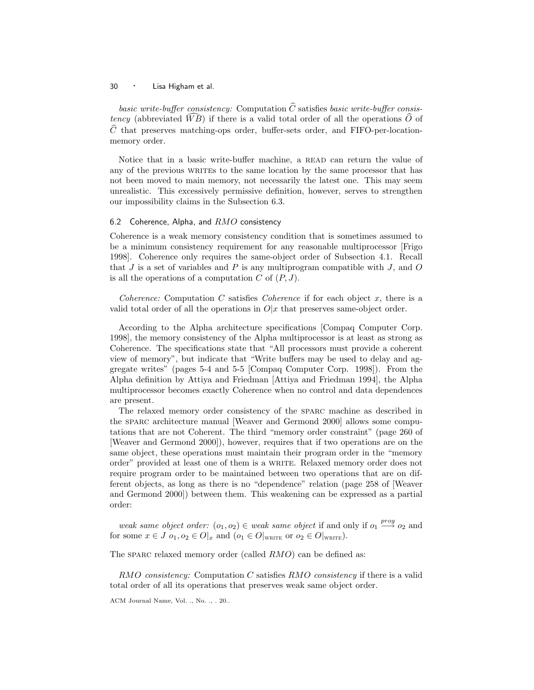basic write-buffer consistency: Computation  $\widehat{C}$  satisfies basic write-buffer consistency (abbreviated  $\overline{WB}$ ) if there is a valid total order of all the operations  $\overline{O}$  of  $\hat{C}$  that preserves matching-ops order, buffer-sets order, and FIFO-per-locationmemory order.

Notice that in a basic write-buffer machine, a READ can return the value of any of the previous WRITES to the same location by the same processor that has not been moved to main memory, not necessarily the latest one. This may seem unrealistic. This excessively permissive definition, however, serves to strengthen our impossibility claims in the Subsection 6.3.

#### 6.2 Coherence, Alpha, and  $RMO$  consistency

Coherence is a weak memory consistency condition that is sometimes assumed to be a minimum consistency requirement for any reasonable multiprocessor [Frigo 1998]. Coherence only requires the same-object order of Subsection 4.1. Recall that  $J$  is a set of variables and  $P$  is any multiprogram compatible with  $J$ , and  $O$ is all the operations of a computation  $C$  of  $(P, J)$ .

Coherence: Computation C satisfies Coherence if for each object  $x$ , there is a valid total order of all the operations in  $O|x|$  that preserves same-object order.

According to the Alpha architecture specifications [Compaq Computer Corp. 1998], the memory consistency of the Alpha multiprocessor is at least as strong as Coherence. The specifications state that "All processors must provide a coherent view of memory", but indicate that "Write buffers may be used to delay and aggregate writes" (pages 5-4 and 5-5 [Compaq Computer Corp. 1998]). From the Alpha definition by Attiya and Friedman [Attiya and Friedman 1994], the Alpha multiprocessor becomes exactly Coherence when no control and data dependences are present.

The relaxed memory order consistency of the sparc machine as described in the sparc architecture manual [Weaver and Germond 2000] allows some computations that are not Coherent. The third "memory order constraint" (page 260 of [Weaver and Germond 2000]), however, requires that if two operations are on the same object, these operations must maintain their program order in the "memory order" provided at least one of them is a write. Relaxed memory order does not require program order to be maintained between two operations that are on different objects, as long as there is no "dependence" relation (page 258 of [Weaver and Germond 2000]) between them. This weakening can be expressed as a partial order:

weak same object order:  $(o_1, o_2) \in \text{weak same object}$  if and only if  $o_1 \stackrel{prog}{\longrightarrow} o_2$  and for some  $x \in J$   $o_1, o_2 \in O|_x$  and  $(o_1 \in O|_{\text{WRITE}})$  or  $o_2 \in O|_{\text{WRITE}})$ .

The sparc relaxed memory order (called  $RMO$ ) can be defined as:

RMO consistency: Computation C satisfies RMO consistency if there is a valid total order of all its operations that preserves weak same object order.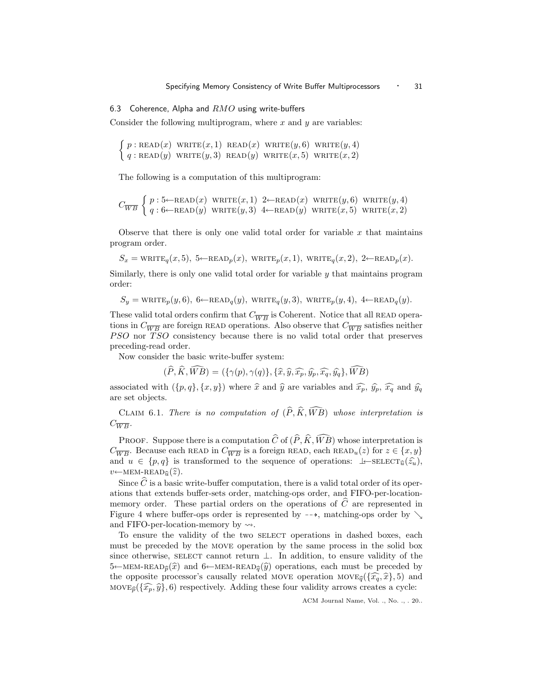# 6.3 Coherence, Alpha and  $RMO$  using write-buffers

Consider the following multiprogram, where  $x$  and  $y$  are variables:

$$
\begin{cases} p: \text{READ}(x) & \text{WRITE}(x, 1) \text{ READ}(x) & \text{WRITE}(y, 6) \text{ WRITE}(y, 4) \\ q: \text{READ}(y) & \text{WRITE}(y, 3) \text{ READ}(y) & \text{WRITE}(x, 5) \text{ WRITE}(x, 2) \end{cases}
$$

The following is a computation of this multiprogram:

$$
C_{\overline{WB}}\begin{cases}p:5\leftarrow\text{READ}(x) \text{ WRITE}(x,1) 2\leftarrow\text{READ}(x) \text{ WRITE}(y,6) \text{ WRITE}(y,4) \\ q:6\leftarrow\text{READ}(y) \text{ WRITE}(y,3) 4\leftarrow\text{READ}(y) \text{ WRITE}(x,5) \text{ WRITE}(x,2)\end{cases}
$$

Observe that there is only one valid total order for variable  $x$  that maintains program order.

 $S_x = \text{WRITE}_q(x, 5), \quad \text{5} \leftarrow \text{READ}_p(x), \quad \text{WRITE}_p(x, 1), \quad \text{WRITE}_q(x, 2), \quad \text{2} \leftarrow \text{READ}_p(x).$ 

Similarly, there is only one valid total order for variable  $y$  that maintains program order:

 $S_y = \text{WRITE}_p(y, 6), \ 6 \leftarrow \text{READ}_q(y), \ \text{WRITE}_q(y, 3), \ \text{WRITE}_p(y, 4), \ 4 \leftarrow \text{READ}_q(y).$ 

These valid total orders confirm that  $C_{\overline{WB}}$  is Coherent. Notice that all READ operations in  $C_{\overline{WR}}$  are foreign READ operations. Also observe that  $C_{\overline{WR}}$  satisfies neither PSO nor TSO consistency because there is no valid total order that preserves preceding-read order.

Now consider the basic write-buffer system:

$$
(\widehat{P}, \widehat{K}, \widehat{W}\widehat{B}) = (\{\gamma(p), \gamma(q)\}, \{\widehat{x}, \widehat{y}, \widehat{x_p}, \widehat{y_p}, \widehat{x_q}, \widehat{y_q}\}, \widehat{W}\widehat{B})
$$

associated with  $(\{p, q\}, \{x, y\})$  where  $\hat{x}$  and  $\hat{y}$  are variables and  $\widehat{x_p}$ ,  $\widehat{y_p}$ ,  $\widehat{x_q}$  and  $\widehat{y_q}$ are set objects.

CLAIM 6.1. There is no computation of  $(\widehat{P}, \widehat{K}, \widehat{W}B)$  whose interpretation is  $C_{\overline{W}B}$ .

PROOF. Suppose there is a computation  $\widehat{C}$  of  $(\widehat{P}, \widehat{K}, \widehat{W} \widehat{B})$  whose interpretation is  $C_{\overline{WB}}$ . Because each READ in  $C_{\overline{WB}}$  is a foreign READ, each READ<sub>u</sub>(z) for  $z \in \{x, y\}$  $C_{\overline{WB}}$ . Because each READ in  $C_{\overline{WB}}$  is a foreign READ, each READ<sub>u</sub>(z) for  $z \in \{x, y\}$  and  $u \in \{p, q\}$  is transformed to the sequence of operations: ⊥←SELECT<sub>u</sub> $(\hat{z}_u)$ , and  $u \in \{p,q\}$  is<br>  $v \leftarrow \text{MEM-READ}_{\widehat{u}}(\widehat{z}).$ <br>
Since  $\widehat{G}$  is a hosis

Since  $\ddot{C}$  is a basic write-buffer computation, there is a valid total order of its operations that extends buffer-sets order, matching-ops order, and FIFO-per-locationmemory order. These partial orders on the operations of  $\hat{C}$  are represented in Figure 4 where buffer-ops order is represented by  $-\rightarrow$ , matching-ops order by  $\searrow$ and FIFO-per-location-memory by  $\rightsquigarrow$ .

To ensure the validity of the two SELECT operations in dashed boxes, each must be preceded by the move operation by the same process in the solid box since otherwise, SELECT cannot return  $\perp$ . In addition, to ensure validity of the since otherwise, SELECT cannot return  $\bot$ . In addition, to ensure validity of the 5←MEM-READ $_{\widehat{p}}(\widehat{x})$  and 6←MEM-READ $_{\widehat{q}}(\widehat{y})$  operations, each must be preceded by the opposite precessor's causally related MOVE  $5 \leftarrow \text{MEM-READ}_{\widehat{p}}(\widehat{x})$  and  $6 \leftarrow \text{MEM-READ}_{\widehat{q}}(\widehat{y})$  operations, each must be preceded by<br>the opposite processor's causally related MOVE operation MOVE $_{\widehat{q}}(\{\widehat{x}_q, \widehat{x}\}, 5)$  and<br>MOVE<sub>1</sub>( $\{\widehat{x}_q, \widehat{x}\}$ , 6) represen the opposite processor's causally related MOVE operation MOVE $_{\widehat{q}}(\{\widehat{x}_q,\widehat{x}\},5)$  and MOVE $_{\widehat{p}}(\{\widehat{x}_p,\widehat{y}\},6)$  respectively. Adding these four validity arrows creates a cycle: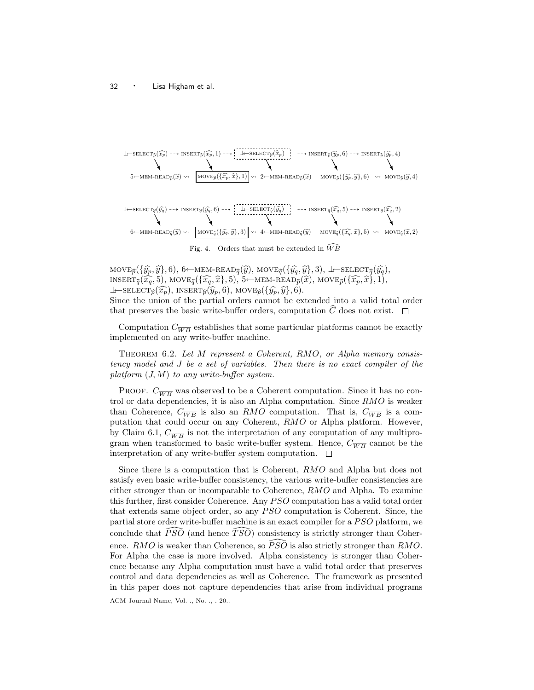$$
\sum_{\substack{\text{L-SELECT}_{\tilde{p}}(\widehat{x}_p) \ - \rightarrow \ \text{INSERT}_{\tilde{p}}(\widehat{x}_p, 1) \ - \rightarrow \ \text{L-SELECT}_{\tilde{p}}(\widehat{x}_p, 0) \ - \rightarrow \ \text{INSERT}_{\tilde{p}}(\widehat{y}_p, 6) \ - \rightarrow \ \text{INSERT}_{\tilde{p}}(\widehat{y}_p, 4)}}{\left(\sum_{\substack{\text{MOWE}_{\tilde{p}}(\widehat{x}) \ \text{on} \ (\widehat{x}_p, \widehat{x}_p, 1) \ \text{on} \ (\text{MOWE}_{\tilde{p}}(\widehat{x}_p, \widehat{x}_p, 1) \ \text{on} \ (\text{MOWE}_{\tilde{p}}(\widehat{x}_p, \widehat{y}_p, 6) \ - \rightarrow \ \text{INSERT}_{\tilde{p}}(\widehat{y}_p, 6) \ \cdots \ \text{MOWE}_{\tilde{p}}(\widehat{y}_p, 4)\right)}}\right\}
$$

$$
\begin{array}{ccccccccc}\n\text{L-SELECT}_{\bar{q}}(\hat{y_q}) & \xrightarrow{-\star} & \text{INSERT}_{\bar{q}}(\hat{y_q}, 6) & \xrightarrow{-\star} & \text{L-SELECT}_{\bar{q}}(\hat{y_q}) & \xrightarrow{-\star} & \text{INSERT}_{\bar{q}}(\widehat{x_q}, 5) & \xrightarrow{-\star} & \text{INSERT}_{\bar{q}}(\widehat{x_q}, 2) \\
\text{L} & & & & & & & \\
6 & \xrightarrow{\hspace{2.8cm}} & & & & & & \\
6 & \xrightarrow{\hspace{2.8cm}} & & & & & & \\
6 & \xrightarrow{\hspace{2.8cm}} & & & & & & \\
6 & \xrightarrow{\hspace{2.8cm}} & & & & & & \\
\end{array}
$$

Fig. 4. Orders that must be extended in  $\widehat{WB}$ 

MOVE $_{\widehat{p}}({\widehat{y}}_p, \widehat{y}), 6$ , 6←MEM-READ $_{\widehat{q}}(\widehat{y})$ , MOVE $_{\widehat{q}}({\widehat{y}}_q, \widehat{y}), 3$ ), ⊥←SELECT $_{\widehat{q}}(\widehat{y}_q)$ , MOVE $_{\hat{p}}(\{\hat{y}_p, \hat{y}\}, 6)$ , 6←MEM-READ $_{\hat{q}}(\hat{y})$ , MOVE $_{\hat{q}}(\{\hat{y}_q, \hat{y}\}, 3)$ ,  $\bot$ SELECT $_{\hat{q}}(\hat{y}_q)$ <br>INSERT $_{\hat{q}}(\overline{x}_q, 5)$ , MOVE $_{\hat{q}}(\{\widehat{x}_q, \hat{x}\}, 5)$ , 5←MEM-READ $_{\hat{p}}(\hat{x})$ , MOVE $_{\hat{p}}(\{\widehat{x}_p, \hat{x}\}, 1)$ INSERT<sub>Q</sub>( $\widehat{x_q}$ , 5), MOVE<sub>Q</sub>({ $\widehat{x_q}$ ,  $\widehat{x}$ }, 5), 5←MEM-READ<sub>p</sub>(<br>⊥←SELECT<sub>p</sub>( $\widehat{x_p}$ ), INSERT<sub>p</sub>( $\widehat{y_p}$ , 6), MOVE<sub>p</sub>({ $\widehat{y_p}$ ,  $\widehat{y}$ }, 6). Since the union of the partial orders cannot be extended into a valid total order that preserves the basic write-buffer orders, computation  $\hat{C}$  does not exist.  $\Box$ 

Computation  $C_{\overline{WB}}$  establishes that some particular platforms cannot be exactly implemented on any write-buffer machine.

Theorem 6.2. Let M represent a Coherent, RMO, or Alpha memory consistency model and J be a set of variables. Then there is no exact compiler of the platform  $(J, M)$  to any write-buffer system.

PROOF.  $C_{\overline{WB}}$  was observed to be a Coherent computation. Since it has no control or data dependencies, it is also an Alpha computation. Since RMO is weaker than Coherence,  $C_{\overline{WB}}$  is also an RMO computation. That is,  $C_{\overline{WB}}$  is a computation that could occur on any Coherent, RMO or Alpha platform. However, by Claim 6.1,  $C_{\overline{WR}}$  is not the interpretation of any computation of any multiprogram when transformed to basic write-buffer system. Hence,  $C_{\overline{WR}}$  cannot be the interpretation of any write-buffer system computation.  $\quad \Box$ 

Since there is a computation that is Coherent, RMO and Alpha but does not satisfy even basic write-buffer consistency, the various write-buffer consistencies are either stronger than or incomparable to Coherence, RMO and Alpha. To examine this further, first consider Coherence. Any *PSO* computation has a valid total order that extends same object order, so any *PSO* computation is Coherent. Since, the partial store order write-buffer machine is an exact compiler for a PSO platform, we conclude that  $\widehat{PSO}$  (and hence  $\widehat{TSO}$ ) consistency is strictly stronger than Coherence. RMO is weaker than Coherence, so  $\overline{PSO}$  is also strictly stronger than RMO. For Alpha the case is more involved. Alpha consistency is stronger than Coherence because any Alpha computation must have a valid total order that preserves control and data dependencies as well as Coherence. The framework as presented in this paper does not capture dependencies that arise from individual programs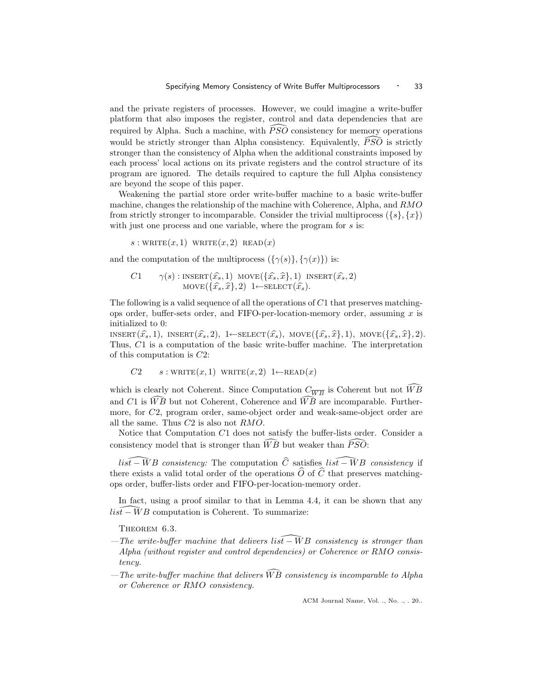and the private registers of processes. However, we could imagine a write-buffer platform that also imposes the register, control and data dependencies that are required by Alpha. Such a machine, with  $\widehat{PSO}$  consistency for memory operations would be strictly stronger than Alpha consistency. Equivalently,  $\widehat{PSO}$  is strictly stronger than the consistency of Alpha when the additional constraints imposed by each process' local actions on its private registers and the control structure of its program are ignored. The details required to capture the full Alpha consistency are beyond the scope of this paper.

Weakening the partial store order write-buffer machine to a basic write-buffer machine, changes the relationship of the machine with Coherence, Alpha, and RMO from strictly stronger to incomparable. Consider the trivial multiprocess  $({s}, {x})$ with just one process and one variable, where the program for  $s$  is:

 $s: \text{WRITE}(x, 1) \text{WRITE}(x, 2) \text{READ}(x)$ 

and the computation of the multiprocess  $({\{\gamma(s)\}, \{\gamma(x)\}})$  is:

C1 
$$
\gamma(s)
$$
:  $\text{INSERT}(\hat{x}_s, 1) \text{ Move}(\{\hat{x}_s, \hat{x}\}, 1) \text{ INSERT}(\hat{x}_s, 2) \text{ Move}(\{\hat{x}_s, \hat{x}\}, 2) \text{ 1-SELECT}(\hat{x}_s).$ 

The following is a valid sequence of all the operations of  $C_1$  that preserves matchingops order, buffer-sets order, and FIFO-per-location-memory order, assuming  $x$  is initialized to 0:

INSERT $(\hat{x}_s, 1)$ , INSERT $(\hat{x}_s, 2)$ , 1←SELECT $(\hat{x}_s)$ , MOVE $({\{\hat{x}_s, \hat{x}\}, 1)$ , MOVE $({\{\hat{x}_s, \hat{x}\}, 2)$ . Thus, C1 is a computation of the basic write-buffer machine. The interpretation of this computation is C2:

$$
C2
$$
  $s: \text{WRITE}(x, 1) \text{WRITE}(x, 2) 1 \leftarrow \text{READ}(x)$ 

which is clearly not Coherent. Since Computation  $C_{\overline{WR}}$  is Coherent but not  $\widehat{WB}$ and C1 is  $\widehat{WB}$  but not Coherent, Coherence and  $\widehat{WB}$  are incomparable. Furthermore, for C2, program order, same-object order and weak-same-object order are all the same. Thus C2 is also not RMO.

Notice that Computation C1 does not satisfy the buffer-lists order. Consider a consistency model that is stronger than  $\widehat{W} \widehat{B}$  but weaker than  $\widehat{P} \widehat{SO}$ :

list – W B consistency: The computation  $\hat{C}$  satisfies list – W B consistency if there exists a valid total order of the operations  $\tilde{O}$  of  $\tilde{C}$  that preserves matchingops order, buffer-lists order and FIFO-per-location-memory order.

 $lis\widehat{t} - \widehat{W}B$  computation is Coherent. To summarize: In fact, using a proof similar to that in Lemma 4.4, it can be shown that any

THEOREM 6.3.

- —The write-buffer machine that delivers list $\overline{W} \overline{W}B$  consistency is stronger than Alpha (without register and control dependencies) or Coherence or RMO consistency.
- —The write-buffer machine that delivers  $\widehat{WB}$  consistency is incomparable to Alpha or Coherence or RMO consistency.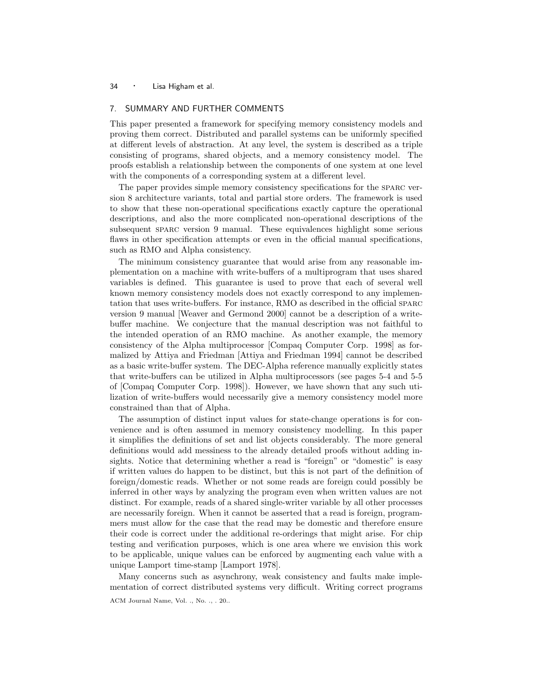# 7. SUMMARY AND FURTHER COMMENTS

This paper presented a framework for specifying memory consistency models and proving them correct. Distributed and parallel systems can be uniformly specified at different levels of abstraction. At any level, the system is described as a triple consisting of programs, shared objects, and a memory consistency model. The proofs establish a relationship between the components of one system at one level with the components of a corresponding system at a different level.

The paper provides simple memory consistency specifications for the sparc version 8 architecture variants, total and partial store orders. The framework is used to show that these non-operational specifications exactly capture the operational descriptions, and also the more complicated non-operational descriptions of the subsequent sparc version 9 manual. These equivalences highlight some serious flaws in other specification attempts or even in the official manual specifications, such as RMO and Alpha consistency.

The minimum consistency guarantee that would arise from any reasonable implementation on a machine with write-buffers of a multiprogram that uses shared variables is defined. This guarantee is used to prove that each of several well known memory consistency models does not exactly correspond to any implementation that uses write-buffers. For instance, RMO as described in the official sparc version 9 manual [Weaver and Germond 2000] cannot be a description of a writebuffer machine. We conjecture that the manual description was not faithful to the intended operation of an RMO machine. As another example, the memory consistency of the Alpha multiprocessor [Compaq Computer Corp. 1998] as formalized by Attiya and Friedman [Attiya and Friedman 1994] cannot be described as a basic write-buffer system. The DEC-Alpha reference manually explicitly states that write-buffers can be utilized in Alpha multiprocessors (see pages 5-4 and 5-5 of [Compaq Computer Corp. 1998]). However, we have shown that any such utilization of write-buffers would necessarily give a memory consistency model more constrained than that of Alpha.

The assumption of distinct input values for state-change operations is for convenience and is often assumed in memory consistency modelling. In this paper it simplifies the definitions of set and list objects considerably. The more general definitions would add messiness to the already detailed proofs without adding insights. Notice that determining whether a read is "foreign" or "domestic" is easy if written values do happen to be distinct, but this is not part of the definition of foreign/domestic reads. Whether or not some reads are foreign could possibly be inferred in other ways by analyzing the program even when written values are not distinct. For example, reads of a shared single-writer variable by all other processes are necessarily foreign. When it cannot be asserted that a read is foreign, programmers must allow for the case that the read may be domestic and therefore ensure their code is correct under the additional re-orderings that might arise. For chip testing and verification purposes, which is one area where we envision this work to be applicable, unique values can be enforced by augmenting each value with a unique Lamport time-stamp [Lamport 1978].

Many concerns such as asynchrony, weak consistency and faults make implementation of correct distributed systems very difficult. Writing correct programs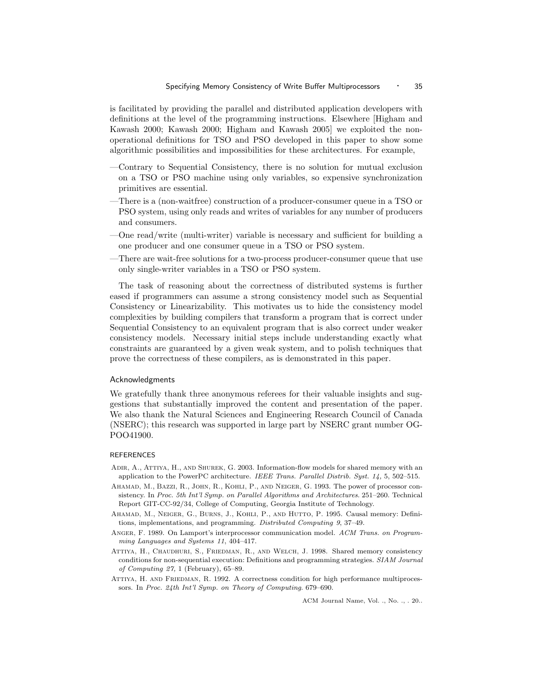is facilitated by providing the parallel and distributed application developers with definitions at the level of the programming instructions. Elsewhere [Higham and Kawash 2000; Kawash 2000; Higham and Kawash 2005] we exploited the nonoperational definitions for TSO and PSO developed in this paper to show some algorithmic possibilities and impossibilities for these architectures. For example,

- —Contrary to Sequential Consistency, there is no solution for mutual exclusion on a TSO or PSO machine using only variables, so expensive synchronization primitives are essential.
- —There is a (non-waitfree) construction of a producer-consumer queue in a TSO or PSO system, using only reads and writes of variables for any number of producers and consumers.
- —One read/write (multi-writer) variable is necessary and sufficient for building a one producer and one consumer queue in a TSO or PSO system.
- —There are wait-free solutions for a two-process producer-consumer queue that use only single-writer variables in a TSO or PSO system.

The task of reasoning about the correctness of distributed systems is further eased if programmers can assume a strong consistency model such as Sequential Consistency or Linearizability. This motivates us to hide the consistency model complexities by building compilers that transform a program that is correct under Sequential Consistency to an equivalent program that is also correct under weaker consistency models. Necessary initial steps include understanding exactly what constraints are guaranteed by a given weak system, and to polish techniques that prove the correctness of these compilers, as is demonstrated in this paper.

# Acknowledgments

We gratefully thank three anonymous referees for their valuable insights and suggestions that substantially improved the content and presentation of the paper. We also thank the Natural Sciences and Engineering Research Council of Canada (NSERC); this research was supported in large part by NSERC grant number OG-POO41900.

#### REFERENCES

- Adir, A., Attiya, H., and Shurek, G. 2003. Information-flow models for shared memory with an application to the PowerPC architecture. IEEE Trans. Parallel Distrib. Syst. 14, 5, 502–515.
- Ahamad, M., Bazzi, R., John, R., Kohli, P., and Neiger, G. 1993. The power of processor consistency. In Proc. 5th Int'l Symp. on Parallel Algorithms and Architectures. 251–260. Technical Report GIT-CC-92/34, College of Computing, Georgia Institute of Technology.
- Ahamad, M., Neiger, G., Burns, J., Kohli, P., and Hutto, P. 1995. Causal memory: Definitions, implementations, and programming. Distributed Computing 9, 37–49.
- ANGER, F. 1989. On Lamport's interprocessor communication model. ACM Trans. on Programming Languages and Systems 11, 404–417.
- Attiya, H., Chaudhuri, S., Friedman, R., and Welch, J. 1998. Shared memory consistency conditions for non-sequential execution: Definitions and programming strategies. SIAM Journal of Computing 27, 1 (February), 65–89.
- Attiya, H. and Friedman, R. 1992. A correctness condition for high performance multiprocessors. In Proc. 24th Int'l Symp. on Theory of Computing. 679–690.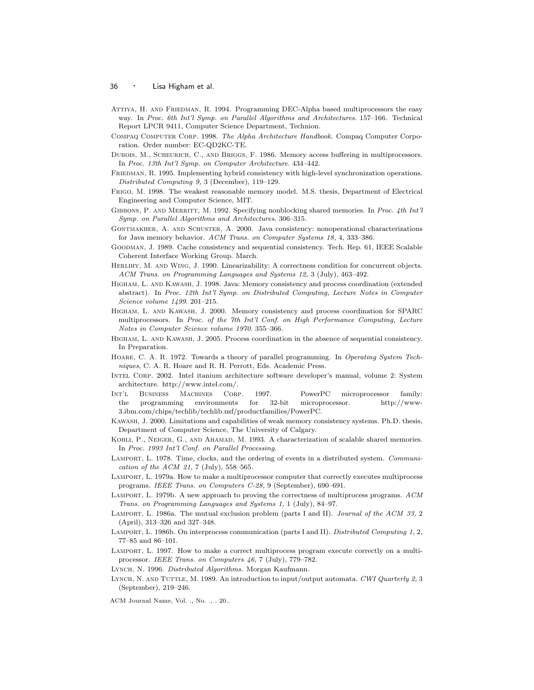- Attiya, H. and Friedman, R. 1994. Programming DEC-Alpha based multiprocessors the easy way. In Proc. 6th Int'l Symp. on Parallel Algorithms and Architectures. 157–166. Technical Report LPCR 9411, Computer Science Department, Technion.
- Compaq Computer Corp. 1998. The Alpha Architecture Handbook. Compaq Computer Corporation. Order number: EC-QD2KC-TE.
- Dubois, M., Scheurich, C., and Briggs, F. 1986. Memory access buffering in multiprocessors. In Proc. 13th Int'l Symp. on Computer Architecture. 434–442.
- FRIEDMAN, R. 1995. Implementing hybrid consistency with high-level synchronization operations. Distributed Computing 9, 3 (December), 119–129.
- Frigo, M. 1998. The weakest reasonable memory model. M.S. thesis, Department of Electrical Engineering and Computer Science, MIT.
- GIBBONS, P. AND MERRITT, M. 1992. Specifying nonblocking shared memories. In Proc. 4th Int'l Symp. on Parallel Algorithms and Architectures. 306–315.
- Gontmakher, A. and Schuster, A. 2000. Java consistency: nonoperational characterizations for Java memory behavior. ACM Trans. on Computer Systems 18, 4, 333–386.
- Goodman, J. 1989. Cache consistency and sequential consistency. Tech. Rep. 61, IEEE Scalable Coherent Interface Working Group. March.
- Herlihy, M. and Wing, J. 1990. Linearizability: A correctness condition for concurrent objects. ACM Trans. on Programming Languages and Systems 12, 3 (July), 463–492.
- Higham, L. and Kawash, J. 1998. Java: Memory consistency and process coordination (extended abstract). In Proc. 12th Int'l Symp. on Distributed Computing, Lecture Notes in Computer Science volume 1499. 201–215.
- Higham, L. and Kawash, J. 2000. Memory consistency and process coordination for SPARC multiprocessors. In Proc. of the 7th Int'l Conf. on High Performance Computing, Lecture Notes in Computer Science volume 1970. 355–366.
- Higham, L. and Kawash, J. 2005. Process coordination in the absence of sequential consistency. In Preparation.
- Hoare, C. A. R. 1972. Towards a theory of parallel programming. In Operating System Techniques, C. A. R. Hoare and R. H. Perrott, Eds. Academic Press.
- Intel Corp. 2002. Intel itanium architecture software developer's manual, volume 2: System architecture. http://www.intel.com/.
- Int'l Business Machines Corp. 1997. PowerPC microprocessor family: the programming environments for 32-bit microprocessor. http://www-3.ibm.com/chips/techlib/techlib.nsf/productfamilies/PowerPC.
- Kawash, J. 2000. Limitations and capabilities of weak memory consistency systems. Ph.D. thesis, Department of Computer Science, The University of Calgary.
- KOHLI, P., NEIGER, G., AND AHAMAD, M. 1993. A characterization of scalable shared memories. In Proc. 1993 Int'l Conf. on Parallel Processing.
- Lamport, L. 1978. Time, clocks, and the ordering of events in a distributed system. Communication of the ACM 21, 7 (July),  $558-565$ .
- Lamport, L. 1979a. How to make a multiprocessor computer that correctly executes multiprocess programs. IEEE Trans. on Computers C-28, 9 (September), 690–691.
- LAMPORT, L. 1979b. A new approach to proving the correctness of multiprocess programs. ACM Trans. on Programming Languages and Systems 1, 1 (July), 84–97.
- Lamport, L. 1986a. The mutual exclusion problem (parts I and II). Journal of the ACM 33, 2 (April), 313–326 and 327–348.
- Lamport, L. 1986b. On interprocess communication (parts I and II). Distributed Computing 1, 2, 77–85 and 86–101.
- Lamport, L. 1997. How to make a correct multiprocess program execute correctly on a multiprocessor. IEEE Trans. on Computers 46, 7 (July), 779–782.
- Lynch, N. 1996. Distributed Algorithms. Morgan Kaufmann.
- LYNCH, N. AND TUTTLE, M. 1989. An introduction to input/output automata. CWI Quarterly 2, 3 (September), 219–246.
- ACM Journal Name, Vol. ., No. ., . 20..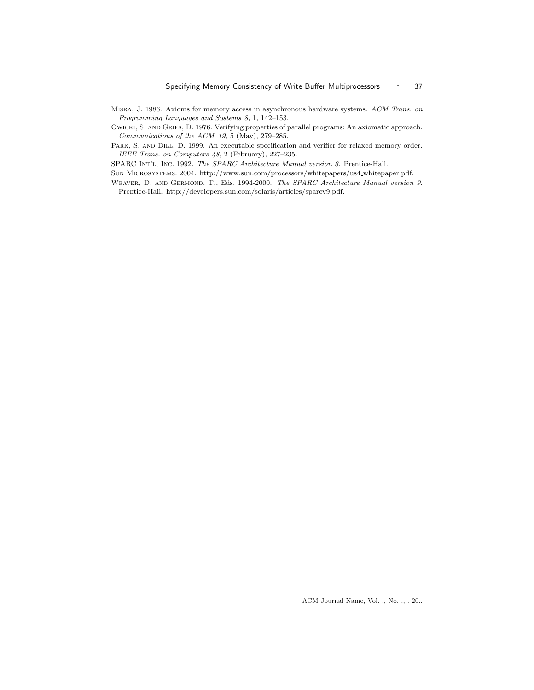Misra, J. 1986. Axioms for memory access in asynchronous hardware systems. ACM Trans. on Programming Languages and Systems 8, 1, 142–153.

- Owicki, S. and Gries, D. 1976. Verifying properties of parallel programs: An axiomatic approach. Communications of the ACM 19, 5 (May), 279–285.
- PARK, S. AND DILL, D. 1999. An executable specification and verifier for relaxed memory order. IEEE Trans. on Computers 48, 2 (February), 227–235.

SPARC INT'L, INC. 1992. The SPARC Architecture Manual version 8. Prentice-Hall.

Sun Microsystems. 2004. http://www.sun.com/processors/whitepapers/us4 whitepaper.pdf.

Weaver, D. and Germond, T., Eds. 1994-2000. The SPARC Architecture Manual version 9. Prentice-Hall. http://developers.sun.com/solaris/articles/sparcv9.pdf.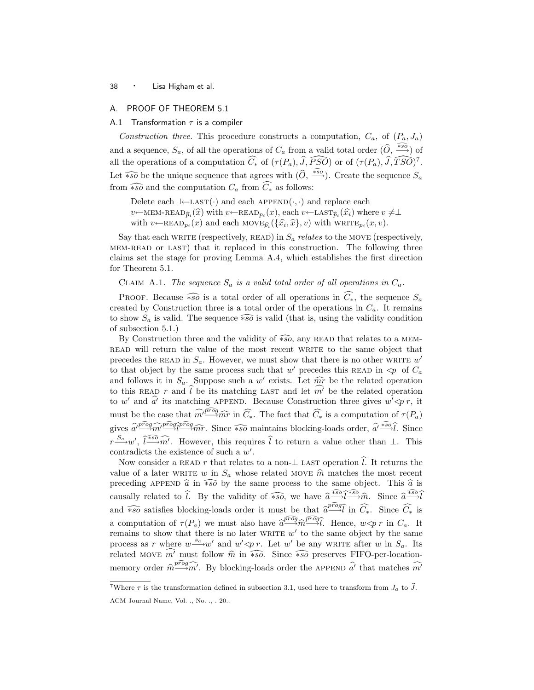# A. PROOF OF THEOREM 5.1

## A.1 Transformation  $\tau$  is a compiler

Construction three. This procedure constructs a computation,  $C_a$ , of  $(P_a, J_a)$ Construction three. This procedure constructs a computation,  $C_a$ , of  $(P_a, J_a)$ <br>and a sequence,  $S_a$ , of all the operations of  $C_a$  from a valid total order  $(\widehat{O}, \overrightarrow{**})$  of all the operations of a computation  $\widehat{C_*}$  of  $(\tau(P_a), \widehat{J}, \widehat{PSO})$  or of  $(\tau(P_a), \widehat{J}, \widehat{TSO})^7$ . and a sequence,  $\sigma_u$ , or an ano operations of  $\sigma_u$  non a collection  $C$  of  $(\tau(P_a), \hat{J}, \widehat{PSO})$  or of  $(\tau(P_a), \hat{J}, \widehat{TSO})^7$ .<br>Let  $\widehat{*so}$  be the unique sequence that agrees with  $(\widehat{O}, \stackrel{\widehat{*so}}{\longrightarrow})$ . Create the sequence from  $\widehat{*so}$  and the computation  $C_a$  from  $\widehat{C_*}$  as follows:

Delete each ⊥←LAST(·) and each APPEND(·,·) and replace each  $v \leftarrow \text{MEM-READ}_{\hat{p}_i}(\hat{x})$  with  $v \leftarrow \text{READ}_{p_i}(x)$ , each  $v \leftarrow \text{LAST}_{\hat{p}_i}(\hat{x}_i)$  whe  $(\hat{x})$  with  $v \leftarrow \text{READ}_{p_i}(x)$ , each  $v \leftarrow \text{LAST}_{\hat{p}_i}(\hat{x}_i)$  where  $v \neq \perp$ <br>(x) and soch MOVE  $(\hat{f}, \hat{x}_i, \hat{y}_i)$  with WBITE  $(x, y)$  $v \leftarrow \text{MEM-READ}_{\hat{p}_i}(\hat{x})$  with  $v \leftarrow \text{READ}_{p_i}(x)$ , each  $v \leftarrow \text{LAST}_{\hat{p}_i}(\hat{x}_i)$  where  $v$  with  $v \leftarrow \text{READ}_{p_i}(x)$  and each  $\text{MOVE}_{\hat{p}_i}(\{\hat{x}_i, \hat{x}\}, v)$  with  $\text{WRITE}_{p_i}(x, v)$ .

Say that each WRITE (respectively, READ) in  $S_a$  relates to the MOVE (respectively, mem-read or last) that it replaced in this construction. The following three claims set the stage for proving Lemma A.4, which establishes the first direction for Theorem 5.1.

CLAIM A.1. The sequence  $S_a$  is a valid total order of all operations in  $C_a$ .

PROOF. Because  $\widehat{*_s\circ}$  is a total order of all operations in  $\widehat{C_*}$ , the sequence  $S_a$ created by Construction three is a total order of the operations in  $C_a$ . It remains to show  $S_a$  is valid. The sequence  $\widehat{*so}$  is valid (that is, using the validity condition of subsection 5.1.)

By Construction three and the validity of  $\widehat{*so}$ , any READ that relates to a MEM-READ will return the value of the most recent WRITE to the same object that precedes the READ in  $S_a$ . However, we must show that there is no other WRITE  $w'$ to that object by the same process such that  $w'$  precedes this READ in  $\langle p \rangle$  of  $C_a$ and follows it in  $S_a$ . Suppose such a w' exists. Let  $\widehat{mr}$  be the related operation to this READ  $r$  and  $l$  be its matching LAST and let  $m'$  be the related operation to w' and  $\hat{a'}$  its matching APPEND. Because Construction three gives  $w' \leq p r$ , it to this READ *r* and *t* be its matching LAST and let *m* be the related operation<br>to w' and  $\hat{a}$  its matching APPEND. Because Construction three gives  $w' \leq p r$ , it<br>must be the case that  $\widehat{m'}\widehat{p''^{eq}}\widehat{m}\widehat{r}$  i gives  $\widehat{a'}^{\underbrace{p\widetilde{r}og}_{m}\widehat{m'}}$ <br>  $r\frac{S_a}{\longrightarrow}w', \widehat{l^{*so}_{m}}\widehat{m'}$ be the case that  $\widehat{m'}^{\widetilde{prog}}\widehat{m}\widehat{r}$  in  $\widehat{C_*}$ . The fact that  $\widehat{C_*}$  is a computation of  $\tau(P_a)$ <br>  $\widehat{proj}^{\widetilde{prog}}\widehat{m}\widehat{r}^{\widetilde{neg}}\widehat{m}\widehat{r}$ . Since  $\widehat{*so}$  maintains blocking-loads order,  $\widehat{a'}^{\widetilde{$  $r \xrightarrow{S_a} w'$ ,  $\hat{l}^* \overrightarrow{so} \hat{m'}$ . However, this requires  $\hat{l}$  to return a value other than ⊥. This contradicts the existence of such a  $w'$ .

Now consider a READ r that relates to a non- $\perp$  LAST operation  $\hat{l}$ . It returns the value of a later WRITE w in  $S_a$  whose related MOVE  $\hat{m}$  matches the most recent preceding APPEND  $\hat{a}$  in  $\hat{*so}$  by the same process to the same object. This  $\hat{a}$  is value of a later while w in  $S_a$  whose related move m matches the most recent preceding APPEND  $\hat{a}$  in  $\hat{*so}$  by the same process to the same object. This  $\hat{a}$  is causally related to  $\hat{l}$ . By the validity of  $\hat{*$ and  $\widehat{*so}$  satisfies blocking-loads order it must be that  $\widehat{a}^{\widetilde{prog}}\widehat{l}$  in  $\widehat{C_*}$ . Since  $\widehat{C_*}$  is a computation of  $\tau(P_a)$  we must also have  $\widehat{a}^{\widetilde{prog}}\widehat{m}^{\widetilde{prog}}\widehat{l}$ . Hence,  $w \leq p r$  in  $C_a$ .  $\widehat{p^{*so}}$  $\widehat{l^{*so}}$  $\widehat{m}$ . Since  $\widehat{a^{*so}}$  $\widehat{l}$ <br> $\widehat{p^{reg}}$  $\widehat{l}$  in  $\widehat{C_*}$ . Since  $\widehat{C_*}$  is a computation of  $\tau(P_a)$  we must also have  $\hat{a}^{\widetilde{prog}}$ . Hence,  $w \leq p r$  in  $C_a$ . It remains to show that there is no later WRITE  $w'$  to the same object by the same process as r where  $w \xrightarrow{s_a} w'$  and  $w' \leq p r$ . Let w' be any writte after w in  $S_a$ . Its related MOVE  $m\ell$  must follow  $\hat{m}$  in ∗so. Since ∗so preserves FIFO-per-locationprocess as  $\overline{r}$  where  $\overline{w} \rightarrow w$  and  $\overline{w} \leftrightarrow \overline{p}r$ . Let  $\overline{w}$  be any writte after  $\overline{w}$  in  $\overline{s}_\alpha$ . Its<br>related MOVE  $\widehat{m'}$  must follow  $\widehat{m}$  in  $\widehat{s}s\overline{o}$ . Since  $\widehat{s}s\overline{o}$  preserves FIFO-per-

<sup>&</sup>lt;sup>7</sup>Where  $\tau$  is the transformation defined in subsection 3.1, used here to transform from  $J_a$  to  $\hat{J}$ . ACM Journal Name, Vol. ., No. ., . 20..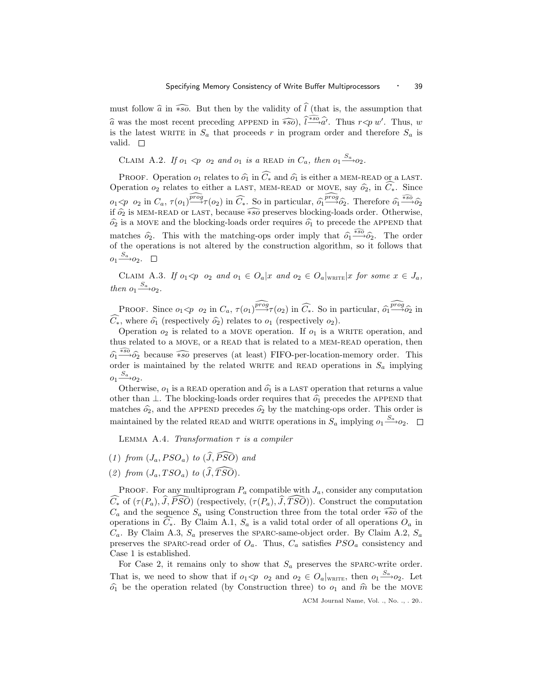must follow  $\hat{a}$  in ∗so. But then by the validity of  $\hat{l}$  (that is, the assumption that ba must follow  $\hat{a}$  in ∗so. But then by the validity of  $\hat{l}$  (that is, the assumption that  $\hat{a}$  was the most recent preceding APPEND in ∗so),  $\hat{l}^{*s\hat{o}}_{s\hat{o}}\hat{a'}$ . Thus  $r \leq p w'$ . Thus, w is the latest WRITE in  $S_a$  that proceeds r in program order and therefore  $S_a$  is valid. □

CLAIM A.2. If  $o_1 \leq p \circ o_2$  and  $o_1$  is a READ in  $C_a$ , then  $o_1 \xrightarrow{S_a} o_2$ .

PROOF. Operation  $o_1$  relates to  $\widehat{o_1}$  in  $\widehat{C_*}$  and  $\widehat{o_1}$  is either a MEM-READ or a LAST. Operation  $o_2$  relates to either a LAST, MEM-READ or MOVE, say  $\widehat{o_2}$ , in  $\widehat{C_*}$ . Since T ROOF. Operation  $o_1$  relates to  $o_1$  in  $o_∗$  and  $o_1$  is criter a mem-relation of a EAST.<br>
Operation  $o_2$  relates to either a LAST, MEM-READ or MOVE, say  $\hat{o}_2$ , in  $\hat{C}_∗$ . Since<br>  $o_1 \leq p$   $o_2$  in  $C_a$ ,  $\tau(o$ if  $\hat{o}_2$  is MEM-READ or LAST, because  $\widehat{*so}$  preserves blocking-loads order. Otherwise,  $\widehat{o_2}$  is a MOVE and the blocking-loads order requires  $\widehat{o_1}$  to precede the APPEND that matches  $\hat{o}_2$ . This with the matching-ops order imply that  $\hat{o}_1 \overbrace{\ast s_0}^{\overbrace{\ast s_0}} \hat{o}_2$ . The order imply that matches  $\hat{o}_2$ . This with the matching-ops order imply that  $\hat{o}_1 \overbrace{\ast s_0}^{\overbrace{\ast s_0}} \hat{o}_2$ . The order of of the operations is not altered by the construction algorithm, so it follows that  $o_1 \stackrel{S_a}{\longrightarrow} o_2.$ 

CLAIM A.3. If  $o_1 \leq p \ o_2$  and  $o_1 \in O_a|x$  and  $o_2 \in O_a|_{\text{warre}}|x$  for some  $x \in J_a$ , then  $o_1 \xrightarrow{S_a} o_2$ .

PROOF. Since  $o_1 \leq p \quad o_2$  in  $C_a$ ,  $\tau(o_1) \stackrel{prog}{\longrightarrow} \tau(o_2)$  in  $\widehat{C_*}$ . So in particular,  $\widehat{o_1} \stackrel{prog}{\longrightarrow} \widehat{o_2}$  in  $\widehat{C}_*$ , where  $\widehat{o}_1$  (respectively  $\widehat{o}_2$ ) relates to  $o_1$  (respectively  $o_2$ ).

Operation  $o_2$  is related to a MOVE operation. If  $o_1$  is a WRITE operation, and thus related to a MOVE, or a READ that is related to a MEM-READ operation, then Operation  $\sigma_2$  is related to a MOVE operation. If  $\sigma_1$  is a wRTLE operation, and<br>thus related to a MOVE, or a READ that is related to a MEM-READ operation, then<br> $\hat{\sigma}_1 \frac{\hat{\ast} s \hat{\sigma}}{\hat{\sigma}_2}$  because  $\hat{\ast} s \hat{\sigma}$  pre order is maintained by the related WRITE and READ operations in  $S_a$  implying  $o_1 \stackrel{S_a}{\longrightarrow} o_2.$ 

Otherwise,  $o_1$  is a READ operation and  $\hat{o_1}$  is a LAST operation that returns a value other than ⊥. The blocking-loads order requires that  $\hat{o}_1$  precedes the APPEND that matches  $\hat{\mathcal{O}}_2$ , and the APPEND precedes  $\hat{\mathcal{O}}_2$  by the matching-ops order. This order is maintained by the related READ and WRITE operations in  $S_a$  implying  $o_1 \stackrel{S_a}{\longrightarrow} o_2$ .

LEMMA A.4. Transformation  $\tau$  is a compiler

- (1) from  $(J_a, PSO_a)$  to  $(\widehat{J}, \widehat{PSO})$  and
- (2) from  $(J_a, TSO_a)$  to  $(\widehat{J}, \widehat{TSO})$ .

PROOF. For any multiprogram  $P_a$  compatible with  $J_a$ , consider any computation  $\widehat{C}_*$  of  $(\tau(P_a), \widehat{J}, \widehat{PSO})$  (respectively,  $(\tau(P_a), \widehat{J}, \widehat{TSO})$ ). Construct the computation  $C_a$  and the sequence  $S_a$  using Construction three from the total order  $\widehat{*_sso}$  of the operations in  $C_*$ . By Claim A.1,  $S_a$  is a valid total order of all operations  $O_a$  in  $C_a$ . By Claim A.3,  $S_a$  preserves the sparc-same-object order. By Claim A.2,  $S_a$ preserves the sparc-read order of  $O_a$ . Thus,  $C_a$  satisfies  $PSO_a$  consistency and Case 1 is established.

For Case 2, it remains only to show that  $S_a$  preserves the SPARC-write order. That is, we need to show that if  $o_1 \leq p \ o_2$  and  $o_2 \in O_a|_{\text{whrre}}$ , then  $o_1 \xrightarrow{S_a} o_2$ . Let  $\hat{\sigma}_1$  be the operation related (by Construction three) to  $o_1$  and  $\hat{m}$  be the MOVE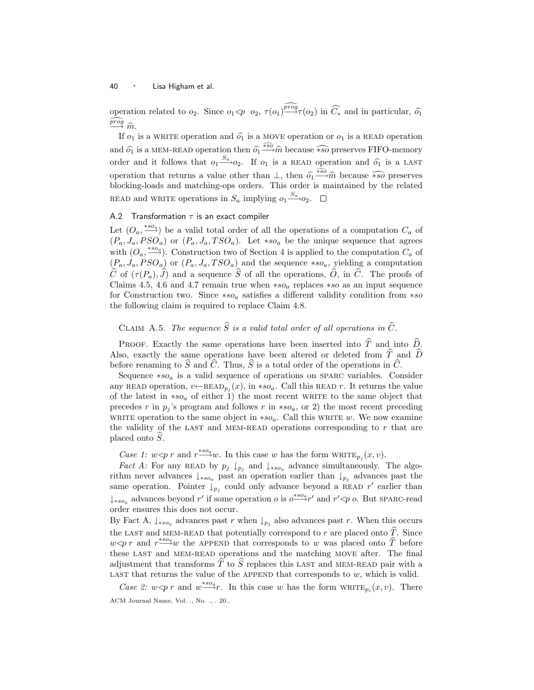operation related to  $o_2$ . Since  $o_1 \leq p \quad o_2$ ,  $\tau(o_1) \stackrel{prog}{\longrightarrow} \tau(o_2)$  in  $\widehat{C_*}$  and in particular,  $\widehat{o_1}$  $\frac{prog}{f} \hat{m}$ .

If  $o_1$  is a WRITE operation and  $\hat{o_1}$  is a MOVE operation or  $o_1$  is a READ operation <sup>→</sup> *m*.<br>
If  $o_1$  is a WRITE operation and  $\hat{o}_1$  is a MOVE operation or  $o_1$  is a READ operation<br>
and  $\hat{o}_1$  is a MEM-READ operation then  $\hat{o}_1 \stackrel{\ast \circ \circ}{\bullet} \hat{m}$  because  $\hat{\ast \circ o}$  preserves FIFO-memory order and it follows that  $o_1 \xrightarrow{S_a} o_2$ . If  $o_1$  is a READ operation and  $\hat{o}_1$  is a LAST operation that returns a value other than  $\perp$ , then  $\hat{o}_1 \xrightarrow{\bar{\ast} \bar{s} \hat{o}} \hat{m}$  because  $\hat{\ast} \hat{s} \hat{o}$  preserves blocking l operation that returns a value other than  $\perp$ , then  $\hat{\sigma}_1 \stackrel{\widehat{\ast so}}{\longrightarrow} \hat{m}$  because  $\widehat{\ast so}$  preserves blocking-loads and matching-ops orders. This order is maintained by the related READ and WRITE operations in  $S_a$  implying  $o_1 \xrightarrow{S_a} o_2$ .

# A.2 Transformation  $\tau$  is an exact compiler

Let  $(O_a, \stackrel{*so_a}{\longrightarrow})$  be a valid total order of all the operations of a computation  $C_a$  of  $(P_a, J_a, PSO_a)$  or  $(P_a, J_a, TSO_a)$ . Let  $\ast so_a$  be the unique sequence that agrees with  $(O_a, \stackrel{*so_a}{\longrightarrow})$ . Construction two of Section 4 is applied to the computation  $C_a$  of  $(P_a, J_a, PSO_a)$  or  $(P_a, J_a, TSO_a)$  and the sequence  $\ast so_a$ , yielding a computation  $\widehat{C}$  of  $(\tau (P_a), \widehat{J})$  and a sequence  $\widehat{S}$  of all the operations,  $\widehat{O}$ , in  $\widehat{C}$ . The proofs of Claims 4.5, 4.6 and 4.7 remain true when  $*so<sub>a</sub>$  replaces  $*so$  as an input sequence for Construction two. Since ∗so<sup>a</sup> satisfies a different validity condition from ∗so the following claim is required to replace Claim 4.8.

# CLAIM A.5. The sequence  $\widehat{S}$  is a valid total order of all operations in  $\widehat{C}$ .

PROOF. Exactly the same operations have been inserted into  $\hat{T}$  and into  $\hat{D}$ . Also, exactly the same operations have been altered or deleted from  $\hat{T}$  and  $\hat{D}$ before renaming to  $\widehat{S}$  and  $\widehat{C}$ . Thus,  $\widehat{S}$  is a total order of the operations in  $\widehat{C}$ .

Sequence  $\ast so_a$  is a valid sequence of operations on SPARC variables. Consider any READ operation,  $v \leftarrow \text{READ}_{p_j}(x)$ , in  $\ast so_a$ . Call this READ r. It returns the value of the latest in  $*so_a$  of either 1) the most recent write to the same object that precedes r in  $p_j$ 's program and follows r in  $\ast so_a$ , or 2) the most recent preceding WRITE operation to the same object in  $*so_a$ . Call this WRITE w. We now examine the validity of the LAST and MEM-READ operations corresponding to  $r$  that are placed onto  $S$ .

Case 1:  $w \leq p r$  and  $r \stackrel{*so_a}{\longrightarrow} w$ . In this case w has the form  $\text{WRITE}_{p_j}(x, v)$ .

*Fact A:* For any READ by  $p_j \downarrow_{p_j}$  and  $\downarrow_{*so_a}$  advance simultaneously. The algorithm never advances  $\downarrow_{*so_a}$  past an operation earlier than  $\downarrow_{p_j}$  advances past the same operation. Pointer  $\downarrow_{p_j}$  could only advance beyond a READ r' earlier than  $\downarrow_{*so_a}$  advances beyond r' if some operation *o* is  $o \xrightarrow{*so_a} r'$  and  $r' < p$  *o*. But sparc-read order ensures this does not occur.

By Fact A,  $\downarrow_{*so_a}$  advances past r when  $\downarrow_{p_j}$  also advances past r. When this occurs the LAST and MEM-READ that potentially correspond to r are placed onto  $\widehat{T}$ . Since  $w \leq p r$  and  $r \stackrel{*so_a}{\longrightarrow} w$  the APPEND that corresponds to w was placed onto  $\widehat{T}$  before these last and mem-read operations and the matching move after. The final adjustment that transforms  $T$  to  $S$  replaces this LAST and MEM-READ pair with a LAST that returns the value of the APPEND that corresponds to  $w$ , which is valid.

Case 2:  $w \leq p r$  and  $w \stackrel{*so_a}{\longrightarrow} r$ . In this case w has the form  $\text{WRITE}_{p_i}(x, v)$ . There ACM Journal Name, Vol. ., No. ., . 20..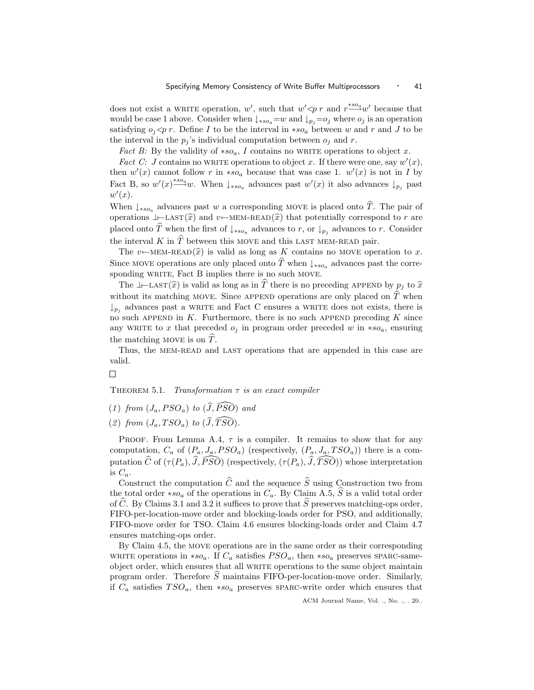does not exist a WRITE operation, w', such that  $w' \leq p r$  and  $r \stackrel{*so_a}{\longrightarrow} w'$  because that would be case 1 above. Consider when  $\downarrow_{\ast so} = w$  and  $\downarrow_{p_i} = o_j$  where  $o_j$  is an operation satisfying  $o_i$   $\varphi$  r. Define I to be the interval in  $\ast so_a$  between w and r and J to be the interval in the  $p_i$ 's individual computation between  $o_i$  and r.

*Fact B:* By the validity of  $*so<sub>a</sub>$ , I contains no WRITE operations to object x.

Fact C: J contains no WRITE operations to object x. If there were one, say  $w'(x)$ , then  $w'(x)$  cannot follow r in \*so<sub>a</sub> because that was case 1.  $w'(x)$  is not in I by Fact B, so  $w'(x) \stackrel{*so_a}{\longrightarrow} w$ . When  $\downarrow_{*so_a}$  advances past  $w'(x)$  it also advances  $\downarrow_{p_j}$  past  $w'(x)$ .

When  $\downarrow_{*so_a}$  advances past w a corresponding MOVE is placed onto  $\hat{T}$ . The pair of operations  $\perp$ –LAST $(\hat{x})$  and  $v$ –MEM-READ $(\hat{x})$  that potentially correspond to r are placed onto T when the first of  $\downarrow_{*so_a}$  advances to r, or  $\downarrow_{p_j}$  advances to r. Consider the interval K in  $\hat{T}$  between this MOVE and this LAST MEM-READ pair.

The v $\leftarrow$ MEM-READ $(\widehat{x})$  is valid as long as K contains no MOVE operation to x. Since MOVE operations are only placed onto  $\widehat{T}$  when  $\downarrow_{*so_a}$  advances past the corresponding WRITE, Fact B implies there is no such MOVE.

The ⊥←LAST( $\hat{x}$ ) is valid as long as in  $\hat{T}$  there is no preceding APPEND by  $p_i$  to  $\hat{x}$ without its matching MOVE. Since APPEND operations are only placed on  $\widehat{T}$  when  $\downarrow_{p_i}$  advances past a WRITE and Fact C ensures a WRITE does not exists, there is no such APPEND in  $K$ . Furthermore, there is no such APPEND preceding  $K$  since any WRITE to x that preceded  $o_i$  in program order preceded w in  $*so_a$ , ensuring the matching MOVE is on  $\hat{T}$ .

Thus, the mem-read and last operations that are appended in this case are valid.

 $\Box$ 

THEOREM 5.1. Transformation  $\tau$  is an exact compiler

- (1) from  $(J_a, PSO_a)$  to  $(\widehat{J}, \widehat{PSO})$  and
- (2) from  $(J_a, TSO_a)$  to  $(\widehat{J}, \widehat{TSO})$ .

PROOF. From Lemma A.4,  $\tau$  is a compiler. It remains to show that for any computation,  $C_a$  of  $(P_a, J_a, PSO_a)$  (respectively,  $(P_a, J_a, TSO_a)$ ) there is a computation  $\widehat{C}$  of  $(\tau (P_a), \widehat{J}, \widehat{PSO})$  (respectively,  $(\tau (P_a), \widehat{J}, \widehat{TSO})$ ) whose interpretation is  $C_a$ .

Construct the computation  $\widehat{C}$  and the sequence  $\widehat{S}$  using Construction two from the total order \*so<sub>a</sub> of the operations in  $C_a$ . By Claim A.5,  $\hat{S}$  is a valid total order of  $\widehat{C}$ . By Claims 3.1 and 3.2 it suffices to prove that  $\widehat{S}$  preserves matching-ops order, FIFO-per-location-move order and blocking-loads order for PSO, and additionally, FIFO-move order for TSO. Claim 4.6 ensures blocking-loads order and Claim 4.7 ensures matching-ops order.

By Claim 4.5, the move operations are in the same order as their corresponding WRITE operations in ∗ $so_a$ . If  $C_a$  satisfies  $PSO_a$ , then ∗ $so_a$  preserves SPARC-sameobject order, which ensures that all write operations to the same object maintain program order. Therefore  $S$  maintains FIFO-per-location-move order. Similarly, if  $C_a$  satisfies  $TSO_a$ , then  $*so_a$  preserves SPARC-write order which ensures that